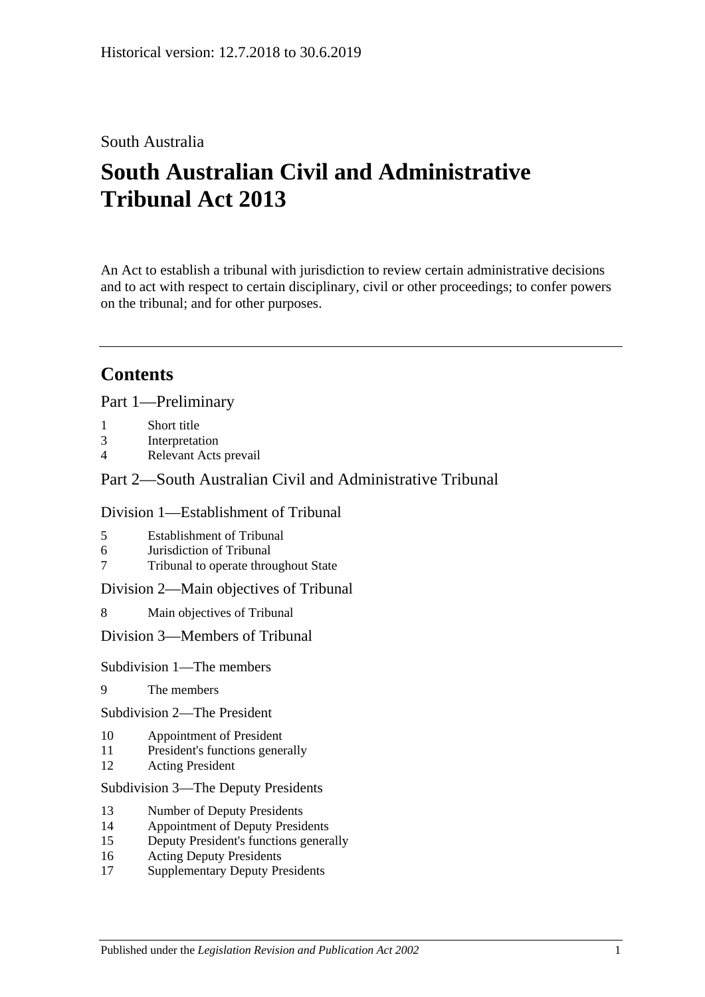## South Australia

# **South Australian Civil and Administrative Tribunal Act 2013**

An Act to establish a tribunal with jurisdiction to review certain administrative decisions and to act with respect to certain disciplinary, civil or other proceedings; to confer powers on the tribunal; and for other purposes.

## **Contents**

Part [1—Preliminary](#page-4-0)

- 1 [Short title](#page-4-1)
- 3 [Interpretation](#page-4-2)
- 4 [Relevant Acts prevail](#page-6-0)

### Part [2—South Australian Civil and Administrative Tribunal](#page-6-1)

#### Division [1—Establishment of Tribunal](#page-6-2)

- 5 [Establishment of Tribunal](#page-6-3)
- 6 [Jurisdiction of Tribunal](#page-6-4)
- 7 [Tribunal to operate throughout State](#page-6-5)

#### Division [2—Main objectives of Tribunal](#page-6-6)

8 [Main objectives of Tribunal](#page-6-7)

#### Division [3—Members of Tribunal](#page-7-0)

#### Subdivision [1—The members](#page-7-1)

- 9 [The members](#page-7-2)
- Subdivision [2—The President](#page-7-3)
- 10 [Appointment of President](#page-7-4)
- 11 [President's functions generally](#page-8-0)
- 12 [Acting President](#page-9-0)

#### Subdivision [3—The Deputy Presidents](#page-10-0)

- 13 [Number of Deputy Presidents](#page-10-1)
- 14 [Appointment of Deputy Presidents](#page-10-2)
- 15 [Deputy President's functions generally](#page-11-0)
- 16 [Acting Deputy Presidents](#page-12-0)
- 17 [Supplementary Deputy Presidents](#page-13-0)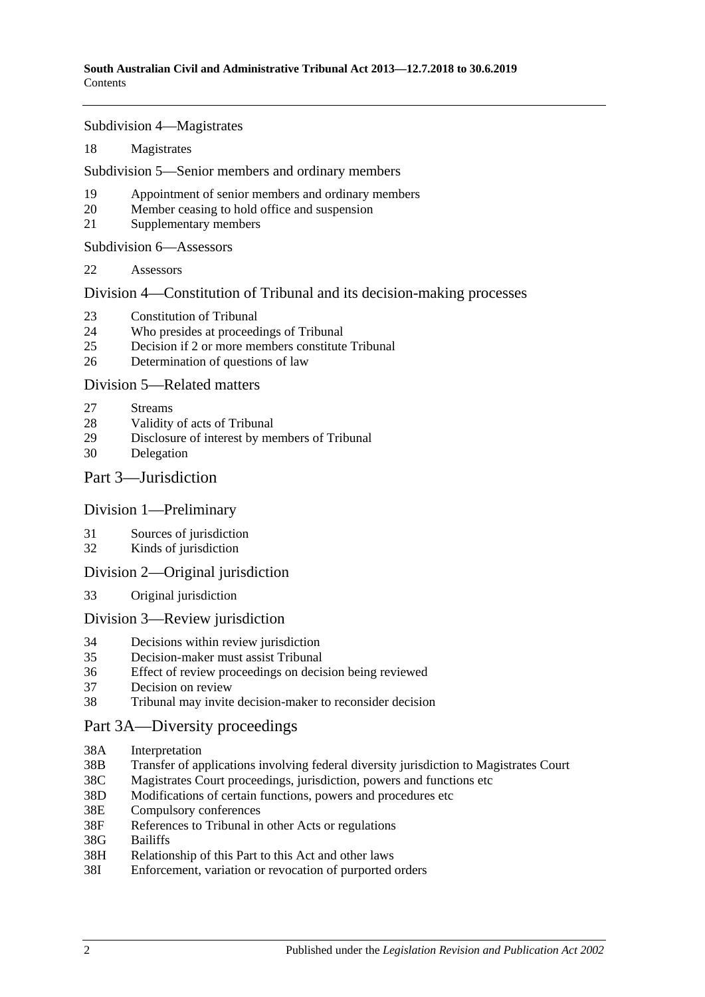Subdivision [4—Magistrates](#page-13-1)

18 [Magistrates](#page-13-2)

Subdivision [5—Senior members and ordinary members](#page-14-0)

- 19 [Appointment of senior members and](#page-14-1) ordinary members
- 20 [Member ceasing to hold office and suspension](#page-15-0)
- 21 [Supplementary members](#page-16-0)

Subdivision [6—Assessors](#page-16-1)

22 [Assessors](#page-16-2)

Division [4—Constitution of Tribunal and its decision-making processes](#page-17-0)

- 23 [Constitution of Tribunal](#page-17-1)
- 24 [Who presides at proceedings of Tribunal](#page-18-0)
- 25 [Decision if 2 or more members constitute Tribunal](#page-19-0)
- 26 [Determination of questions of law](#page-19-1)

#### Division [5—Related matters](#page-19-2)

- 27 [Streams](#page-19-3)
- 28 [Validity of acts of Tribunal](#page-19-4)
- 29 [Disclosure of interest by members of Tribunal](#page-19-5)
- 30 [Delegation](#page-20-0)

#### Part [3—Jurisdiction](#page-20-1)

#### Division [1—Preliminary](#page-20-2)

- 31 [Sources of jurisdiction](#page-20-3)
- 32 [Kinds of jurisdiction](#page-20-4)

#### Division [2—Original jurisdiction](#page-21-0)

33 [Original jurisdiction](#page-21-1)

#### Division [3—Review jurisdiction](#page-21-2)

- 34 [Decisions within review jurisdiction](#page-21-3)<br>35 Decision-maker must assist Tribunal
- 35 [Decision-maker must assist Tribunal](#page-22-0)
- 36 [Effect of review proceedings on decision being reviewed](#page-23-0)
- 37 [Decision on review](#page-23-1)
- 38 [Tribunal may invite decision-maker to reconsider decision](#page-24-0)

### [Part 3A—Diversity proceedings](#page-25-0)

- 38A [Interpretation](#page-25-1)
- 38B [Transfer of applications involving federal diversity jurisdiction to Magistrates Court](#page-25-2)
- 38C [Magistrates Court proceedings, jurisdiction, powers and functions etc](#page-26-0)
- 38D [Modifications of certain functions, powers and](#page-26-1) procedures etc
- 38E [Compulsory conferences](#page-27-0)
- 38F [References to Tribunal in other Acts or regulations](#page-27-1)
- 38G [Bailiffs](#page-27-2)
- 38H [Relationship of this Part to this Act and other laws](#page-27-3)
- 38I [Enforcement, variation or revocation of purported orders](#page-27-4)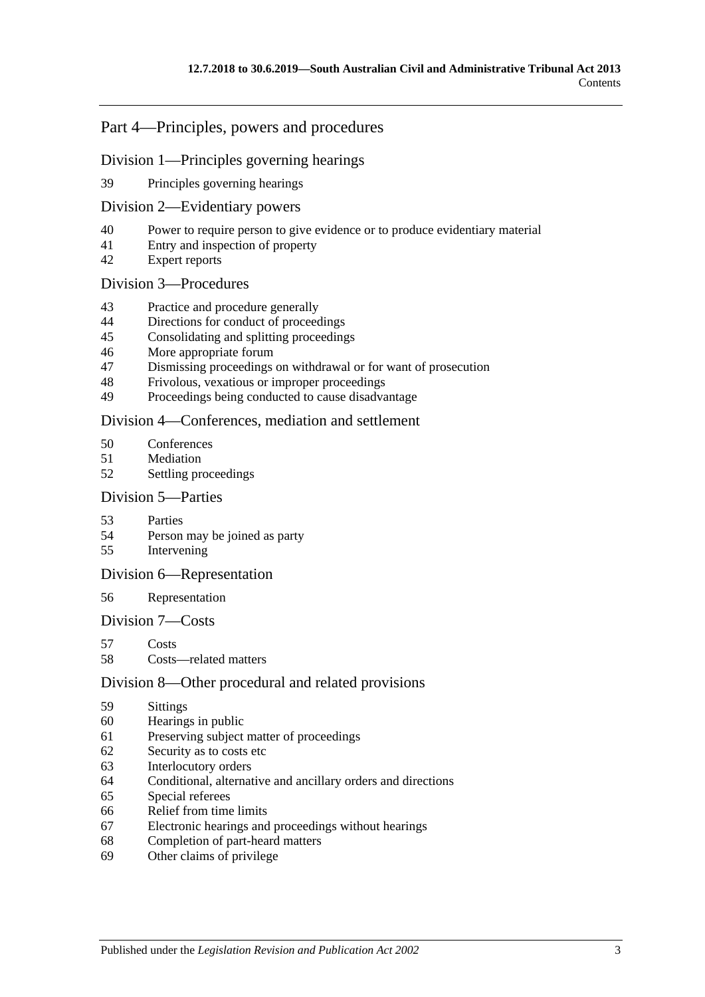### Part [4—Principles, powers and procedures](#page-28-0)

#### Division [1—Principles governing hearings](#page-28-1)

[Principles governing hearings](#page-28-2)

#### Division [2—Evidentiary powers](#page-29-0)

- [Power to require person to give evidence or to produce evidentiary material](#page-29-1)
- [Entry and inspection of property](#page-30-0)
- [Expert reports](#page-30-1)

#### Division [3—Procedures](#page-30-2)

- [Practice and procedure generally](#page-30-3)
- [Directions for conduct of proceedings](#page-31-0)
- [Consolidating and splitting proceedings](#page-31-1)
- [More appropriate forum](#page-32-0)
- [Dismissing proceedings on withdrawal or for want of prosecution](#page-32-1)
- [Frivolous, vexatious or improper proceedings](#page-32-2)
- [Proceedings being conducted to cause disadvantage](#page-32-3)

#### Division [4—Conferences, mediation and settlement](#page-33-0)

- [Conferences](#page-33-1)
- [Mediation](#page-35-0)
- [Settling proceedings](#page-35-1)

#### Division [5—Parties](#page-36-0)

- [Parties](#page-36-1)
- [Person may be joined as party](#page-36-2)
- [Intervening](#page-37-0)

#### Division [6—Representation](#page-37-1)

#### [Representation](#page-37-2)

#### Division [7—Costs](#page-37-3)

- [Costs](#page-37-4)
- [Costs—related matters](#page-38-0)

#### Division [8—Other procedural and related provisions](#page-38-1)

- [Sittings](#page-38-2)
- [Hearings in public](#page-38-3)
- [Preserving subject matter of proceedings](#page-39-0)
- [Security as to costs etc](#page-40-0)
- [Interlocutory orders](#page-40-1)
- [Conditional, alternative and ancillary orders and directions](#page-40-2)
- [Special referees](#page-40-3)
- [Relief from time limits](#page-41-0)
- [Electronic hearings and proceedings without hearings](#page-41-1)
- [Completion of part-heard matters](#page-41-2)
- [Other claims of privilege](#page-41-3)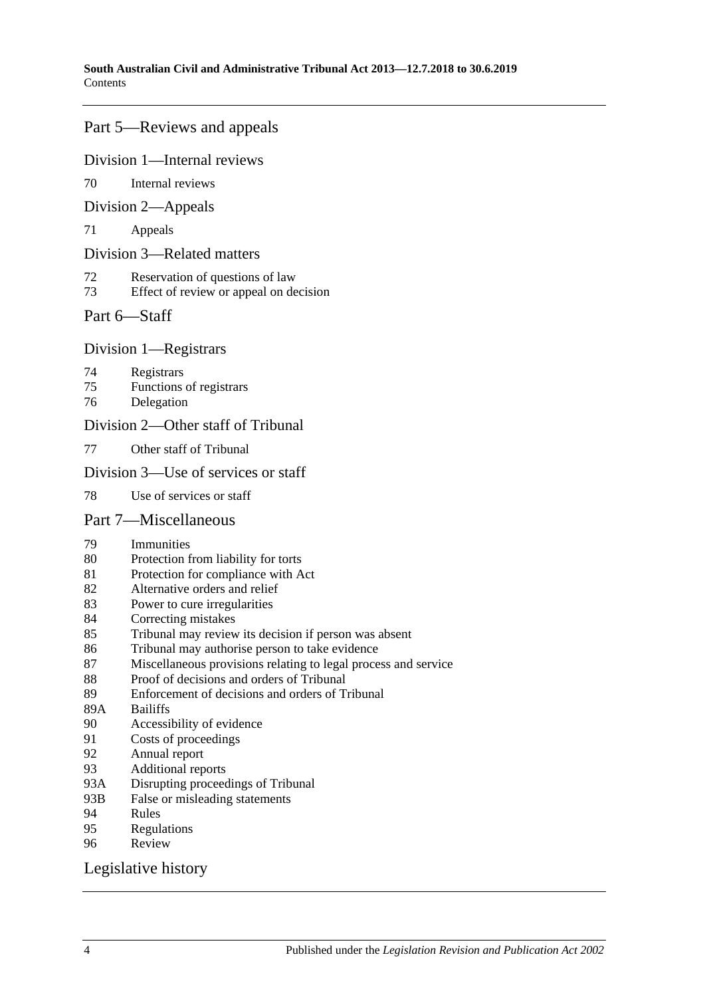### Part [5—Reviews and appeals](#page-41-4)

#### Division [1—Internal reviews](#page-41-5)

[Internal reviews](#page-41-6)

#### Division [2—Appeals](#page-42-0)

[Appeals](#page-42-1)

#### Division [3—Related matters](#page-43-0)

- [Reservation of questions of law](#page-43-1)
- [Effect of review or appeal on decision](#page-44-0)

#### Part [6—Staff](#page-44-1)

#### Division [1—Registrars](#page-44-2)

- [Registrars](#page-44-3)
- [Functions of registrars](#page-45-0)
- [Delegation](#page-45-1)

#### Division [2—Other staff of Tribunal](#page-45-2)

[Other staff of Tribunal](#page-45-3)

#### Division [3—Use of services or staff](#page-46-0)

[Use of services or staff](#page-46-1)

#### Part [7—Miscellaneous](#page-46-2)

- [Immunities](#page-46-3)
- [Protection from liability for torts](#page-46-4)
- [Protection for compliance with Act](#page-46-5)
- [Alternative orders and relief](#page-47-0)
- [Power to cure irregularities](#page-47-1)
- [Correcting mistakes](#page-47-2)
- [Tribunal may review its decision if person was absent](#page-47-3)
- [Tribunal may authorise person to take evidence](#page-48-0)
- [Miscellaneous provisions relating to legal process and service](#page-48-1)
- [Proof of decisions and orders of Tribunal](#page-49-0)
- [Enforcement of decisions and orders of Tribunal](#page-49-1)
- 89A [Bailiffs](#page-49-2)<br>90 Accessi
- [Accessibility of evidence](#page-49-3)
- [Costs of proceedings](#page-50-0)
- [Annual report](#page-50-1)
- [Additional reports](#page-50-2)
- 93A [Disrupting proceedings of Tribunal](#page-51-0)
- 93B [False or misleading statements](#page-51-1)
- [Rules](#page-51-2)
- [Regulations](#page-52-0)<br>96 Review
- **[Review](#page-53-0)**

#### [Legislative history](#page-54-0)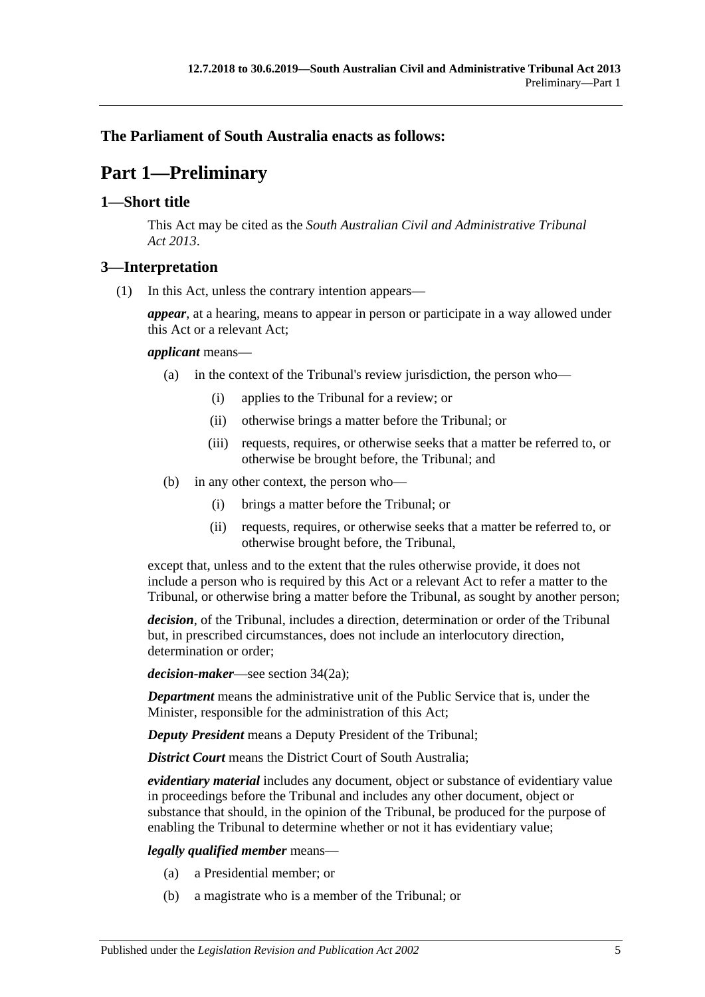### <span id="page-4-0"></span>**The Parliament of South Australia enacts as follows:**

# **Part 1—Preliminary**

### <span id="page-4-1"></span>**1—Short title**

This Act may be cited as the *South Australian Civil and Administrative Tribunal Act 2013*.

### <span id="page-4-2"></span>**3—Interpretation**

(1) In this Act, unless the contrary intention appears—

*appear*, at a hearing, means to appear in person or participate in a way allowed under this Act or a relevant Act;

#### *applicant* means—

- (a) in the context of the Tribunal's review jurisdiction, the person who—
	- (i) applies to the Tribunal for a review; or
	- (ii) otherwise brings a matter before the Tribunal; or
	- (iii) requests, requires, or otherwise seeks that a matter be referred to, or otherwise be brought before, the Tribunal; and
- (b) in any other context, the person who—
	- (i) brings a matter before the Tribunal; or
	- (ii) requests, requires, or otherwise seeks that a matter be referred to, or otherwise brought before, the Tribunal,

except that, unless and to the extent that the rules otherwise provide, it does not include a person who is required by this Act or a relevant Act to refer a matter to the Tribunal, or otherwise bring a matter before the Tribunal, as sought by another person;

*decision*, of the Tribunal, includes a direction, determination or order of the Tribunal but, in prescribed circumstances, does not include an interlocutory direction, determination or order;

*decision-maker*—see section 34(2a);

*Department* means the administrative unit of the Public Service that is, under the Minister, responsible for the administration of this Act;

*Deputy President* means a Deputy President of the Tribunal;

*District Court* means the District Court of South Australia;

*evidentiary material* includes any document, object or substance of evidentiary value in proceedings before the Tribunal and includes any other document, object or substance that should, in the opinion of the Tribunal, be produced for the purpose of enabling the Tribunal to determine whether or not it has evidentiary value;

#### *legally qualified member* means—

- (a) a Presidential member; or
- (b) a magistrate who is a member of the Tribunal; or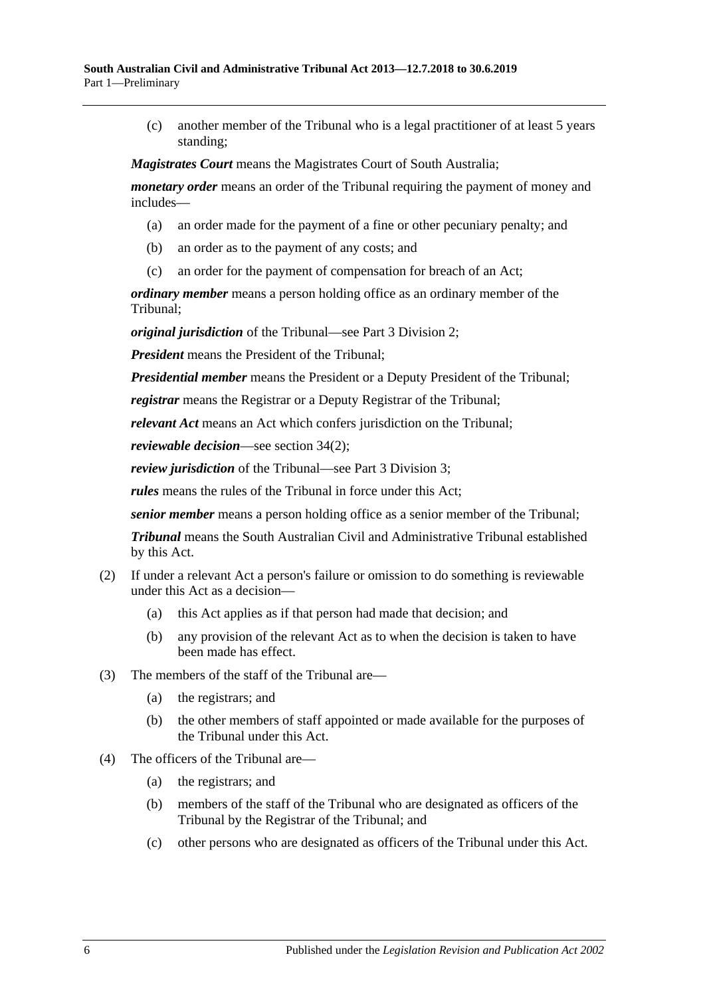(c) another member of the Tribunal who is a legal practitioner of at least 5 years standing;

*Magistrates Court* means the Magistrates Court of South Australia;

*monetary order* means an order of the Tribunal requiring the payment of money and includes—

- (a) an order made for the payment of a fine or other pecuniary penalty; and
- (b) an order as to the payment of any costs; and
- (c) an order for the payment of compensation for breach of an Act;

*ordinary member* means a person holding office as an ordinary member of the Tribunal;

*original jurisdiction* of the Tribunal—see Part [3 Division](#page-21-0) 2;

*President* means the President of the Tribunal;

*Presidential member* means the President or a Deputy President of the Tribunal;

*registrar* means the Registrar or a Deputy Registrar of the Tribunal;

*relevant Act* means an Act which confers jurisdiction on the Tribunal;

*reviewable decision*—see section 34(2);

*review jurisdiction* of the Tribunal—see Part [3 Division](#page-21-2) 3;

*rules* means the rules of the Tribunal in force under this Act;

*senior member* means a person holding office as a senior member of the Tribunal;

*Tribunal* means the South Australian Civil and Administrative Tribunal established by this Act.

- (2) If under a relevant Act a person's failure or omission to do something is reviewable under this Act as a decision—
	- (a) this Act applies as if that person had made that decision; and
	- (b) any provision of the relevant Act as to when the decision is taken to have been made has effect.
- (3) The members of the staff of the Tribunal are—
	- (a) the registrars; and
	- (b) the other members of staff appointed or made available for the purposes of the Tribunal under this Act.
- (4) The officers of the Tribunal are—
	- (a) the registrars; and
	- (b) members of the staff of the Tribunal who are designated as officers of the Tribunal by the Registrar of the Tribunal; and
	- (c) other persons who are designated as officers of the Tribunal under this Act.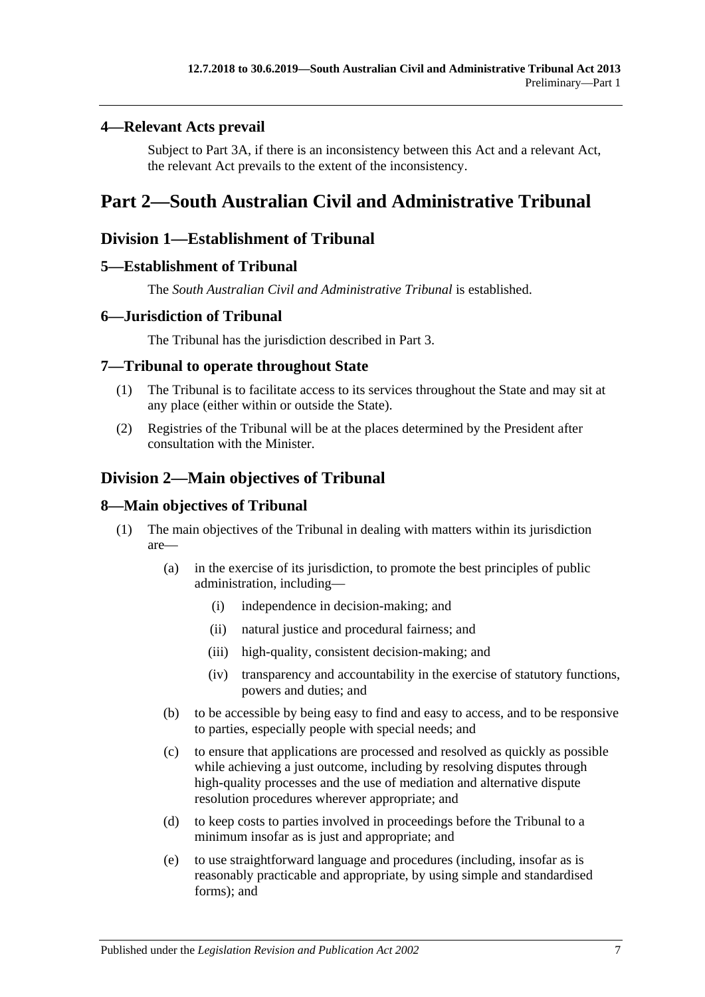### <span id="page-6-0"></span>**4—Relevant Acts prevail**

Subject to [Part 3A,](#page-25-0) if there is an inconsistency between this Act and a relevant Act, the relevant Act prevails to the extent of the inconsistency.

## <span id="page-6-1"></span>**Part 2—South Australian Civil and Administrative Tribunal**

### <span id="page-6-2"></span>**Division 1—Establishment of Tribunal**

### <span id="page-6-3"></span>**5—Establishment of Tribunal**

The *South Australian Civil and Administrative Tribunal* is established.

### <span id="page-6-4"></span>**6—Jurisdiction of Tribunal**

The Tribunal has the jurisdiction described in [Part](#page-20-1) 3.

### <span id="page-6-5"></span>**7—Tribunal to operate throughout State**

- (1) The Tribunal is to facilitate access to its services throughout the State and may sit at any place (either within or outside the State).
- (2) Registries of the Tribunal will be at the places determined by the President after consultation with the Minister.

## <span id="page-6-6"></span>**Division 2—Main objectives of Tribunal**

### <span id="page-6-7"></span>**8—Main objectives of Tribunal**

- (1) The main objectives of the Tribunal in dealing with matters within its jurisdiction are—
	- (a) in the exercise of its jurisdiction, to promote the best principles of public administration, including—
		- (i) independence in decision-making; and
		- (ii) natural justice and procedural fairness; and
		- (iii) high-quality, consistent decision-making; and
		- (iv) transparency and accountability in the exercise of statutory functions, powers and duties; and
	- (b) to be accessible by being easy to find and easy to access, and to be responsive to parties, especially people with special needs; and
	- (c) to ensure that applications are processed and resolved as quickly as possible while achieving a just outcome, including by resolving disputes through high-quality processes and the use of mediation and alternative dispute resolution procedures wherever appropriate; and
	- (d) to keep costs to parties involved in proceedings before the Tribunal to a minimum insofar as is just and appropriate; and
	- (e) to use straightforward language and procedures (including, insofar as is reasonably practicable and appropriate, by using simple and standardised forms); and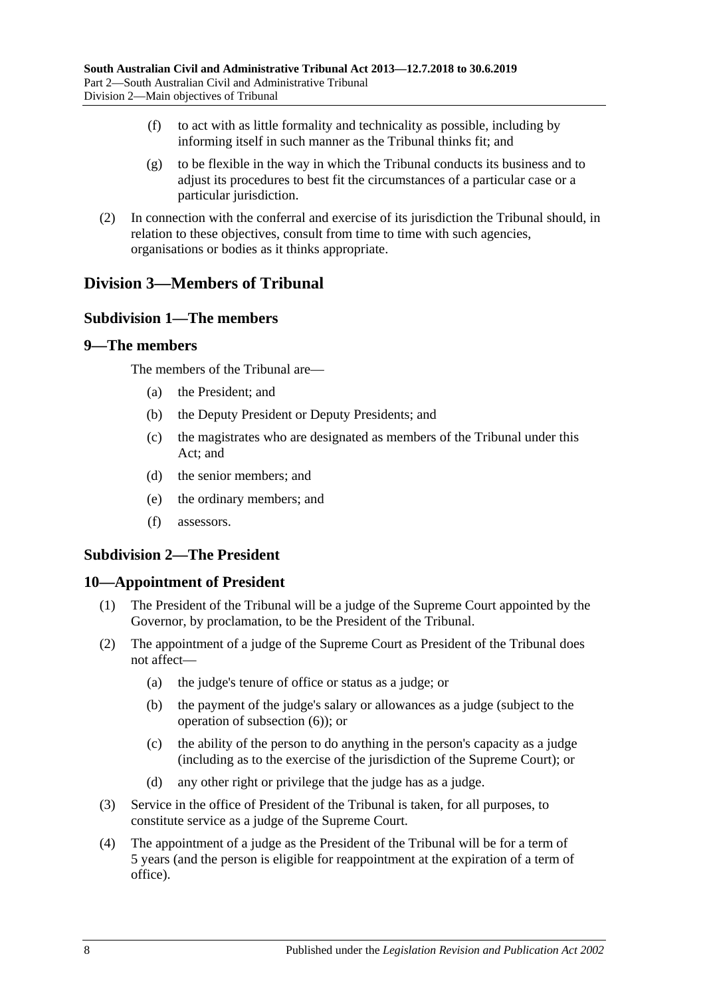- (f) to act with as little formality and technicality as possible, including by informing itself in such manner as the Tribunal thinks fit; and
- (g) to be flexible in the way in which the Tribunal conducts its business and to adjust its procedures to best fit the circumstances of a particular case or a particular jurisdiction.
- (2) In connection with the conferral and exercise of its jurisdiction the Tribunal should, in relation to these objectives, consult from time to time with such agencies, organisations or bodies as it thinks appropriate.

## <span id="page-7-1"></span><span id="page-7-0"></span>**Division 3—Members of Tribunal**

### **Subdivision 1—The members**

#### <span id="page-7-2"></span>**9—The members**

The members of the Tribunal are—

- (a) the President; and
- (b) the Deputy President or Deputy Presidents; and
- (c) the magistrates who are designated as members of the Tribunal under this Act; and
- (d) the senior members; and
- (e) the ordinary members; and
- (f) assessors.

### <span id="page-7-3"></span>**Subdivision 2—The President**

#### <span id="page-7-4"></span>**10—Appointment of President**

- (1) The President of the Tribunal will be a judge of the Supreme Court appointed by the Governor, by proclamation, to be the President of the Tribunal.
- <span id="page-7-5"></span>(2) The appointment of a judge of the Supreme Court as President of the Tribunal does not affect—
	- (a) the judge's tenure of office or status as a judge; or
	- (b) the payment of the judge's salary or allowances as a judge (subject to the operation of [subsection](#page-8-1) (6)); or
	- (c) the ability of the person to do anything in the person's capacity as a judge (including as to the exercise of the jurisdiction of the Supreme Court); or
	- (d) any other right or privilege that the judge has as a judge.
- <span id="page-7-6"></span>(3) Service in the office of President of the Tribunal is taken, for all purposes, to constitute service as a judge of the Supreme Court.
- (4) The appointment of a judge as the President of the Tribunal will be for a term of 5 years (and the person is eligible for reappointment at the expiration of a term of office).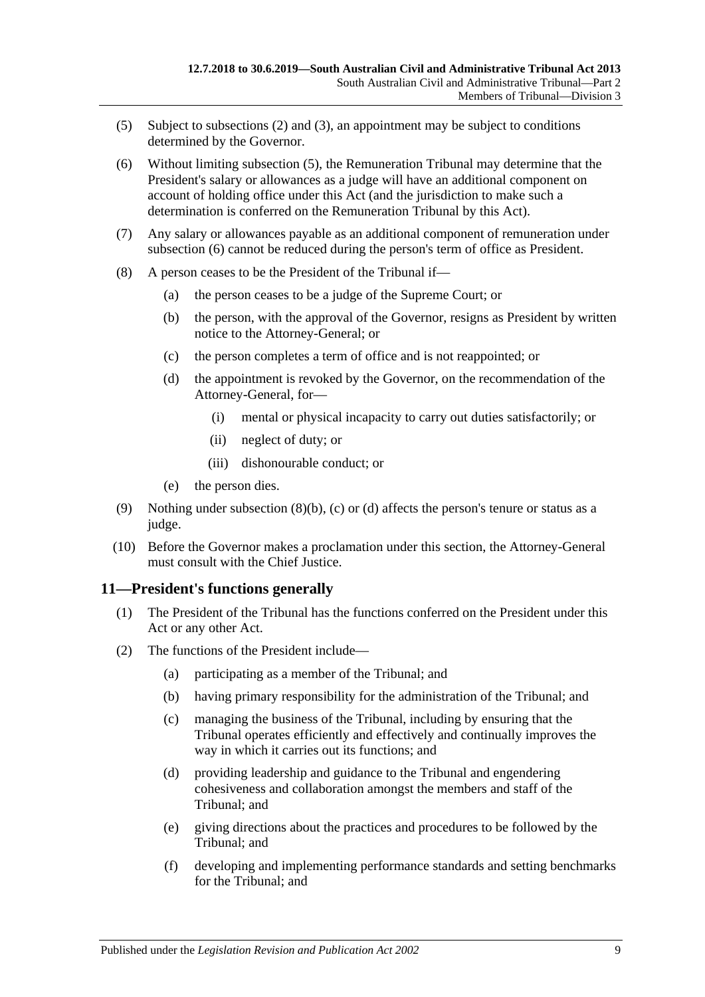- <span id="page-8-2"></span>(5) Subject to [subsections](#page-7-5) (2) and [\(3\),](#page-7-6) an appointment may be subject to conditions determined by the Governor.
- <span id="page-8-1"></span>(6) Without limiting [subsection](#page-8-2) (5), the Remuneration Tribunal may determine that the President's salary or allowances as a judge will have an additional component on account of holding office under this Act (and the jurisdiction to make such a determination is conferred on the Remuneration Tribunal by this Act).
- (7) Any salary or allowances payable as an additional component of remuneration under [subsection](#page-8-1) (6) cannot be reduced during the person's term of office as President.
- <span id="page-8-5"></span><span id="page-8-4"></span><span id="page-8-3"></span>(8) A person ceases to be the President of the Tribunal if—
	- (a) the person ceases to be a judge of the Supreme Court; or
	- (b) the person, with the approval of the Governor, resigns as President by written notice to the Attorney-General; or
	- (c) the person completes a term of office and is not reappointed; or
	- (d) the appointment is revoked by the Governor, on the recommendation of the Attorney-General, for—
		- (i) mental or physical incapacity to carry out duties satisfactorily; or
		- (ii) neglect of duty; or
		- (iii) dishonourable conduct; or
	- (e) the person dies.
- (9) Nothing under [subsection](#page-8-3) (8)(b), [\(c\)](#page-8-4) or [\(d\)](#page-8-5) affects the person's tenure or status as a judge.
- (10) Before the Governor makes a proclamation under this section, the Attorney-General must consult with the Chief Justice.

### <span id="page-8-0"></span>**11—President's functions generally**

- (1) The President of the Tribunal has the functions conferred on the President under this Act or any other Act.
- (2) The functions of the President include—
	- (a) participating as a member of the Tribunal; and
	- (b) having primary responsibility for the administration of the Tribunal; and
	- (c) managing the business of the Tribunal, including by ensuring that the Tribunal operates efficiently and effectively and continually improves the way in which it carries out its functions; and
	- (d) providing leadership and guidance to the Tribunal and engendering cohesiveness and collaboration amongst the members and staff of the Tribunal; and
	- (e) giving directions about the practices and procedures to be followed by the Tribunal; and
	- (f) developing and implementing performance standards and setting benchmarks for the Tribunal; and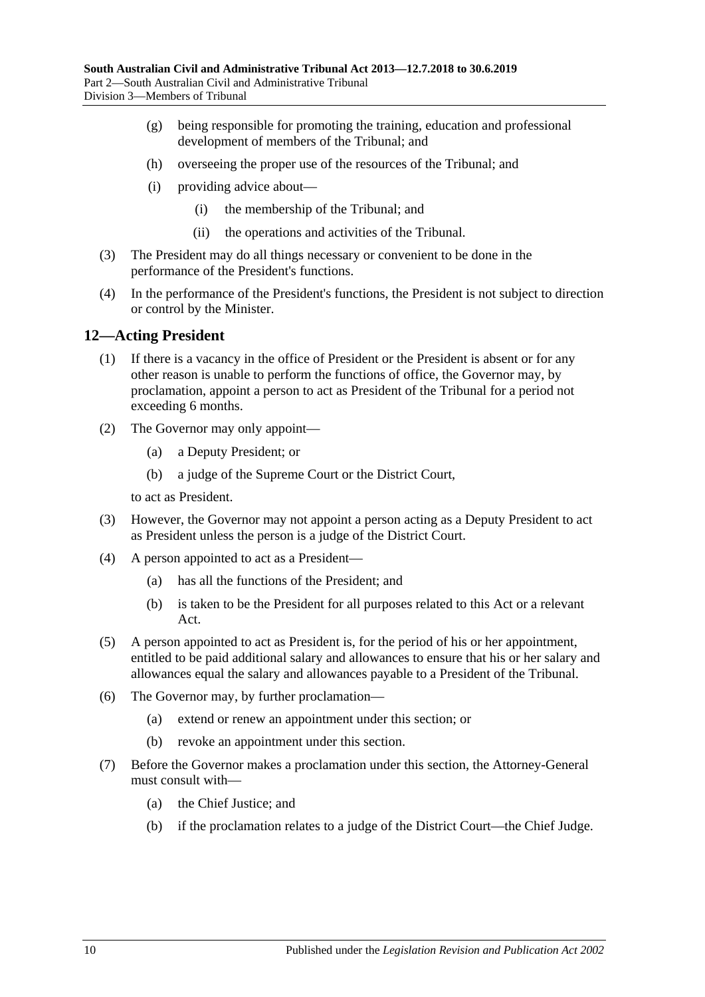- (g) being responsible for promoting the training, education and professional development of members of the Tribunal; and
- (h) overseeing the proper use of the resources of the Tribunal; and
- (i) providing advice about—
	- (i) the membership of the Tribunal; and
	- (ii) the operations and activities of the Tribunal.
- (3) The President may do all things necessary or convenient to be done in the performance of the President's functions.
- (4) In the performance of the President's functions, the President is not subject to direction or control by the Minister.

#### <span id="page-9-0"></span>**12—Acting President**

- (1) If there is a vacancy in the office of President or the President is absent or for any other reason is unable to perform the functions of office, the Governor may, by proclamation, appoint a person to act as President of the Tribunal for a period not exceeding 6 months.
- (2) The Governor may only appoint—
	- (a) a Deputy President; or
	- (b) a judge of the Supreme Court or the District Court,

to act as President.

- (3) However, the Governor may not appoint a person acting as a Deputy President to act as President unless the person is a judge of the District Court.
- (4) A person appointed to act as a President—
	- (a) has all the functions of the President; and
	- (b) is taken to be the President for all purposes related to this Act or a relevant Act.
- (5) A person appointed to act as President is, for the period of his or her appointment, entitled to be paid additional salary and allowances to ensure that his or her salary and allowances equal the salary and allowances payable to a President of the Tribunal.
- (6) The Governor may, by further proclamation—
	- (a) extend or renew an appointment under this section; or
	- (b) revoke an appointment under this section.
- (7) Before the Governor makes a proclamation under this section, the Attorney-General must consult with—
	- (a) the Chief Justice; and
	- (b) if the proclamation relates to a judge of the District Court—the Chief Judge.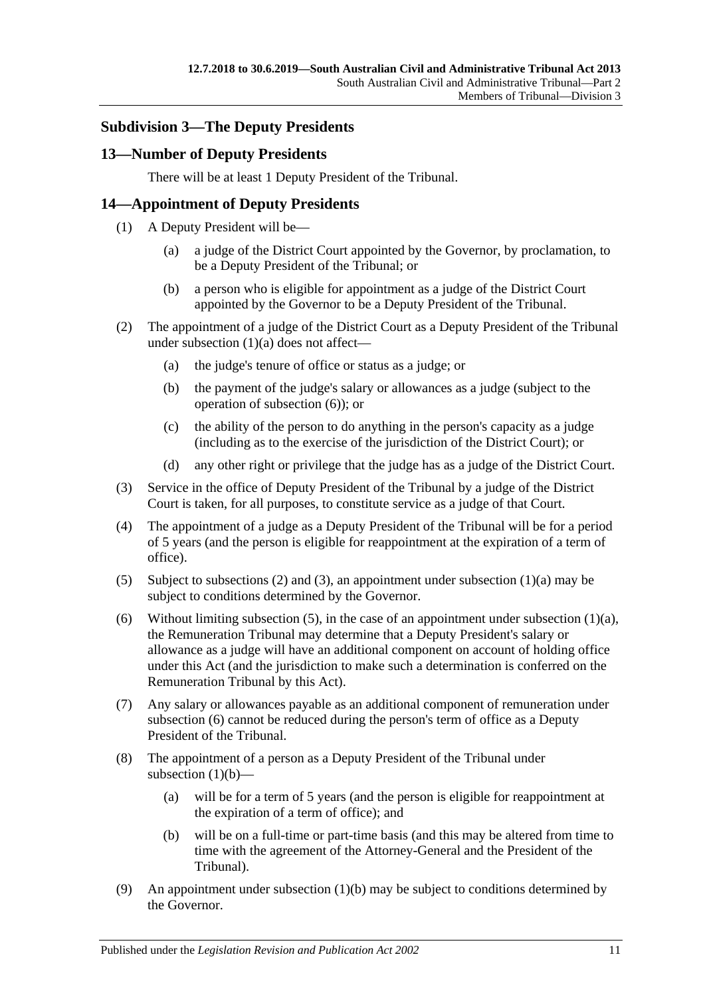### <span id="page-10-0"></span>**Subdivision 3—The Deputy Presidents**

### <span id="page-10-1"></span>**13—Number of Deputy Presidents**

There will be at least 1 Deputy President of the Tribunal.

### <span id="page-10-2"></span>**14—Appointment of Deputy Presidents**

- <span id="page-10-3"></span>(1) A Deputy President will be—
	- (a) a judge of the District Court appointed by the Governor, by proclamation, to be a Deputy President of the Tribunal; or
	- (b) a person who is eligible for appointment as a judge of the District Court appointed by the Governor to be a Deputy President of the Tribunal.
- <span id="page-10-8"></span><span id="page-10-5"></span>(2) The appointment of a judge of the District Court as a Deputy President of the Tribunal under [subsection](#page-10-3) (1)(a) does not affect—
	- (a) the judge's tenure of office or status as a judge; or
	- (b) the payment of the judge's salary or allowances as a judge (subject to the operation of [subsection](#page-10-4) (6)); or
	- (c) the ability of the person to do anything in the person's capacity as a judge (including as to the exercise of the jurisdiction of the District Court); or
	- (d) any other right or privilege that the judge has as a judge of the District Court.
- <span id="page-10-6"></span>(3) Service in the office of Deputy President of the Tribunal by a judge of the District Court is taken, for all purposes, to constitute service as a judge of that Court.
- (4) The appointment of a judge as a Deputy President of the Tribunal will be for a period of 5 years (and the person is eligible for reappointment at the expiration of a term of office).
- <span id="page-10-7"></span>(5) Subject to [subsections \(2\)](#page-10-5) and [\(3\),](#page-10-6) an appointment under [subsection](#page-10-3)  $(1)(a)$  may be subject to conditions determined by the Governor.
- <span id="page-10-4"></span>(6) Without limiting [subsection](#page-10-3) (5), in the case of an appointment under subsection  $(1)(a)$ , the Remuneration Tribunal may determine that a Deputy President's salary or allowance as a judge will have an additional component on account of holding office under this Act (and the jurisdiction to make such a determination is conferred on the Remuneration Tribunal by this Act).
- (7) Any salary or allowances payable as an additional component of remuneration under [subsection](#page-10-4) (6) cannot be reduced during the person's term of office as a Deputy President of the Tribunal.
- (8) The appointment of a person as a Deputy President of the Tribunal under [subsection](#page-10-8)  $(1)(b)$ —
	- (a) will be for a term of 5 years (and the person is eligible for reappointment at the expiration of a term of office); and
	- (b) will be on a full-time or part-time basis (and this may be altered from time to time with the agreement of the Attorney-General and the President of the Tribunal).
- <span id="page-10-10"></span><span id="page-10-9"></span>(9) An appointment under [subsection](#page-10-8)  $(1)(b)$  may be subject to conditions determined by the Governor.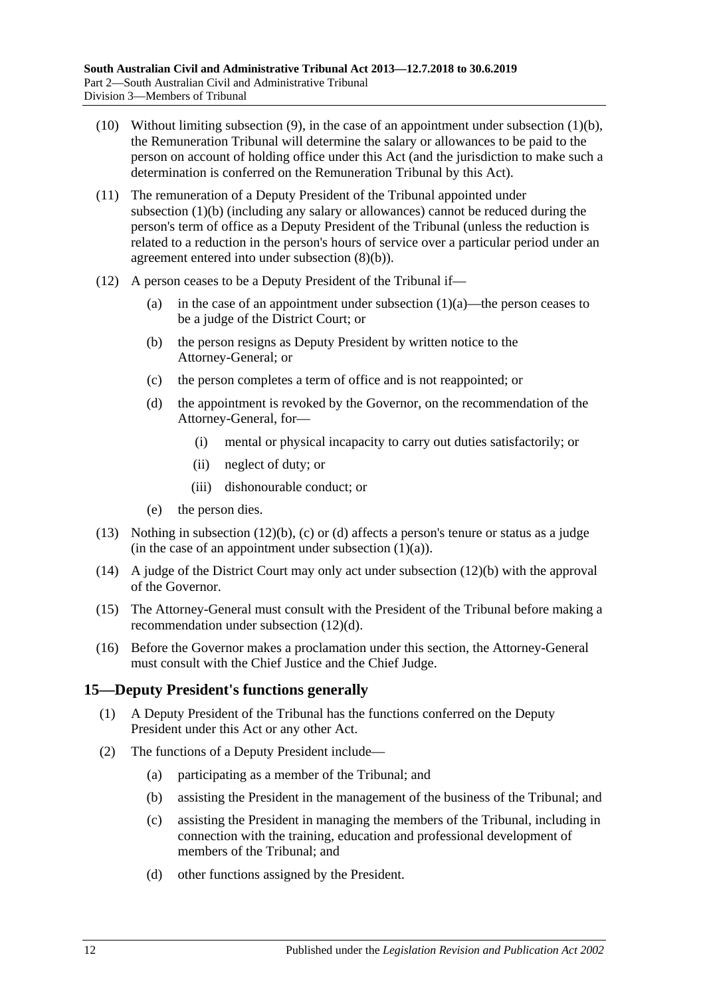- (10) Without limiting [subsection](#page-10-9) (9), in the case of an appointment under [subsection](#page-10-8) (1)(b), the Remuneration Tribunal will determine the salary or allowances to be paid to the person on account of holding office under this Act (and the jurisdiction to make such a determination is conferred on the Remuneration Tribunal by this Act).
- (11) The remuneration of a Deputy President of the Tribunal appointed under [subsection](#page-10-8) (1)(b) (including any salary or allowances) cannot be reduced during the person's term of office as a Deputy President of the Tribunal (unless the reduction is related to a reduction in the person's hours of service over a particular period under an agreement entered into under [subsection](#page-10-10) (8)(b)).
- <span id="page-11-3"></span><span id="page-11-2"></span><span id="page-11-1"></span>(12) A person ceases to be a Deputy President of the Tribunal if
	- (a) in the case of an appointment under [subsection](#page-10-3)  $(1)(a)$ —the person ceases to be a judge of the District Court; or
	- (b) the person resigns as Deputy President by written notice to the Attorney-General; or
	- (c) the person completes a term of office and is not reappointed; or
	- (d) the appointment is revoked by the Governor, on the recommendation of the Attorney-General, for—
		- (i) mental or physical incapacity to carry out duties satisfactorily; or
		- (ii) neglect of duty; or
		- (iii) dishonourable conduct; or
	- (e) the person dies.
- (13) Nothing in [subsection](#page-11-1) (12)(b), [\(c\)](#page-11-2) or [\(d\)](#page-11-3) affects a person's tenure or status as a judge (in the case of an appointment under [subsection](#page-10-3)  $(1)(a)$ ).
- (14) A judge of the District Court may only act under [subsection](#page-11-1) (12)(b) with the approval of the Governor.
- (15) The Attorney-General must consult with the President of the Tribunal before making a recommendation under [subsection](#page-11-3) (12)(d).
- (16) Before the Governor makes a proclamation under this section, the Attorney-General must consult with the Chief Justice and the Chief Judge.

### <span id="page-11-0"></span>**15—Deputy President's functions generally**

- (1) A Deputy President of the Tribunal has the functions conferred on the Deputy President under this Act or any other Act.
- (2) The functions of a Deputy President include—
	- (a) participating as a member of the Tribunal; and
	- (b) assisting the President in the management of the business of the Tribunal; and
	- (c) assisting the President in managing the members of the Tribunal, including in connection with the training, education and professional development of members of the Tribunal; and
	- (d) other functions assigned by the President.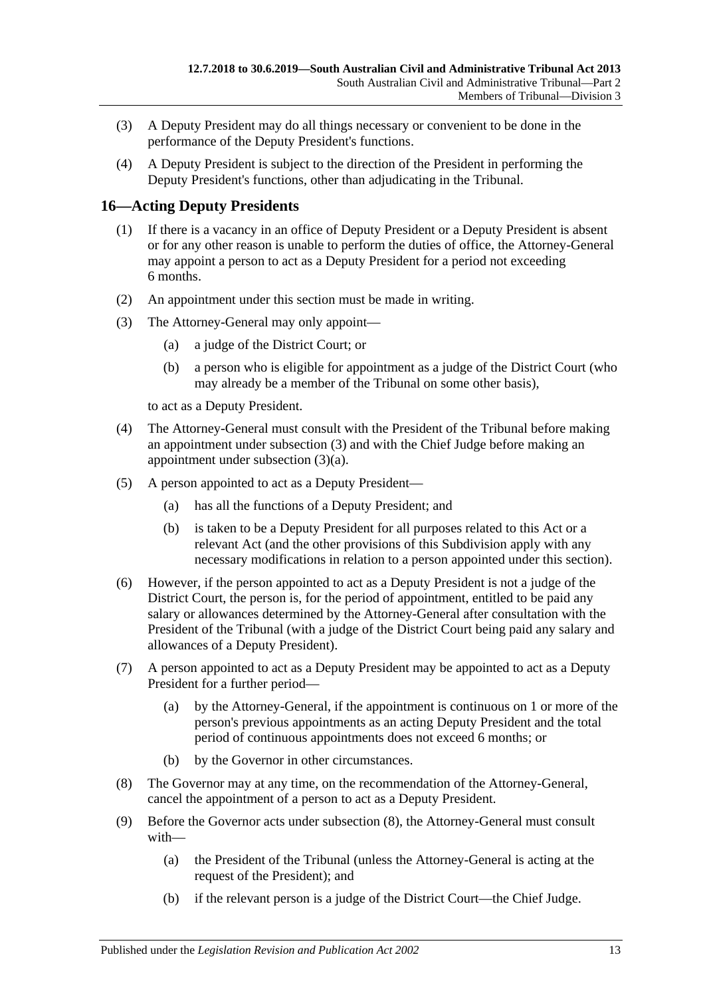- (3) A Deputy President may do all things necessary or convenient to be done in the performance of the Deputy President's functions.
- (4) A Deputy President is subject to the direction of the President in performing the Deputy President's functions, other than adjudicating in the Tribunal.

### <span id="page-12-0"></span>**16—Acting Deputy Presidents**

- (1) If there is a vacancy in an office of Deputy President or a Deputy President is absent or for any other reason is unable to perform the duties of office, the Attorney-General may appoint a person to act as a Deputy President for a period not exceeding 6 months.
- (2) An appointment under this section must be made in writing.
- <span id="page-12-2"></span><span id="page-12-1"></span>(3) The Attorney-General may only appoint—
	- (a) a judge of the District Court; or
	- (b) a person who is eligible for appointment as a judge of the District Court (who may already be a member of the Tribunal on some other basis),

to act as a Deputy President.

- (4) The Attorney-General must consult with the President of the Tribunal before making an appointment under [subsection](#page-12-1) (3) and with the Chief Judge before making an appointment under [subsection](#page-12-2) (3)(a).
- (5) A person appointed to act as a Deputy President—
	- (a) has all the functions of a Deputy President; and
	- (b) is taken to be a Deputy President for all purposes related to this Act or a relevant Act (and the other provisions of this Subdivision apply with any necessary modifications in relation to a person appointed under this section).
- (6) However, if the person appointed to act as a Deputy President is not a judge of the District Court, the person is, for the period of appointment, entitled to be paid any salary or allowances determined by the Attorney-General after consultation with the President of the Tribunal (with a judge of the District Court being paid any salary and allowances of a Deputy President).
- (7) A person appointed to act as a Deputy President may be appointed to act as a Deputy President for a further period—
	- (a) by the Attorney-General, if the appointment is continuous on 1 or more of the person's previous appointments as an acting Deputy President and the total period of continuous appointments does not exceed 6 months; or
	- (b) by the Governor in other circumstances.
- <span id="page-12-3"></span>(8) The Governor may at any time, on the recommendation of the Attorney-General, cancel the appointment of a person to act as a Deputy President.
- (9) Before the Governor acts under [subsection](#page-12-3) (8), the Attorney-General must consult with—
	- (a) the President of the Tribunal (unless the Attorney-General is acting at the request of the President); and
	- (b) if the relevant person is a judge of the District Court—the Chief Judge.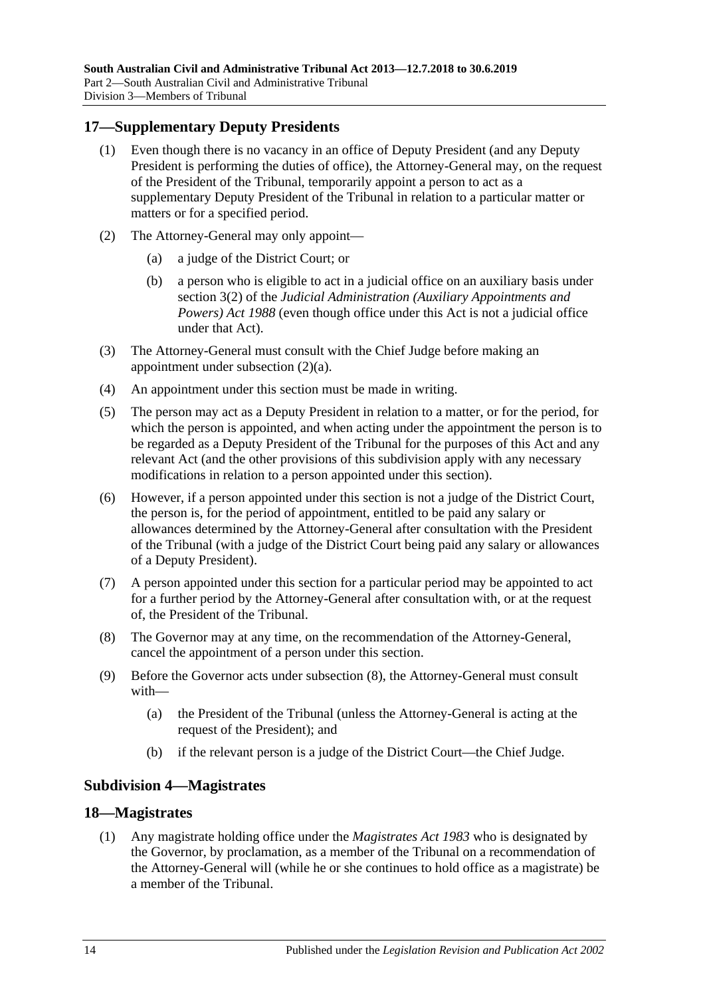### <span id="page-13-0"></span>**17—Supplementary Deputy Presidents**

- (1) Even though there is no vacancy in an office of Deputy President (and any Deputy President is performing the duties of office), the Attorney-General may, on the request of the President of the Tribunal, temporarily appoint a person to act as a supplementary Deputy President of the Tribunal in relation to a particular matter or matters or for a specified period.
- <span id="page-13-3"></span>(2) The Attorney-General may only appoint—
	- (a) a judge of the District Court; or
	- (b) a person who is eligible to act in a judicial office on an auxiliary basis under section 3(2) of the *[Judicial Administration \(Auxiliary Appointments and](http://www.legislation.sa.gov.au/index.aspx?action=legref&type=act&legtitle=Judicial%20Administration%20(Auxiliary%20Appointments%20and%20Powers)%20Act%201988)  [Powers\) Act](http://www.legislation.sa.gov.au/index.aspx?action=legref&type=act&legtitle=Judicial%20Administration%20(Auxiliary%20Appointments%20and%20Powers)%20Act%201988) 1988* (even though office under this Act is not a judicial office under that Act).
- (3) The Attorney-General must consult with the Chief Judge before making an appointment under [subsection](#page-13-3) (2)(a).
- (4) An appointment under this section must be made in writing.
- (5) The person may act as a Deputy President in relation to a matter, or for the period, for which the person is appointed, and when acting under the appointment the person is to be regarded as a Deputy President of the Tribunal for the purposes of this Act and any relevant Act (and the other provisions of this subdivision apply with any necessary modifications in relation to a person appointed under this section).
- (6) However, if a person appointed under this section is not a judge of the District Court, the person is, for the period of appointment, entitled to be paid any salary or allowances determined by the Attorney-General after consultation with the President of the Tribunal (with a judge of the District Court being paid any salary or allowances of a Deputy President).
- (7) A person appointed under this section for a particular period may be appointed to act for a further period by the Attorney-General after consultation with, or at the request of, the President of the Tribunal.
- <span id="page-13-4"></span>(8) The Governor may at any time, on the recommendation of the Attorney-General, cancel the appointment of a person under this section.
- (9) Before the Governor acts under [subsection](#page-13-4) (8), the Attorney-General must consult with—
	- (a) the President of the Tribunal (unless the Attorney-General is acting at the request of the President); and
	- (b) if the relevant person is a judge of the District Court—the Chief Judge.

### <span id="page-13-1"></span>**Subdivision 4—Magistrates**

#### <span id="page-13-5"></span><span id="page-13-2"></span>**18—Magistrates**

(1) Any magistrate holding office under the *[Magistrates Act](http://www.legislation.sa.gov.au/index.aspx?action=legref&type=act&legtitle=Magistrates%20Act%201983) 1983* who is designated by the Governor, by proclamation, as a member of the Tribunal on a recommendation of the Attorney-General will (while he or she continues to hold office as a magistrate) be a member of the Tribunal.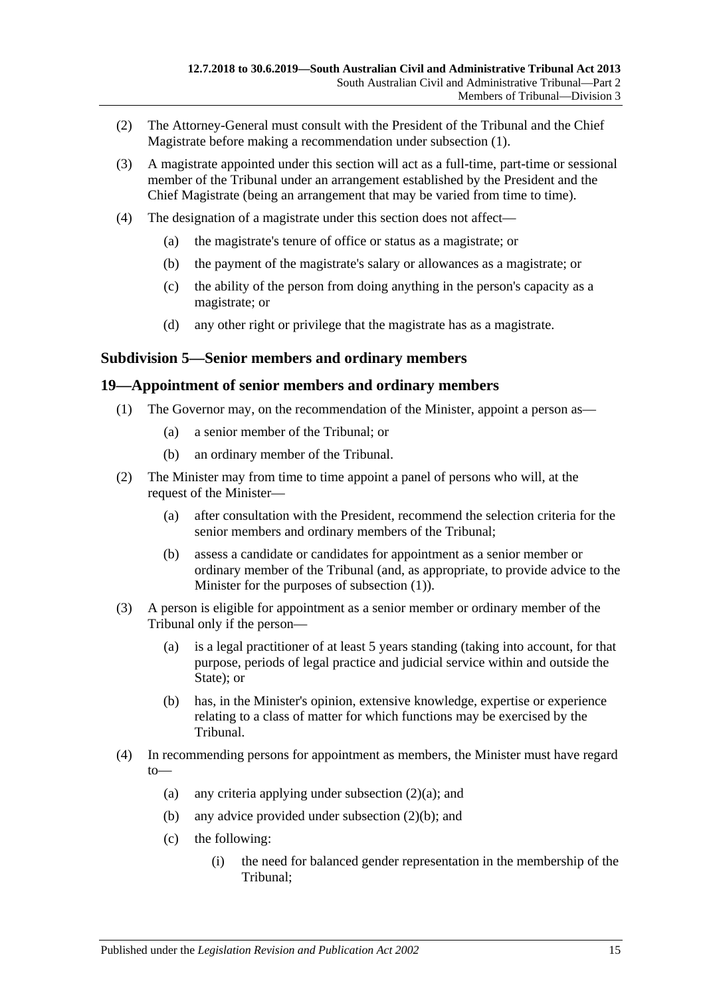- (2) The Attorney-General must consult with the President of the Tribunal and the Chief Magistrate before making a recommendation under [subsection](#page-13-5) (1).
- (3) A magistrate appointed under this section will act as a full-time, part-time or sessional member of the Tribunal under an arrangement established by the President and the Chief Magistrate (being an arrangement that may be varied from time to time).
- (4) The designation of a magistrate under this section does not affect—
	- (a) the magistrate's tenure of office or status as a magistrate; or
	- (b) the payment of the magistrate's salary or allowances as a magistrate; or
	- (c) the ability of the person from doing anything in the person's capacity as a magistrate; or
	- (d) any other right or privilege that the magistrate has as a magistrate.

#### <span id="page-14-0"></span>**Subdivision 5—Senior members and ordinary members**

#### <span id="page-14-2"></span><span id="page-14-1"></span>**19—Appointment of senior members and ordinary members**

- (1) The Governor may, on the recommendation of the Minister, appoint a person as—
	- (a) a senior member of the Tribunal; or
	- (b) an ordinary member of the Tribunal.
- <span id="page-14-5"></span><span id="page-14-3"></span>(2) The Minister may from time to time appoint a panel of persons who will, at the request of the Minister—
	- (a) after consultation with the President, recommend the selection criteria for the senior members and ordinary members of the Tribunal;
	- (b) assess a candidate or candidates for appointment as a senior member or ordinary member of the Tribunal (and, as appropriate, to provide advice to the Minister for the purposes of [subsection](#page-14-2) (1)).
- <span id="page-14-4"></span>(3) A person is eligible for appointment as a senior member or ordinary member of the Tribunal only if the person—
	- (a) is a legal practitioner of at least 5 years standing (taking into account, for that purpose, periods of legal practice and judicial service within and outside the State); or
	- (b) has, in the Minister's opinion, extensive knowledge, expertise or experience relating to a class of matter for which functions may be exercised by the Tribunal.
- (4) In recommending persons for appointment as members, the Minister must have regard to
	- (a) any criteria applying under [subsection](#page-14-3)  $(2)(a)$ ; and
	- (b) any advice provided under [subsection](#page-14-4) (2)(b); and
	- (c) the following:
		- (i) the need for balanced gender representation in the membership of the Tribunal;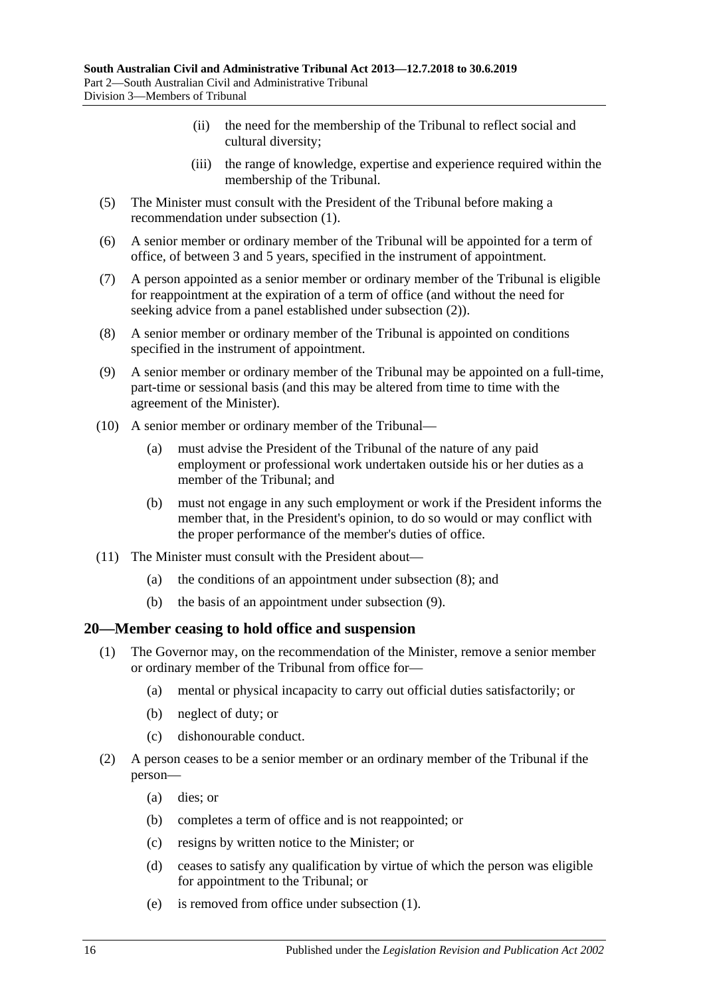- (ii) the need for the membership of the Tribunal to reflect social and cultural diversity;
- (iii) the range of knowledge, expertise and experience required within the membership of the Tribunal.
- (5) The Minister must consult with the President of the Tribunal before making a recommendation under [subsection](#page-14-2) (1).
- (6) A senior member or ordinary member of the Tribunal will be appointed for a term of office, of between 3 and 5 years, specified in the instrument of appointment.
- (7) A person appointed as a senior member or ordinary member of the Tribunal is eligible for reappointment at the expiration of a term of office (and without the need for seeking advice from a panel established under [subsection](#page-14-5) (2)).
- <span id="page-15-1"></span>(8) A senior member or ordinary member of the Tribunal is appointed on conditions specified in the instrument of appointment.
- <span id="page-15-2"></span>(9) A senior member or ordinary member of the Tribunal may be appointed on a full-time, part-time or sessional basis (and this may be altered from time to time with the agreement of the Minister).
- (10) A senior member or ordinary member of the Tribunal—
	- (a) must advise the President of the Tribunal of the nature of any paid employment or professional work undertaken outside his or her duties as a member of the Tribunal; and
	- (b) must not engage in any such employment or work if the President informs the member that, in the President's opinion, to do so would or may conflict with the proper performance of the member's duties of office.
- (11) The Minister must consult with the President about—
	- (a) the conditions of an appointment under [subsection](#page-15-1) (8); and
	- (b) the basis of an appointment under [subsection](#page-15-2) (9).

#### <span id="page-15-3"></span><span id="page-15-0"></span>**20—Member ceasing to hold office and suspension**

- (1) The Governor may, on the recommendation of the Minister, remove a senior member or ordinary member of the Tribunal from office for—
	- (a) mental or physical incapacity to carry out official duties satisfactorily; or
	- (b) neglect of duty; or
	- (c) dishonourable conduct.
- (2) A person ceases to be a senior member or an ordinary member of the Tribunal if the person—
	- (a) dies; or
	- (b) completes a term of office and is not reappointed; or
	- (c) resigns by written notice to the Minister; or
	- (d) ceases to satisfy any qualification by virtue of which the person was eligible for appointment to the Tribunal; or
	- (e) is removed from office under [subsection](#page-15-3) (1).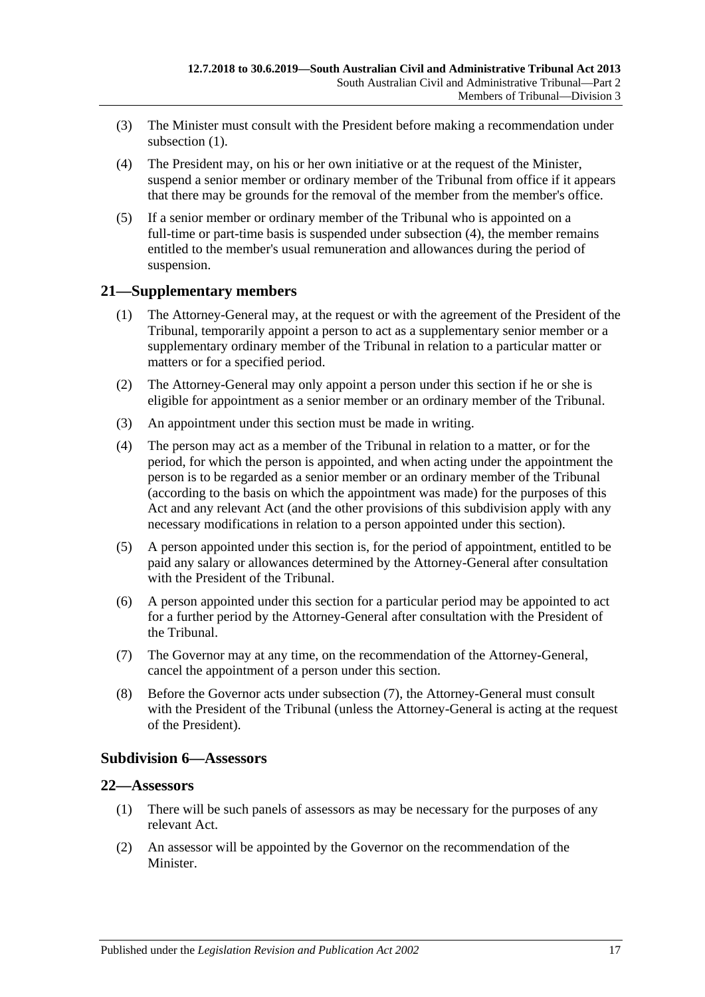- (3) The Minister must consult with the President before making a recommendation under [subsection](#page-15-3) (1).
- <span id="page-16-3"></span>(4) The President may, on his or her own initiative or at the request of the Minister, suspend a senior member or ordinary member of the Tribunal from office if it appears that there may be grounds for the removal of the member from the member's office.
- (5) If a senior member or ordinary member of the Tribunal who is appointed on a full-time or part-time basis is suspended under [subsection](#page-16-3) (4), the member remains entitled to the member's usual remuneration and allowances during the period of suspension.

### <span id="page-16-0"></span>**21—Supplementary members**

- (1) The Attorney-General may, at the request or with the agreement of the President of the Tribunal, temporarily appoint a person to act as a supplementary senior member or a supplementary ordinary member of the Tribunal in relation to a particular matter or matters or for a specified period.
- (2) The Attorney-General may only appoint a person under this section if he or she is eligible for appointment as a senior member or an ordinary member of the Tribunal.
- (3) An appointment under this section must be made in writing.
- (4) The person may act as a member of the Tribunal in relation to a matter, or for the period, for which the person is appointed, and when acting under the appointment the person is to be regarded as a senior member or an ordinary member of the Tribunal (according to the basis on which the appointment was made) for the purposes of this Act and any relevant Act (and the other provisions of this subdivision apply with any necessary modifications in relation to a person appointed under this section).
- (5) A person appointed under this section is, for the period of appointment, entitled to be paid any salary or allowances determined by the Attorney-General after consultation with the President of the Tribunal.
- (6) A person appointed under this section for a particular period may be appointed to act for a further period by the Attorney-General after consultation with the President of the Tribunal.
- <span id="page-16-4"></span>(7) The Governor may at any time, on the recommendation of the Attorney-General, cancel the appointment of a person under this section.
- (8) Before the Governor acts under [subsection](#page-16-4) (7), the Attorney-General must consult with the President of the Tribunal (unless the Attorney-General is acting at the request of the President).

#### <span id="page-16-1"></span>**Subdivision 6—Assessors**

### <span id="page-16-2"></span>**22—Assessors**

- (1) There will be such panels of assessors as may be necessary for the purposes of any relevant Act.
- <span id="page-16-5"></span>(2) An assessor will be appointed by the Governor on the recommendation of the Minister.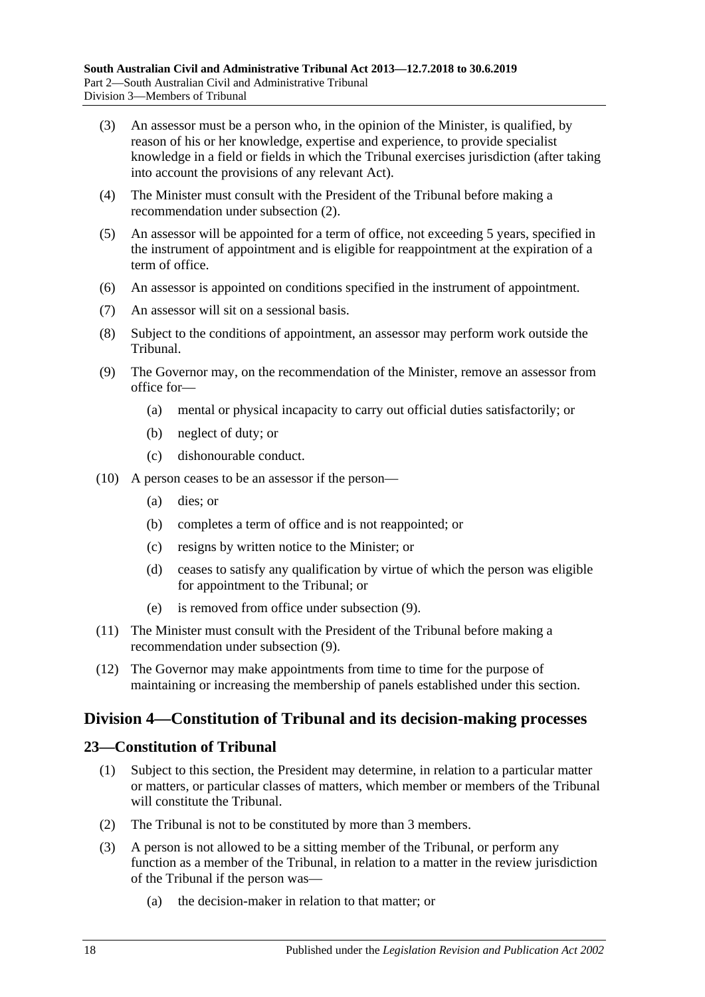- (3) An assessor must be a person who, in the opinion of the Minister, is qualified, by reason of his or her knowledge, expertise and experience, to provide specialist knowledge in a field or fields in which the Tribunal exercises jurisdiction (after taking into account the provisions of any relevant Act).
- (4) The Minister must consult with the President of the Tribunal before making a recommendation under [subsection](#page-16-5) (2).
- (5) An assessor will be appointed for a term of office, not exceeding 5 years, specified in the instrument of appointment and is eligible for reappointment at the expiration of a term of office.
- (6) An assessor is appointed on conditions specified in the instrument of appointment.
- (7) An assessor will sit on a sessional basis.
- (8) Subject to the conditions of appointment, an assessor may perform work outside the Tribunal.
- <span id="page-17-2"></span>(9) The Governor may, on the recommendation of the Minister, remove an assessor from office for—
	- (a) mental or physical incapacity to carry out official duties satisfactorily; or
	- (b) neglect of duty; or
	- (c) dishonourable conduct.
- (10) A person ceases to be an assessor if the person—
	- (a) dies; or
	- (b) completes a term of office and is not reappointed; or
	- (c) resigns by written notice to the Minister; or
	- (d) ceases to satisfy any qualification by virtue of which the person was eligible for appointment to the Tribunal; or
	- (e) is removed from office under [subsection](#page-17-2) (9).
- (11) The Minister must consult with the President of the Tribunal before making a recommendation under [subsection](#page-17-2) (9).
- (12) The Governor may make appointments from time to time for the purpose of maintaining or increasing the membership of panels established under this section.

### <span id="page-17-0"></span>**Division 4—Constitution of Tribunal and its decision-making processes**

#### <span id="page-17-1"></span>**23—Constitution of Tribunal**

- (1) Subject to this section, the President may determine, in relation to a particular matter or matters, or particular classes of matters, which member or members of the Tribunal will constitute the Tribunal.
- (2) The Tribunal is not to be constituted by more than 3 members.
- (3) A person is not allowed to be a sitting member of the Tribunal, or perform any function as a member of the Tribunal, in relation to a matter in the review jurisdiction of the Tribunal if the person was—
	- (a) the decision-maker in relation to that matter; or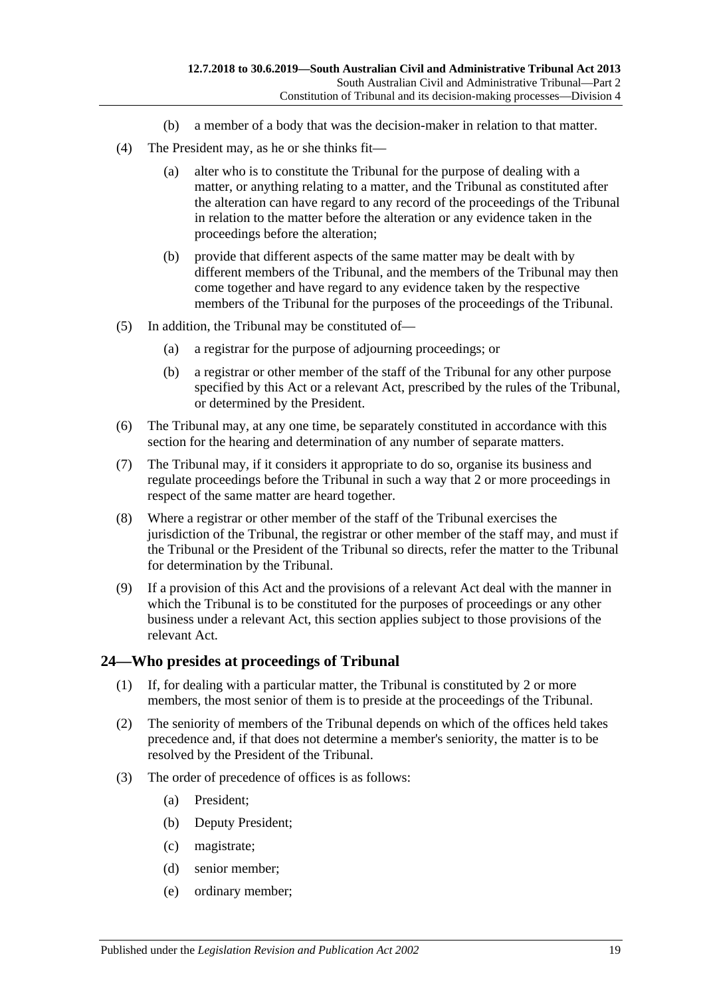- (b) a member of a body that was the decision-maker in relation to that matter.
- (4) The President may, as he or she thinks fit—
	- (a) alter who is to constitute the Tribunal for the purpose of dealing with a matter, or anything relating to a matter, and the Tribunal as constituted after the alteration can have regard to any record of the proceedings of the Tribunal in relation to the matter before the alteration or any evidence taken in the proceedings before the alteration;
	- (b) provide that different aspects of the same matter may be dealt with by different members of the Tribunal, and the members of the Tribunal may then come together and have regard to any evidence taken by the respective members of the Tribunal for the purposes of the proceedings of the Tribunal.
- (5) In addition, the Tribunal may be constituted of—
	- (a) a registrar for the purpose of adjourning proceedings; or
	- (b) a registrar or other member of the staff of the Tribunal for any other purpose specified by this Act or a relevant Act, prescribed by the rules of the Tribunal, or determined by the President.
- (6) The Tribunal may, at any one time, be separately constituted in accordance with this section for the hearing and determination of any number of separate matters.
- (7) The Tribunal may, if it considers it appropriate to do so, organise its business and regulate proceedings before the Tribunal in such a way that 2 or more proceedings in respect of the same matter are heard together.
- (8) Where a registrar or other member of the staff of the Tribunal exercises the jurisdiction of the Tribunal, the registrar or other member of the staff may, and must if the Tribunal or the President of the Tribunal so directs, refer the matter to the Tribunal for determination by the Tribunal.
- (9) If a provision of this Act and the provisions of a relevant Act deal with the manner in which the Tribunal is to be constituted for the purposes of proceedings or any other business under a relevant Act, this section applies subject to those provisions of the relevant Act.

#### <span id="page-18-0"></span>**24—Who presides at proceedings of Tribunal**

- (1) If, for dealing with a particular matter, the Tribunal is constituted by 2 or more members, the most senior of them is to preside at the proceedings of the Tribunal.
- (2) The seniority of members of the Tribunal depends on which of the offices held takes precedence and, if that does not determine a member's seniority, the matter is to be resolved by the President of the Tribunal.
- (3) The order of precedence of offices is as follows:
	- (a) President;
	- (b) Deputy President;
	- (c) magistrate;
	- (d) senior member;
	- (e) ordinary member;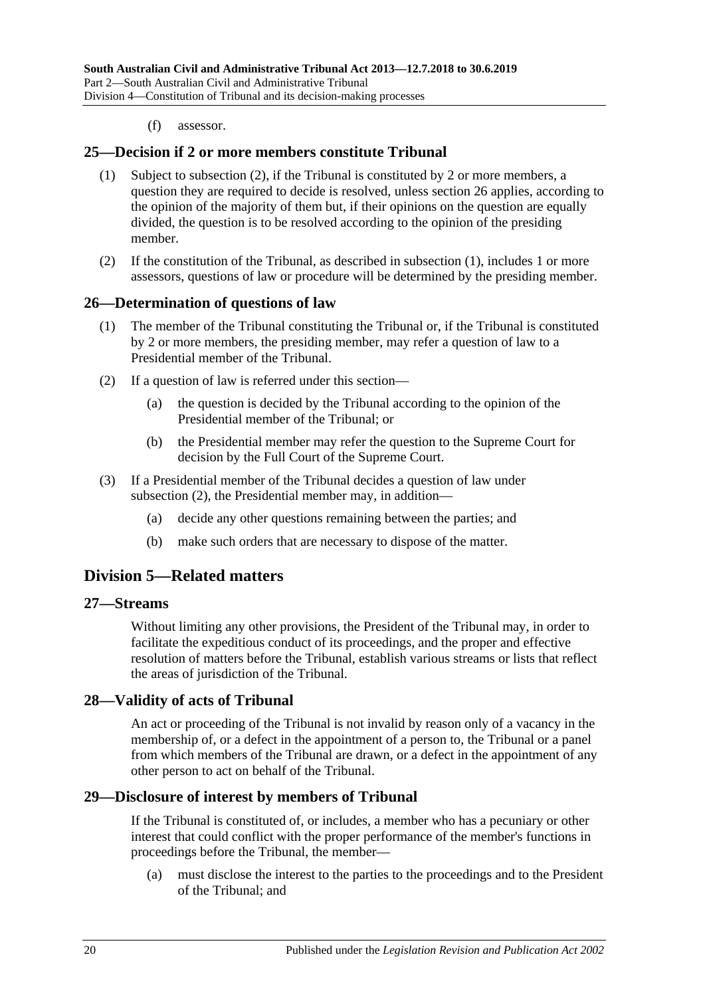(f) assessor.

#### <span id="page-19-7"></span><span id="page-19-0"></span>**25—Decision if 2 or more members constitute Tribunal**

- (1) Subject to [subsection](#page-19-6) (2), if the Tribunal is constituted by 2 or more members, a question they are required to decide is resolved, unless [section](#page-19-1) 26 applies, according to the opinion of the majority of them but, if their opinions on the question are equally divided, the question is to be resolved according to the opinion of the presiding member.
- <span id="page-19-6"></span>(2) If the constitution of the Tribunal, as described in [subsection](#page-19-7) (1), includes 1 or more assessors, questions of law or procedure will be determined by the presiding member.

#### <span id="page-19-1"></span>**26—Determination of questions of law**

- (1) The member of the Tribunal constituting the Tribunal or, if the Tribunal is constituted by 2 or more members, the presiding member, may refer a question of law to a Presidential member of the Tribunal.
- <span id="page-19-8"></span>(2) If a question of law is referred under this section—
	- (a) the question is decided by the Tribunal according to the opinion of the Presidential member of the Tribunal; or
	- (b) the Presidential member may refer the question to the Supreme Court for decision by the Full Court of the Supreme Court.
- (3) If a Presidential member of the Tribunal decides a question of law under [subsection](#page-19-8) (2), the Presidential member may, in addition—
	- (a) decide any other questions remaining between the parties; and
	- (b) make such orders that are necessary to dispose of the matter.

### <span id="page-19-2"></span>**Division 5—Related matters**

#### <span id="page-19-3"></span>**27—Streams**

Without limiting any other provisions, the President of the Tribunal may, in order to facilitate the expeditious conduct of its proceedings, and the proper and effective resolution of matters before the Tribunal, establish various streams or lists that reflect the areas of jurisdiction of the Tribunal.

#### <span id="page-19-4"></span>**28—Validity of acts of Tribunal**

An act or proceeding of the Tribunal is not invalid by reason only of a vacancy in the membership of, or a defect in the appointment of a person to, the Tribunal or a panel from which members of the Tribunal are drawn, or a defect in the appointment of any other person to act on behalf of the Tribunal.

#### <span id="page-19-5"></span>**29—Disclosure of interest by members of Tribunal**

If the Tribunal is constituted of, or includes, a member who has a pecuniary or other interest that could conflict with the proper performance of the member's functions in proceedings before the Tribunal, the member—

(a) must disclose the interest to the parties to the proceedings and to the President of the Tribunal; and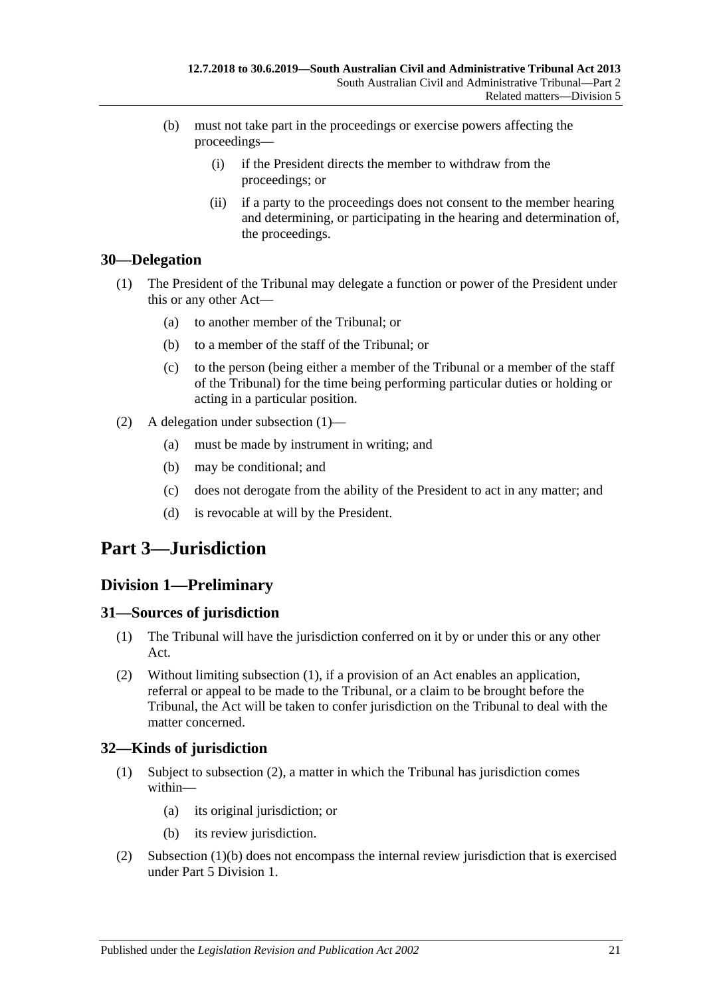- (b) must not take part in the proceedings or exercise powers affecting the proceedings—
	- (i) if the President directs the member to withdraw from the proceedings; or
	- (ii) if a party to the proceedings does not consent to the member hearing and determining, or participating in the hearing and determination of, the proceedings.

### <span id="page-20-5"></span><span id="page-20-0"></span>**30—Delegation**

- (1) The President of the Tribunal may delegate a function or power of the President under this or any other Act—
	- (a) to another member of the Tribunal; or
	- (b) to a member of the staff of the Tribunal; or
	- (c) to the person (being either a member of the Tribunal or a member of the staff of the Tribunal) for the time being performing particular duties or holding or acting in a particular position.
- (2) A delegation under [subsection](#page-20-5) (1)—
	- (a) must be made by instrument in writing; and
	- (b) may be conditional; and
	- (c) does not derogate from the ability of the President to act in any matter; and
	- (d) is revocable at will by the President.

## <span id="page-20-1"></span>**Part 3—Jurisdiction**

### <span id="page-20-2"></span>**Division 1—Preliminary**

### <span id="page-20-6"></span><span id="page-20-3"></span>**31—Sources of jurisdiction**

- (1) The Tribunal will have the jurisdiction conferred on it by or under this or any other Act.
- (2) Without limiting [subsection](#page-20-6) (1), if a provision of an Act enables an application, referral or appeal to be made to the Tribunal, or a claim to be brought before the Tribunal, the Act will be taken to confer jurisdiction on the Tribunal to deal with the matter concerned.

### <span id="page-20-4"></span>**32—Kinds of jurisdiction**

- (1) Subject to [subsection](#page-20-7) (2), a matter in which the Tribunal has jurisdiction comes within—
	- (a) its original jurisdiction; or
	- (b) its review jurisdiction.
- <span id="page-20-8"></span><span id="page-20-7"></span>(2) [Subsection](#page-20-8) (1)(b) does not encompass the internal review jurisdiction that is exercised under Part [5 Division](#page-41-5) 1.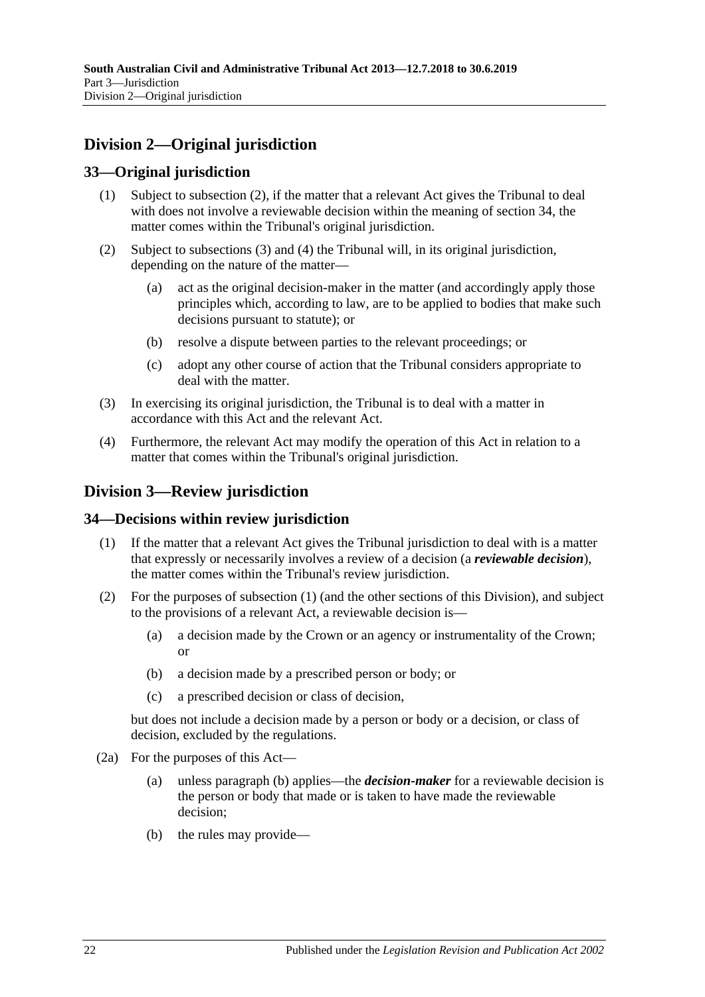## <span id="page-21-0"></span>**Division 2—Original jurisdiction**

### <span id="page-21-1"></span>**33—Original jurisdiction**

- (1) Subject to subsection (2), if the matter that a relevant Act gives the Tribunal to deal with does not involve a reviewable decision within the meaning of [section](#page-21-3) 34, the matter comes within the Tribunal's original jurisdiction.
- (2) Subject to [subsections](#page-21-4) (3) and [\(4\)](#page-21-5) the Tribunal will, in its original jurisdiction, depending on the nature of the matter—
	- (a) act as the original decision-maker in the matter (and accordingly apply those principles which, according to law, are to be applied to bodies that make such decisions pursuant to statute); or
	- (b) resolve a dispute between parties to the relevant proceedings; or
	- (c) adopt any other course of action that the Tribunal considers appropriate to deal with the matter.
- <span id="page-21-4"></span>(3) In exercising its original jurisdiction, the Tribunal is to deal with a matter in accordance with this Act and the relevant Act.
- <span id="page-21-5"></span>(4) Furthermore, the relevant Act may modify the operation of this Act in relation to a matter that comes within the Tribunal's original jurisdiction.

## <span id="page-21-2"></span>**Division 3—Review jurisdiction**

### <span id="page-21-6"></span><span id="page-21-3"></span>**34—Decisions within review jurisdiction**

- (1) If the matter that a relevant Act gives the Tribunal jurisdiction to deal with is a matter that expressly or necessarily involves a review of a decision (a *reviewable decision*), the matter comes within the Tribunal's review jurisdiction.
- (2) For the purposes of [subsection](#page-21-6) (1) (and the other sections of this Division), and subject to the provisions of a relevant Act, a reviewable decision is—
	- (a) a decision made by the Crown or an agency or instrumentality of the Crown; or
	- (b) a decision made by a prescribed person or body; or
	- (c) a prescribed decision or class of decision,

but does not include a decision made by a person or body or a decision, or class of decision, excluded by the regulations.

- <span id="page-21-8"></span><span id="page-21-7"></span>(2a) For the purposes of this Act—
	- (a) unless [paragraph](#page-21-7) (b) applies—the *decision-maker* for a reviewable decision is the person or body that made or is taken to have made the reviewable decision;
	- (b) the rules may provide—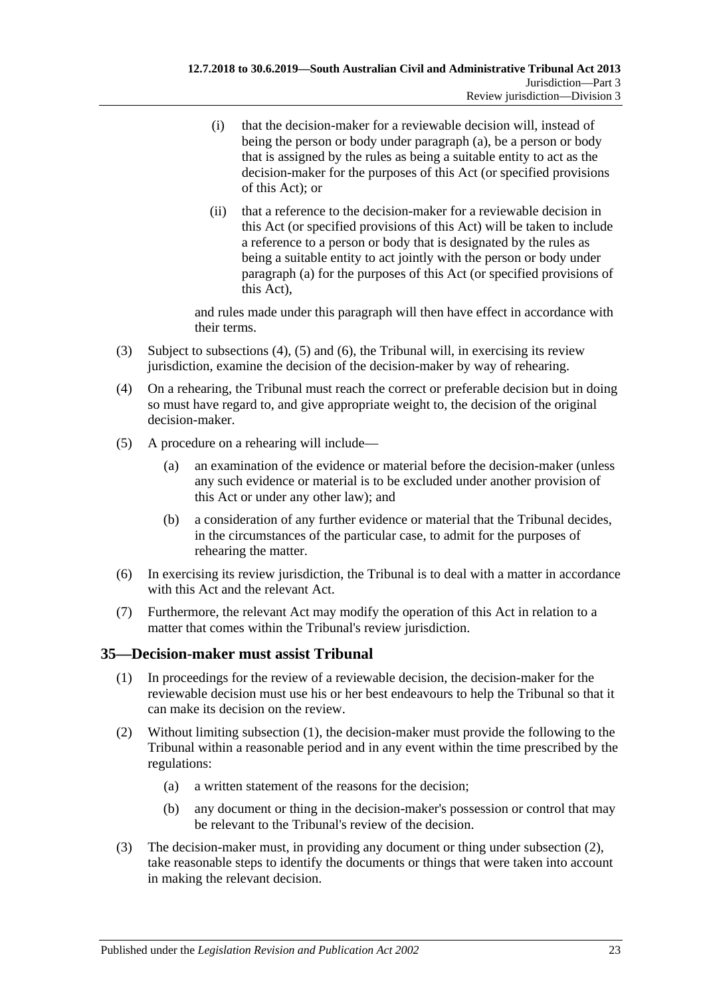- (i) that the decision-maker for a reviewable decision will, instead of being the person or body under [paragraph](#page-21-8) (a), be a person or body that is assigned by the rules as being a suitable entity to act as the decision-maker for the purposes of this Act (or specified provisions of this Act); or
- (ii) that a reference to the decision-maker for a reviewable decision in this Act (or specified provisions of this Act) will be taken to include a reference to a person or body that is designated by the rules as being a suitable entity to act jointly with the person or body under [paragraph](#page-21-8) (a) for the purposes of this Act (or specified provisions of this Act),

and rules made under this paragraph will then have effect in accordance with their terms.

- (3) Subject to [subsections \(4\),](#page-22-1) [\(5\)](#page-22-2) and [\(6\),](#page-22-3) the Tribunal will, in exercising its review jurisdiction, examine the decision of the decision-maker by way of rehearing.
- <span id="page-22-1"></span>(4) On a rehearing, the Tribunal must reach the correct or preferable decision but in doing so must have regard to, and give appropriate weight to, the decision of the original decision-maker.
- <span id="page-22-2"></span>(5) A procedure on a rehearing will include—
	- (a) an examination of the evidence or material before the decision-maker (unless any such evidence or material is to be excluded under another provision of this Act or under any other law); and
	- (b) a consideration of any further evidence or material that the Tribunal decides, in the circumstances of the particular case, to admit for the purposes of rehearing the matter.
- <span id="page-22-3"></span>(6) In exercising its review jurisdiction, the Tribunal is to deal with a matter in accordance with this Act and the relevant Act.
- (7) Furthermore, the relevant Act may modify the operation of this Act in relation to a matter that comes within the Tribunal's review jurisdiction.

### <span id="page-22-4"></span><span id="page-22-0"></span>**35—Decision-maker must assist Tribunal**

- (1) In proceedings for the review of a reviewable decision, the decision-maker for the reviewable decision must use his or her best endeavours to help the Tribunal so that it can make its decision on the review.
- <span id="page-22-6"></span><span id="page-22-5"></span>(2) Without limiting [subsection](#page-22-4) (1), the decision-maker must provide the following to the Tribunal within a reasonable period and in any event within the time prescribed by the regulations:
	- (a) a written statement of the reasons for the decision;
	- (b) any document or thing in the decision-maker's possession or control that may be relevant to the Tribunal's review of the decision.
- (3) The decision-maker must, in providing any document or thing under [subsection](#page-22-5) (2), take reasonable steps to identify the documents or things that were taken into account in making the relevant decision.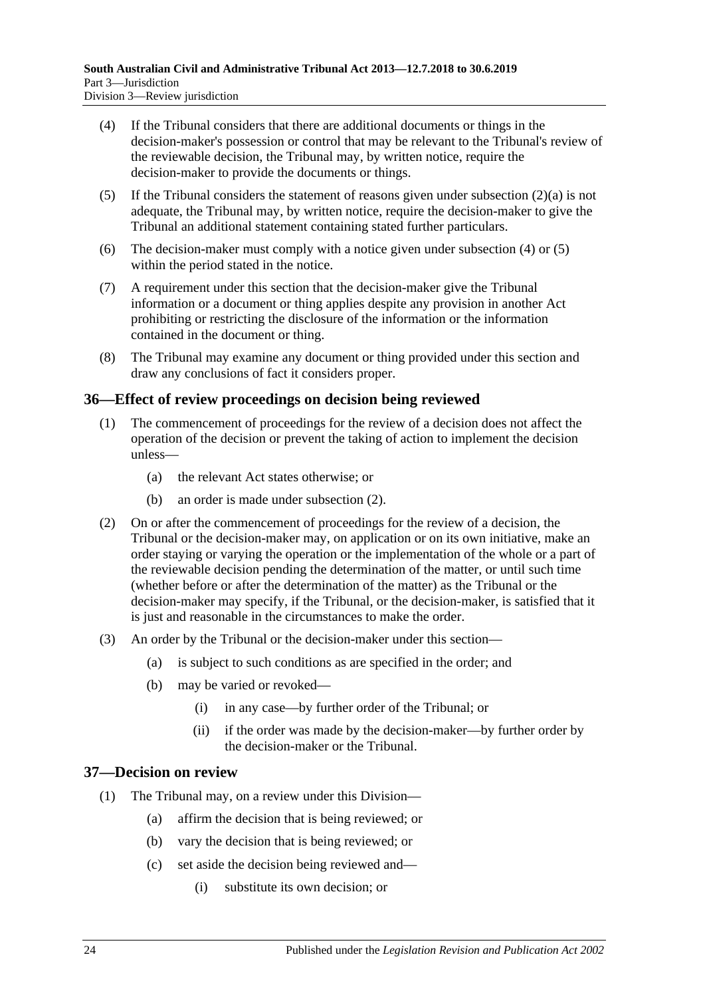- <span id="page-23-2"></span>(4) If the Tribunal considers that there are additional documents or things in the decision-maker's possession or control that may be relevant to the Tribunal's review of the reviewable decision, the Tribunal may, by written notice, require the decision-maker to provide the documents or things.
- <span id="page-23-3"></span>(5) If the Tribunal considers the statement of reasons given under [subsection](#page-22-6)  $(2)(a)$  is not adequate, the Tribunal may, by written notice, require the decision-maker to give the Tribunal an additional statement containing stated further particulars.
- (6) The decision-maker must comply with a notice given under [subsection](#page-23-2) (4) or [\(5\)](#page-23-3) within the period stated in the notice.
- (7) A requirement under this section that the decision-maker give the Tribunal information or a document or thing applies despite any provision in another Act prohibiting or restricting the disclosure of the information or the information contained in the document or thing.
- (8) The Tribunal may examine any document or thing provided under this section and draw any conclusions of fact it considers proper.

### <span id="page-23-0"></span>**36—Effect of review proceedings on decision being reviewed**

- (1) The commencement of proceedings for the review of a decision does not affect the operation of the decision or prevent the taking of action to implement the decision unless—
	- (a) the relevant Act states otherwise; or
	- (b) an order is made under [subsection](#page-23-4) (2).
- <span id="page-23-4"></span>(2) On or after the commencement of proceedings for the review of a decision, the Tribunal or the decision-maker may, on application or on its own initiative, make an order staying or varying the operation or the implementation of the whole or a part of the reviewable decision pending the determination of the matter, or until such time (whether before or after the determination of the matter) as the Tribunal or the decision-maker may specify, if the Tribunal, or the decision-maker, is satisfied that it is just and reasonable in the circumstances to make the order.
- (3) An order by the Tribunal or the decision-maker under this section—
	- (a) is subject to such conditions as are specified in the order; and
	- (b) may be varied or revoked—
		- (i) in any case—by further order of the Tribunal; or
		- (ii) if the order was made by the decision-maker—by further order by the decision-maker or the Tribunal.

### <span id="page-23-1"></span>**37—Decision on review**

- (1) The Tribunal may, on a review under this Division—
	- (a) affirm the decision that is being reviewed; or
	- (b) vary the decision that is being reviewed; or
	- (c) set aside the decision being reviewed and—
		- (i) substitute its own decision; or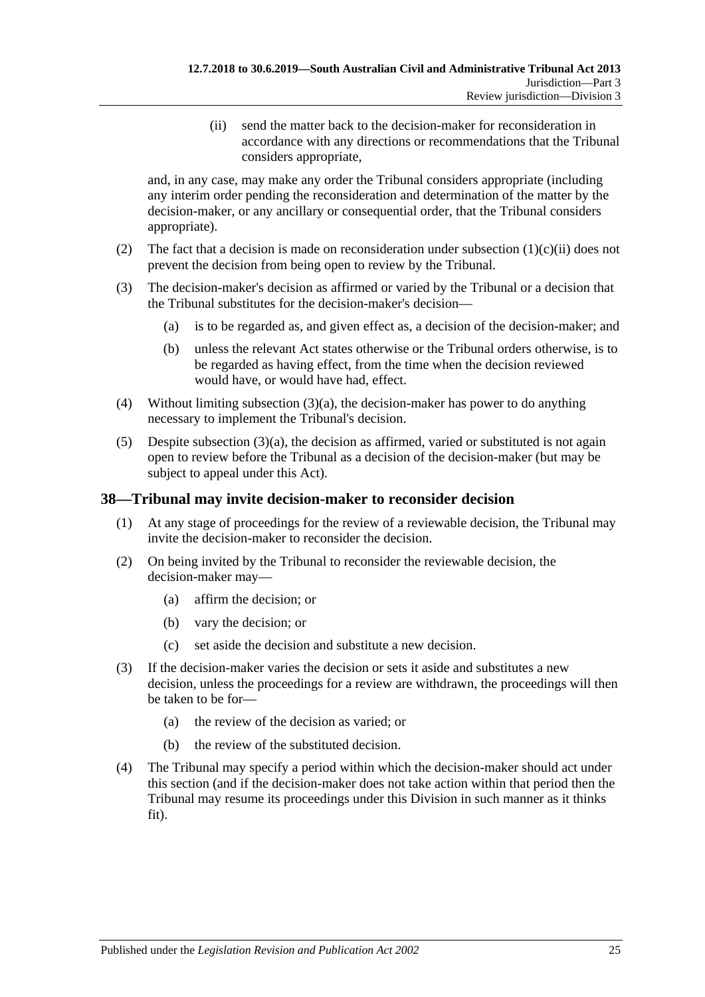(ii) send the matter back to the decision-maker for reconsideration in accordance with any directions or recommendations that the Tribunal considers appropriate,

<span id="page-24-1"></span>and, in any case, may make any order the Tribunal considers appropriate (including any interim order pending the reconsideration and determination of the matter by the decision-maker, or any ancillary or consequential order, that the Tribunal considers appropriate).

- (2) The fact that a decision is made on reconsideration under [subsection](#page-24-1)  $(1)(c)(ii)$  does not prevent the decision from being open to review by the Tribunal.
- <span id="page-24-2"></span>(3) The decision-maker's decision as affirmed or varied by the Tribunal or a decision that the Tribunal substitutes for the decision-maker's decision—
	- (a) is to be regarded as, and given effect as, a decision of the decision-maker; and
	- (b) unless the relevant Act states otherwise or the Tribunal orders otherwise, is to be regarded as having effect, from the time when the decision reviewed would have, or would have had, effect.
- (4) Without limiting [subsection](#page-24-2) (3)(a), the decision-maker has power to do anything necessary to implement the Tribunal's decision.
- $(5)$  Despite [subsection](#page-24-2)  $(3)(a)$ , the decision as affirmed, varied or substituted is not again open to review before the Tribunal as a decision of the decision-maker (but may be subject to appeal under this Act).

### <span id="page-24-0"></span>**38—Tribunal may invite decision-maker to reconsider decision**

- (1) At any stage of proceedings for the review of a reviewable decision, the Tribunal may invite the decision-maker to reconsider the decision.
- (2) On being invited by the Tribunal to reconsider the reviewable decision, the decision-maker may—
	- (a) affirm the decision; or
	- (b) vary the decision; or
	- (c) set aside the decision and substitute a new decision.
- (3) If the decision-maker varies the decision or sets it aside and substitutes a new decision, unless the proceedings for a review are withdrawn, the proceedings will then be taken to be for—
	- (a) the review of the decision as varied; or
	- (b) the review of the substituted decision.
- (4) The Tribunal may specify a period within which the decision-maker should act under this section (and if the decision-maker does not take action within that period then the Tribunal may resume its proceedings under this Division in such manner as it thinks fit).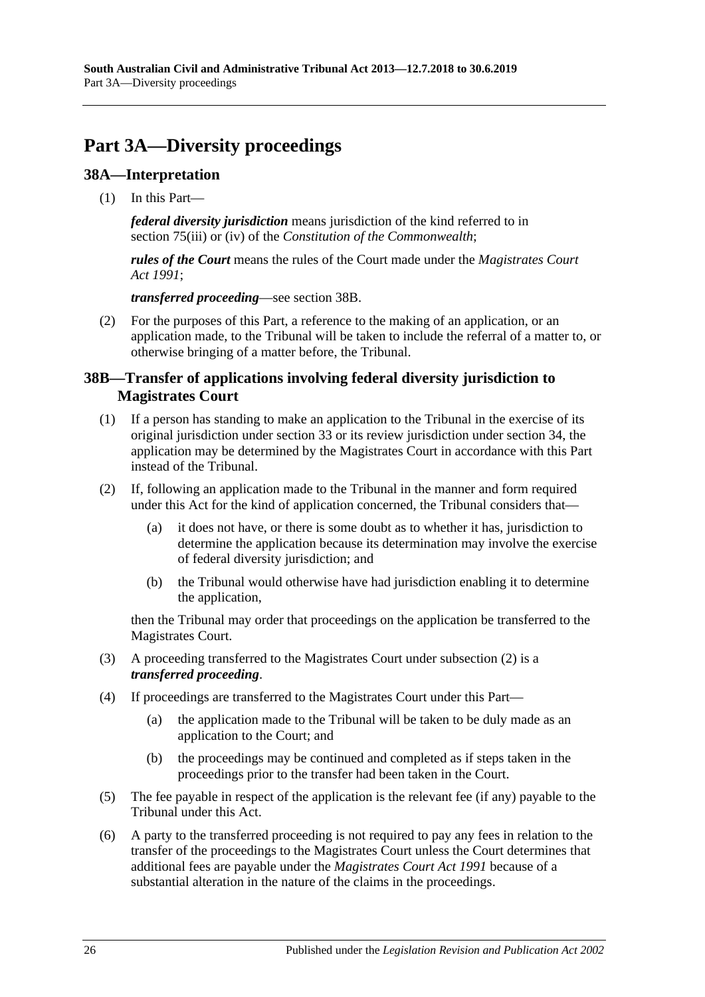# <span id="page-25-0"></span>**Part 3A—Diversity proceedings**

### <span id="page-25-1"></span>**38A—Interpretation**

(1) In this Part—

*federal diversity jurisdiction* means jurisdiction of the kind referred to in section 75(iii) or (iv) of the *Constitution of the Commonwealth*;

*rules of the Court* means the rules of the Court made under the *[Magistrates Court](http://www.legislation.sa.gov.au/index.aspx?action=legref&type=act&legtitle=Magistrates%20Court%20Act%201991)  Act [1991](http://www.legislation.sa.gov.au/index.aspx?action=legref&type=act&legtitle=Magistrates%20Court%20Act%201991)*;

*transferred proceeding*—see [section](#page-25-2) 38B.

(2) For the purposes of this Part, a reference to the making of an application, or an application made, to the Tribunal will be taken to include the referral of a matter to, or otherwise bringing of a matter before, the Tribunal.

### <span id="page-25-2"></span>**38B—Transfer of applications involving federal diversity jurisdiction to Magistrates Court**

- (1) If a person has standing to make an application to the Tribunal in the exercise of its original jurisdiction under [section](#page-21-1) 33 or its review jurisdiction under [section](#page-21-3) 34, the application may be determined by the Magistrates Court in accordance with this Part instead of the Tribunal.
- <span id="page-25-3"></span>(2) If, following an application made to the Tribunal in the manner and form required under this Act for the kind of application concerned, the Tribunal considers that—
	- (a) it does not have, or there is some doubt as to whether it has, jurisdiction to determine the application because its determination may involve the exercise of federal diversity jurisdiction; and
	- (b) the Tribunal would otherwise have had jurisdiction enabling it to determine the application,

then the Tribunal may order that proceedings on the application be transferred to the Magistrates Court.

- (3) A proceeding transferred to the Magistrates Court under [subsection](#page-25-3) (2) is a *transferred proceeding*.
- (4) If proceedings are transferred to the Magistrates Court under this Part—
	- (a) the application made to the Tribunal will be taken to be duly made as an application to the Court; and
	- (b) the proceedings may be continued and completed as if steps taken in the proceedings prior to the transfer had been taken in the Court.
- (5) The fee payable in respect of the application is the relevant fee (if any) payable to the Tribunal under this Act.
- (6) A party to the transferred proceeding is not required to pay any fees in relation to the transfer of the proceedings to the Magistrates Court unless the Court determines that additional fees are payable under the *[Magistrates Court Act](http://www.legislation.sa.gov.au/index.aspx?action=legref&type=act&legtitle=Magistrates%20Court%20Act%201991) 1991* because of a substantial alteration in the nature of the claims in the proceedings.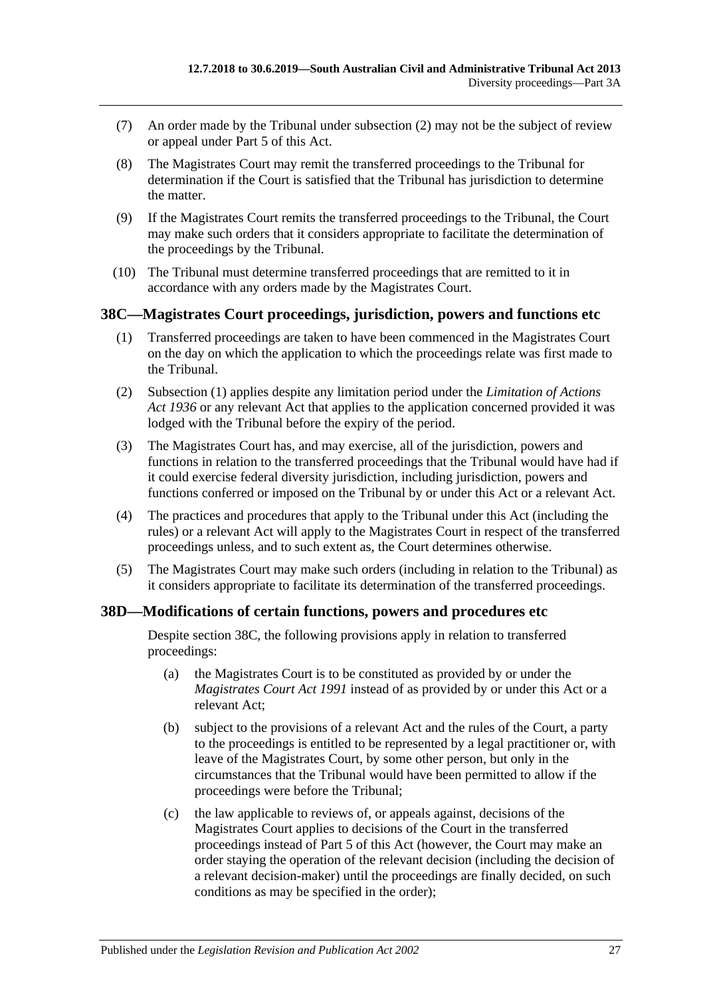- (7) An order made by the Tribunal under [subsection](#page-25-3) (2) may not be the subject of review or appeal under [Part](#page-41-4) 5 of this Act.
- (8) The Magistrates Court may remit the transferred proceedings to the Tribunal for determination if the Court is satisfied that the Tribunal has jurisdiction to determine the matter.
- (9) If the Magistrates Court remits the transferred proceedings to the Tribunal, the Court may make such orders that it considers appropriate to facilitate the determination of the proceedings by the Tribunal.
- (10) The Tribunal must determine transferred proceedings that are remitted to it in accordance with any orders made by the Magistrates Court.

#### <span id="page-26-2"></span><span id="page-26-0"></span>**38C—Magistrates Court proceedings, jurisdiction, powers and functions etc**

- (1) Transferred proceedings are taken to have been commenced in the Magistrates Court on the day on which the application to which the proceedings relate was first made to the Tribunal.
- (2) [Subsection](#page-26-2) (1) applies despite any limitation period under the *[Limitation of Actions](http://www.legislation.sa.gov.au/index.aspx?action=legref&type=act&legtitle=Limitation%20of%20Actions%20Act%201936)  Act [1936](http://www.legislation.sa.gov.au/index.aspx?action=legref&type=act&legtitle=Limitation%20of%20Actions%20Act%201936)* or any relevant Act that applies to the application concerned provided it was lodged with the Tribunal before the expiry of the period.
- (3) The Magistrates Court has, and may exercise, all of the jurisdiction, powers and functions in relation to the transferred proceedings that the Tribunal would have had if it could exercise federal diversity jurisdiction, including jurisdiction, powers and functions conferred or imposed on the Tribunal by or under this Act or a relevant Act.
- (4) The practices and procedures that apply to the Tribunal under this Act (including the rules) or a relevant Act will apply to the Magistrates Court in respect of the transferred proceedings unless, and to such extent as, the Court determines otherwise.
- (5) The Magistrates Court may make such orders (including in relation to the Tribunal) as it considers appropriate to facilitate its determination of the transferred proceedings.

### <span id="page-26-1"></span>**38D—Modifications of certain functions, powers and procedures etc**

Despite [section](#page-26-0) 38C, the following provisions apply in relation to transferred proceedings:

- (a) the Magistrates Court is to be constituted as provided by or under the *[Magistrates Court Act](http://www.legislation.sa.gov.au/index.aspx?action=legref&type=act&legtitle=Magistrates%20Court%20Act%201991) 1991* instead of as provided by or under this Act or a relevant Act;
- (b) subject to the provisions of a relevant Act and the rules of the Court, a party to the proceedings is entitled to be represented by a legal practitioner or, with leave of the Magistrates Court, by some other person, but only in the circumstances that the Tribunal would have been permitted to allow if the proceedings were before the Tribunal;
- (c) the law applicable to reviews of, or appeals against, decisions of the Magistrates Court applies to decisions of the Court in the transferred proceedings instead of [Part](#page-41-4) 5 of this Act (however, the Court may make an order staying the operation of the relevant decision (including the decision of a relevant decision-maker) until the proceedings are finally decided, on such conditions as may be specified in the order);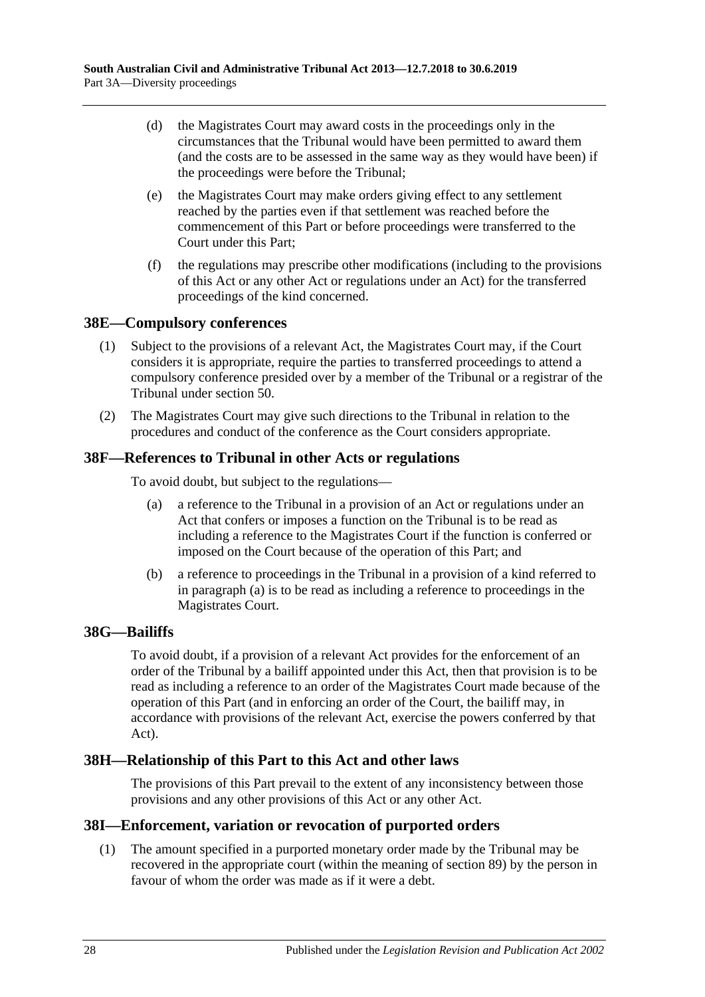- (d) the Magistrates Court may award costs in the proceedings only in the circumstances that the Tribunal would have been permitted to award them (and the costs are to be assessed in the same way as they would have been) if the proceedings were before the Tribunal;
- (e) the Magistrates Court may make orders giving effect to any settlement reached by the parties even if that settlement was reached before the commencement of this Part or before proceedings were transferred to the Court under this Part;
- (f) the regulations may prescribe other modifications (including to the provisions of this Act or any other Act or regulations under an Act) for the transferred proceedings of the kind concerned.

### <span id="page-27-0"></span>**38E—Compulsory conferences**

- (1) Subject to the provisions of a relevant Act, the Magistrates Court may, if the Court considers it is appropriate, require the parties to transferred proceedings to attend a compulsory conference presided over by a member of the Tribunal or a registrar of the Tribunal under [section](#page-33-1) 50.
- (2) The Magistrates Court may give such directions to the Tribunal in relation to the procedures and conduct of the conference as the Court considers appropriate.

### <span id="page-27-5"></span><span id="page-27-1"></span>**38F—References to Tribunal in other Acts or regulations**

To avoid doubt, but subject to the regulations—

- (a) a reference to the Tribunal in a provision of an Act or regulations under an Act that confers or imposes a function on the Tribunal is to be read as including a reference to the Magistrates Court if the function is conferred or imposed on the Court because of the operation of this Part; and
- (b) a reference to proceedings in the Tribunal in a provision of a kind referred to in [paragraph](#page-27-5) (a) is to be read as including a reference to proceedings in the Magistrates Court.

#### <span id="page-27-2"></span>**38G—Bailiffs**

To avoid doubt, if a provision of a relevant Act provides for the enforcement of an order of the Tribunal by a bailiff appointed under this Act, then that provision is to be read as including a reference to an order of the Magistrates Court made because of the operation of this Part (and in enforcing an order of the Court, the bailiff may, in accordance with provisions of the relevant Act, exercise the powers conferred by that Act).

### <span id="page-27-3"></span>**38H—Relationship of this Part to this Act and other laws**

The provisions of this Part prevail to the extent of any inconsistency between those provisions and any other provisions of this Act or any other Act.

#### <span id="page-27-4"></span>**38I—Enforcement, variation or revocation of purported orders**

(1) The amount specified in a purported monetary order made by the Tribunal may be recovered in the appropriate court (within the meaning of [section](#page-49-1) 89) by the person in favour of whom the order was made as if it were a debt.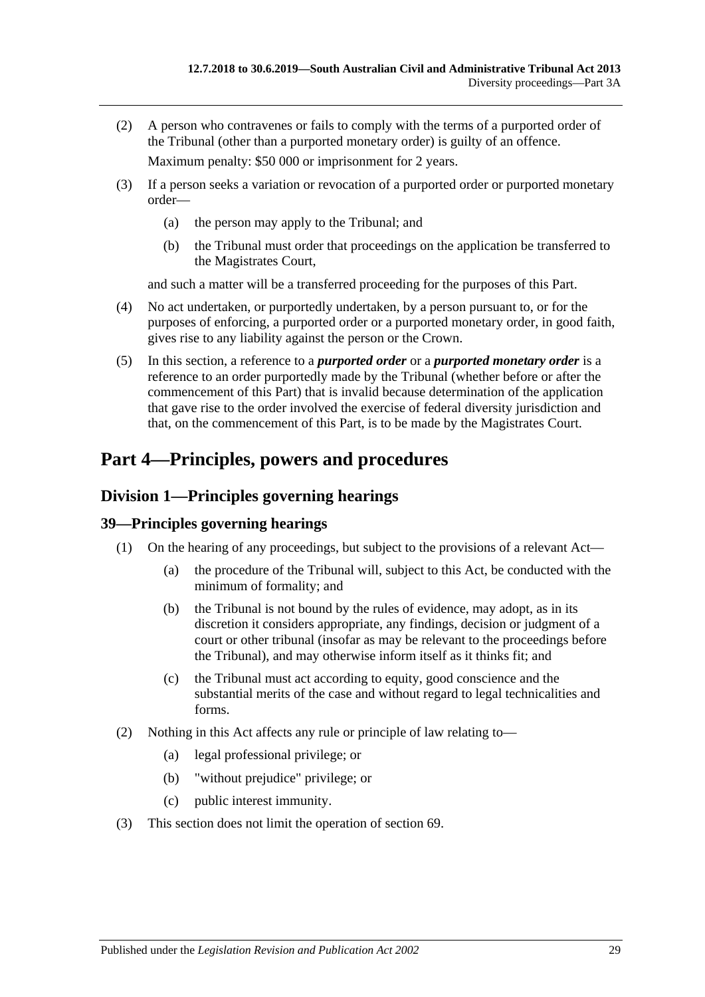(2) A person who contravenes or fails to comply with the terms of a purported order of the Tribunal (other than a purported monetary order) is guilty of an offence.

Maximum penalty: \$50 000 or imprisonment for 2 years.

- (3) If a person seeks a variation or revocation of a purported order or purported monetary order—
	- (a) the person may apply to the Tribunal; and
	- (b) the Tribunal must order that proceedings on the application be transferred to the Magistrates Court,

and such a matter will be a transferred proceeding for the purposes of this Part.

- (4) No act undertaken, or purportedly undertaken, by a person pursuant to, or for the purposes of enforcing, a purported order or a purported monetary order, in good faith, gives rise to any liability against the person or the Crown.
- (5) In this section, a reference to a *purported order* or a *purported monetary order* is a reference to an order purportedly made by the Tribunal (whether before or after the commencement of this Part) that is invalid because determination of the application that gave rise to the order involved the exercise of federal diversity jurisdiction and that, on the commencement of this Part, is to be made by the Magistrates Court.

# <span id="page-28-0"></span>**Part 4—Principles, powers and procedures**

## <span id="page-28-1"></span>**Division 1—Principles governing hearings**

### <span id="page-28-2"></span>**39—Principles governing hearings**

- (1) On the hearing of any proceedings, but subject to the provisions of a relevant Act—
	- (a) the procedure of the Tribunal will, subject to this Act, be conducted with the minimum of formality; and
	- (b) the Tribunal is not bound by the rules of evidence, may adopt, as in its discretion it considers appropriate, any findings, decision or judgment of a court or other tribunal (insofar as may be relevant to the proceedings before the Tribunal), and may otherwise inform itself as it thinks fit; and
	- (c) the Tribunal must act according to equity, good conscience and the substantial merits of the case and without regard to legal technicalities and forms.
- (2) Nothing in this Act affects any rule or principle of law relating to—
	- (a) legal professional privilege; or
	- (b) "without prejudice" privilege; or
	- (c) public interest immunity.
- (3) This section does not limit the operation of [section](#page-41-3) 69.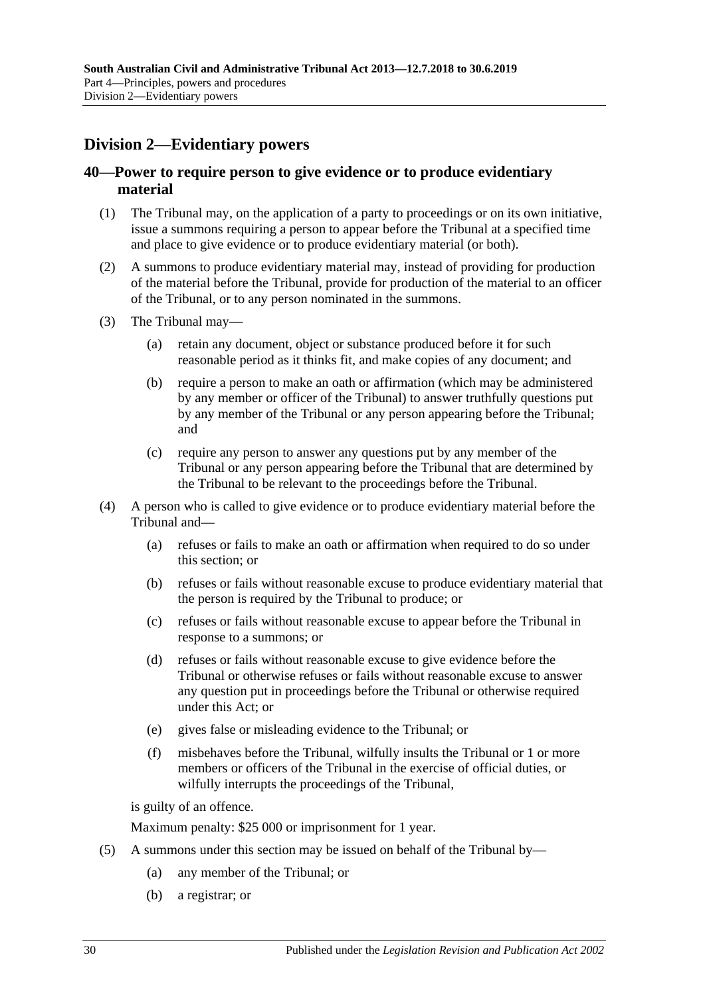## <span id="page-29-0"></span>**Division 2—Evidentiary powers**

### <span id="page-29-1"></span>**40—Power to require person to give evidence or to produce evidentiary material**

- (1) The Tribunal may, on the application of a party to proceedings or on its own initiative, issue a summons requiring a person to appear before the Tribunal at a specified time and place to give evidence or to produce evidentiary material (or both).
- (2) A summons to produce evidentiary material may, instead of providing for production of the material before the Tribunal, provide for production of the material to an officer of the Tribunal, or to any person nominated in the summons.
- (3) The Tribunal may—
	- (a) retain any document, object or substance produced before it for such reasonable period as it thinks fit, and make copies of any document; and
	- (b) require a person to make an oath or affirmation (which may be administered by any member or officer of the Tribunal) to answer truthfully questions put by any member of the Tribunal or any person appearing before the Tribunal; and
	- (c) require any person to answer any questions put by any member of the Tribunal or any person appearing before the Tribunal that are determined by the Tribunal to be relevant to the proceedings before the Tribunal.
- (4) A person who is called to give evidence or to produce evidentiary material before the Tribunal and—
	- (a) refuses or fails to make an oath or affirmation when required to do so under this section; or
	- (b) refuses or fails without reasonable excuse to produce evidentiary material that the person is required by the Tribunal to produce; or
	- (c) refuses or fails without reasonable excuse to appear before the Tribunal in response to a summons; or
	- (d) refuses or fails without reasonable excuse to give evidence before the Tribunal or otherwise refuses or fails without reasonable excuse to answer any question put in proceedings before the Tribunal or otherwise required under this Act; or
	- (e) gives false or misleading evidence to the Tribunal; or
	- (f) misbehaves before the Tribunal, wilfully insults the Tribunal or 1 or more members or officers of the Tribunal in the exercise of official duties, or wilfully interrupts the proceedings of the Tribunal,

is guilty of an offence.

Maximum penalty: \$25 000 or imprisonment for 1 year.

- (5) A summons under this section may be issued on behalf of the Tribunal by—
	- (a) any member of the Tribunal; or
	- (b) a registrar; or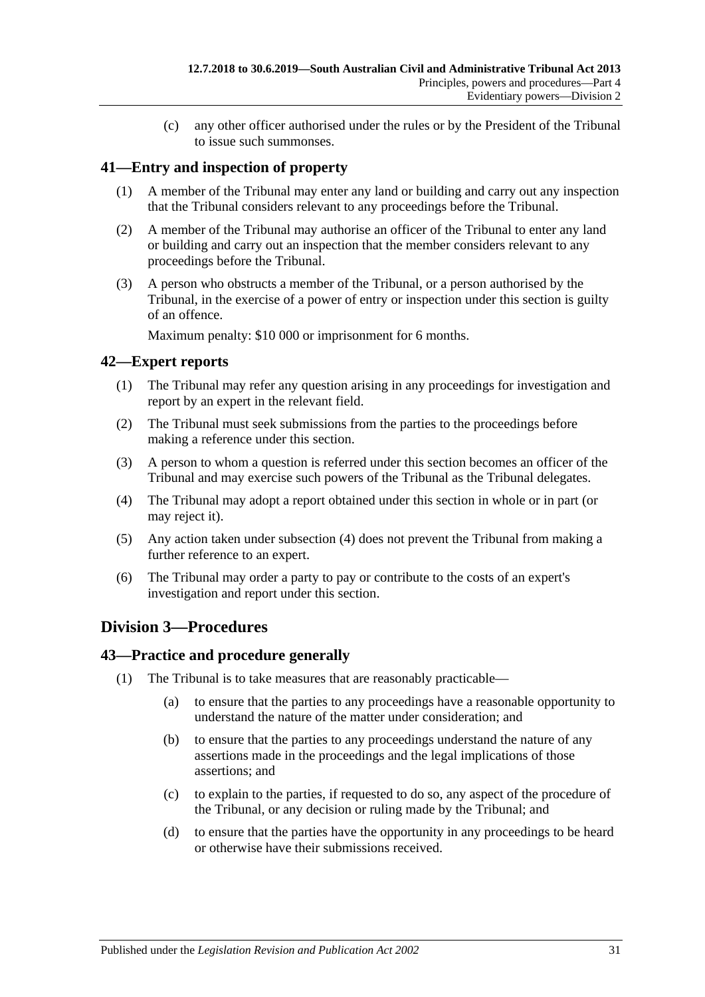(c) any other officer authorised under the rules or by the President of the Tribunal to issue such summonses.

### <span id="page-30-0"></span>**41—Entry and inspection of property**

- (1) A member of the Tribunal may enter any land or building and carry out any inspection that the Tribunal considers relevant to any proceedings before the Tribunal.
- (2) A member of the Tribunal may authorise an officer of the Tribunal to enter any land or building and carry out an inspection that the member considers relevant to any proceedings before the Tribunal.
- (3) A person who obstructs a member of the Tribunal, or a person authorised by the Tribunal, in the exercise of a power of entry or inspection under this section is guilty of an offence.

Maximum penalty: \$10 000 or imprisonment for 6 months.

### <span id="page-30-1"></span>**42—Expert reports**

- (1) The Tribunal may refer any question arising in any proceedings for investigation and report by an expert in the relevant field.
- (2) The Tribunal must seek submissions from the parties to the proceedings before making a reference under this section.
- (3) A person to whom a question is referred under this section becomes an officer of the Tribunal and may exercise such powers of the Tribunal as the Tribunal delegates.
- <span id="page-30-4"></span>(4) The Tribunal may adopt a report obtained under this section in whole or in part (or may reject it).
- (5) Any action taken under [subsection](#page-30-4) (4) does not prevent the Tribunal from making a further reference to an expert.
- (6) The Tribunal may order a party to pay or contribute to the costs of an expert's investigation and report under this section.

### <span id="page-30-2"></span>**Division 3—Procedures**

#### <span id="page-30-3"></span>**43—Practice and procedure generally**

- (1) The Tribunal is to take measures that are reasonably practicable—
	- (a) to ensure that the parties to any proceedings have a reasonable opportunity to understand the nature of the matter under consideration; and
	- (b) to ensure that the parties to any proceedings understand the nature of any assertions made in the proceedings and the legal implications of those assertions; and
	- (c) to explain to the parties, if requested to do so, any aspect of the procedure of the Tribunal, or any decision or ruling made by the Tribunal; and
	- (d) to ensure that the parties have the opportunity in any proceedings to be heard or otherwise have their submissions received.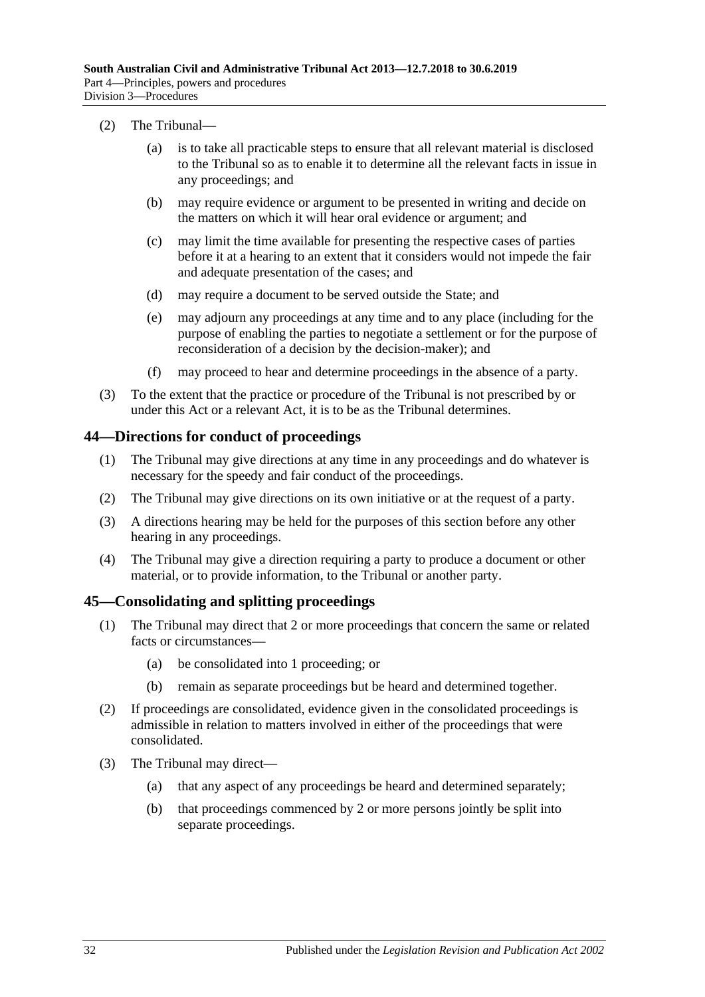#### (2) The Tribunal—

- (a) is to take all practicable steps to ensure that all relevant material is disclosed to the Tribunal so as to enable it to determine all the relevant facts in issue in any proceedings; and
- (b) may require evidence or argument to be presented in writing and decide on the matters on which it will hear oral evidence or argument; and
- (c) may limit the time available for presenting the respective cases of parties before it at a hearing to an extent that it considers would not impede the fair and adequate presentation of the cases; and
- (d) may require a document to be served outside the State; and
- (e) may adjourn any proceedings at any time and to any place (including for the purpose of enabling the parties to negotiate a settlement or for the purpose of reconsideration of a decision by the decision-maker); and
- (f) may proceed to hear and determine proceedings in the absence of a party.
- (3) To the extent that the practice or procedure of the Tribunal is not prescribed by or under this Act or a relevant Act, it is to be as the Tribunal determines.

#### <span id="page-31-0"></span>**44—Directions for conduct of proceedings**

- (1) The Tribunal may give directions at any time in any proceedings and do whatever is necessary for the speedy and fair conduct of the proceedings.
- (2) The Tribunal may give directions on its own initiative or at the request of a party.
- (3) A directions hearing may be held for the purposes of this section before any other hearing in any proceedings.
- (4) The Tribunal may give a direction requiring a party to produce a document or other material, or to provide information, to the Tribunal or another party.

#### <span id="page-31-1"></span>**45—Consolidating and splitting proceedings**

- (1) The Tribunal may direct that 2 or more proceedings that concern the same or related facts or circumstances—
	- (a) be consolidated into 1 proceeding; or
	- (b) remain as separate proceedings but be heard and determined together.
- (2) If proceedings are consolidated, evidence given in the consolidated proceedings is admissible in relation to matters involved in either of the proceedings that were consolidated.
- (3) The Tribunal may direct—
	- (a) that any aspect of any proceedings be heard and determined separately;
	- (b) that proceedings commenced by 2 or more persons jointly be split into separate proceedings.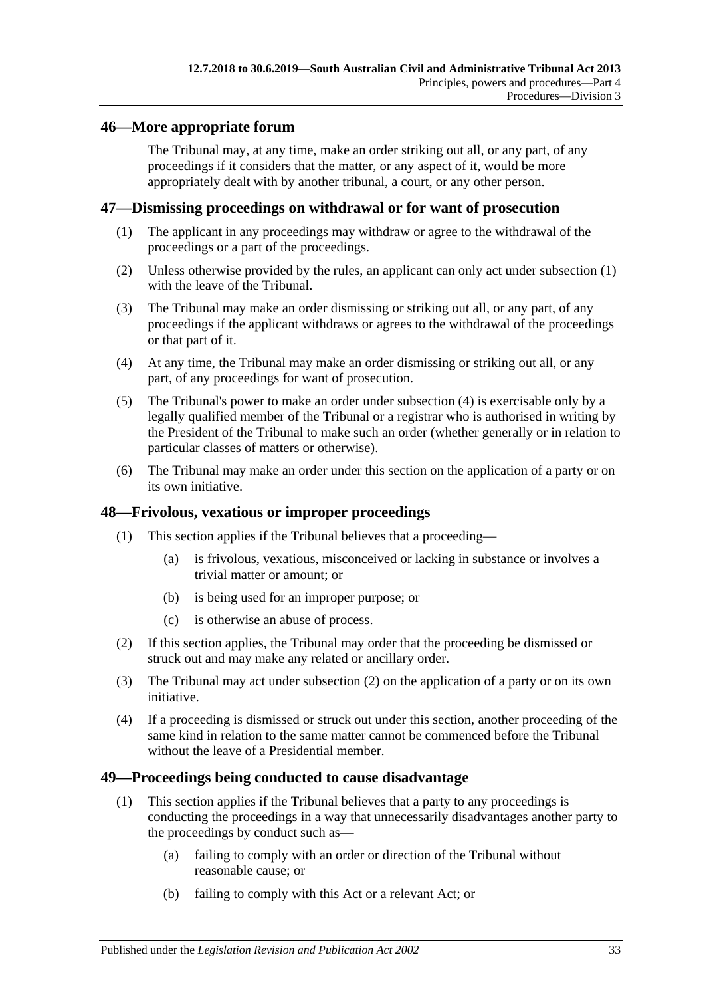### <span id="page-32-0"></span>**46—More appropriate forum**

The Tribunal may, at any time, make an order striking out all, or any part, of any proceedings if it considers that the matter, or any aspect of it, would be more appropriately dealt with by another tribunal, a court, or any other person.

#### <span id="page-32-4"></span><span id="page-32-1"></span>**47—Dismissing proceedings on withdrawal or for want of prosecution**

- (1) The applicant in any proceedings may withdraw or agree to the withdrawal of the proceedings or a part of the proceedings.
- (2) Unless otherwise provided by the rules, an applicant can only act under [subsection](#page-32-4) (1) with the leave of the Tribunal.
- (3) The Tribunal may make an order dismissing or striking out all, or any part, of any proceedings if the applicant withdraws or agrees to the withdrawal of the proceedings or that part of it.
- <span id="page-32-5"></span>(4) At any time, the Tribunal may make an order dismissing or striking out all, or any part, of any proceedings for want of prosecution.
- (5) The Tribunal's power to make an order under [subsection](#page-32-5) (4) is exercisable only by a legally qualified member of the Tribunal or a registrar who is authorised in writing by the President of the Tribunal to make such an order (whether generally or in relation to particular classes of matters or otherwise).
- (6) The Tribunal may make an order under this section on the application of a party or on its own initiative.

### <span id="page-32-2"></span>**48—Frivolous, vexatious or improper proceedings**

- (1) This section applies if the Tribunal believes that a proceeding—
	- (a) is frivolous, vexatious, misconceived or lacking in substance or involves a trivial matter or amount; or
	- (b) is being used for an improper purpose; or
	- (c) is otherwise an abuse of process.
- <span id="page-32-6"></span>(2) If this section applies, the Tribunal may order that the proceeding be dismissed or struck out and may make any related or ancillary order.
- (3) The Tribunal may act under [subsection](#page-32-6) (2) on the application of a party or on its own initiative.
- (4) If a proceeding is dismissed or struck out under this section, another proceeding of the same kind in relation to the same matter cannot be commenced before the Tribunal without the leave of a Presidential member.

#### <span id="page-32-3"></span>**49—Proceedings being conducted to cause disadvantage**

- <span id="page-32-8"></span><span id="page-32-7"></span>(1) This section applies if the Tribunal believes that a party to any proceedings is conducting the proceedings in a way that unnecessarily disadvantages another party to the proceedings by conduct such as—
	- (a) failing to comply with an order or direction of the Tribunal without reasonable cause; or
	- (b) failing to comply with this Act or a relevant Act; or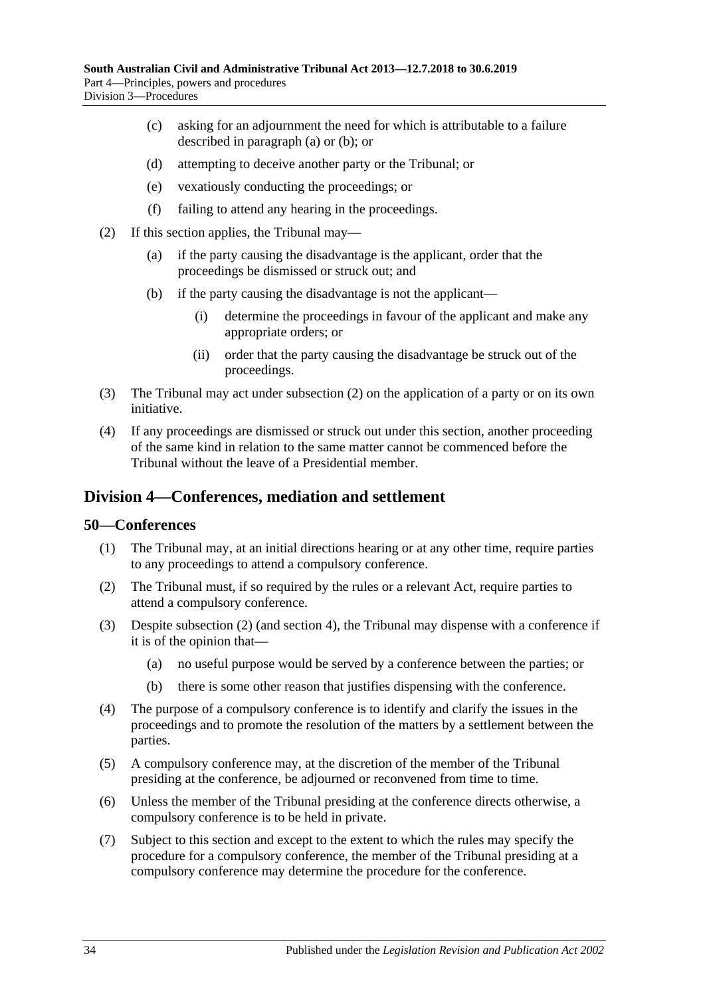- (c) asking for an adjournment the need for which is attributable to a failure described in [paragraph](#page-32-7) (a) or [\(b\);](#page-32-8) or
- (d) attempting to deceive another party or the Tribunal; or
- (e) vexatiously conducting the proceedings; or
- (f) failing to attend any hearing in the proceedings.
- <span id="page-33-2"></span>(2) If this section applies, the Tribunal may—
	- (a) if the party causing the disadvantage is the applicant, order that the proceedings be dismissed or struck out; and
	- (b) if the party causing the disadvantage is not the applicant—
		- (i) determine the proceedings in favour of the applicant and make any appropriate orders; or
		- (ii) order that the party causing the disadvantage be struck out of the proceedings.
- (3) The Tribunal may act under [subsection](#page-33-2) (2) on the application of a party or on its own initiative.
- (4) If any proceedings are dismissed or struck out under this section, another proceeding of the same kind in relation to the same matter cannot be commenced before the Tribunal without the leave of a Presidential member.

### <span id="page-33-0"></span>**Division 4—Conferences, mediation and settlement**

#### <span id="page-33-1"></span>**50—Conferences**

- (1) The Tribunal may, at an initial directions hearing or at any other time, require parties to any proceedings to attend a compulsory conference.
- <span id="page-33-3"></span>(2) The Tribunal must, if so required by the rules or a relevant Act, require parties to attend a compulsory conference.
- (3) Despite [subsection](#page-33-3) (2) (and [section](#page-6-0) 4), the Tribunal may dispense with a conference if it is of the opinion that—
	- (a) no useful purpose would be served by a conference between the parties; or
	- (b) there is some other reason that justifies dispensing with the conference.
- (4) The purpose of a compulsory conference is to identify and clarify the issues in the proceedings and to promote the resolution of the matters by a settlement between the parties.
- (5) A compulsory conference may, at the discretion of the member of the Tribunal presiding at the conference, be adjourned or reconvened from time to time.
- (6) Unless the member of the Tribunal presiding at the conference directs otherwise, a compulsory conference is to be held in private.
- (7) Subject to this section and except to the extent to which the rules may specify the procedure for a compulsory conference, the member of the Tribunal presiding at a compulsory conference may determine the procedure for the conference.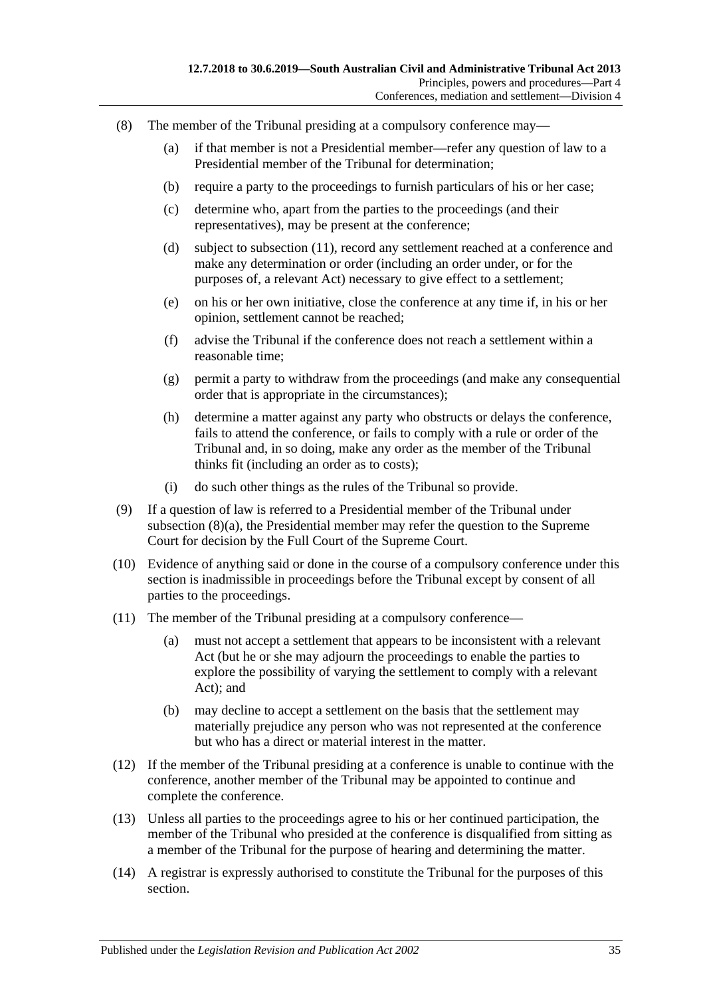- <span id="page-34-1"></span>(8) The member of the Tribunal presiding at a compulsory conference may—
	- (a) if that member is not a Presidential member—refer any question of law to a Presidential member of the Tribunal for determination;
	- (b) require a party to the proceedings to furnish particulars of his or her case;
	- (c) determine who, apart from the parties to the proceedings (and their representatives), may be present at the conference;
	- (d) subject to [subsection](#page-34-0) (11), record any settlement reached at a conference and make any determination or order (including an order under, or for the purposes of, a relevant Act) necessary to give effect to a settlement;
	- (e) on his or her own initiative, close the conference at any time if, in his or her opinion, settlement cannot be reached;
	- (f) advise the Tribunal if the conference does not reach a settlement within a reasonable time;
	- (g) permit a party to withdraw from the proceedings (and make any consequential order that is appropriate in the circumstances);
	- (h) determine a matter against any party who obstructs or delays the conference, fails to attend the conference, or fails to comply with a rule or order of the Tribunal and, in so doing, make any order as the member of the Tribunal thinks fit (including an order as to costs);
	- (i) do such other things as the rules of the Tribunal so provide.
- (9) If a question of law is referred to a Presidential member of the Tribunal under [subsection](#page-34-1) (8)(a), the Presidential member may refer the question to the Supreme Court for decision by the Full Court of the Supreme Court.
- (10) Evidence of anything said or done in the course of a compulsory conference under this section is inadmissible in proceedings before the Tribunal except by consent of all parties to the proceedings.
- <span id="page-34-0"></span>(11) The member of the Tribunal presiding at a compulsory conference—
	- (a) must not accept a settlement that appears to be inconsistent with a relevant Act (but he or she may adjourn the proceedings to enable the parties to explore the possibility of varying the settlement to comply with a relevant Act); and
	- (b) may decline to accept a settlement on the basis that the settlement may materially prejudice any person who was not represented at the conference but who has a direct or material interest in the matter.
- (12) If the member of the Tribunal presiding at a conference is unable to continue with the conference, another member of the Tribunal may be appointed to continue and complete the conference.
- (13) Unless all parties to the proceedings agree to his or her continued participation, the member of the Tribunal who presided at the conference is disqualified from sitting as a member of the Tribunal for the purpose of hearing and determining the matter.
- (14) A registrar is expressly authorised to constitute the Tribunal for the purposes of this section.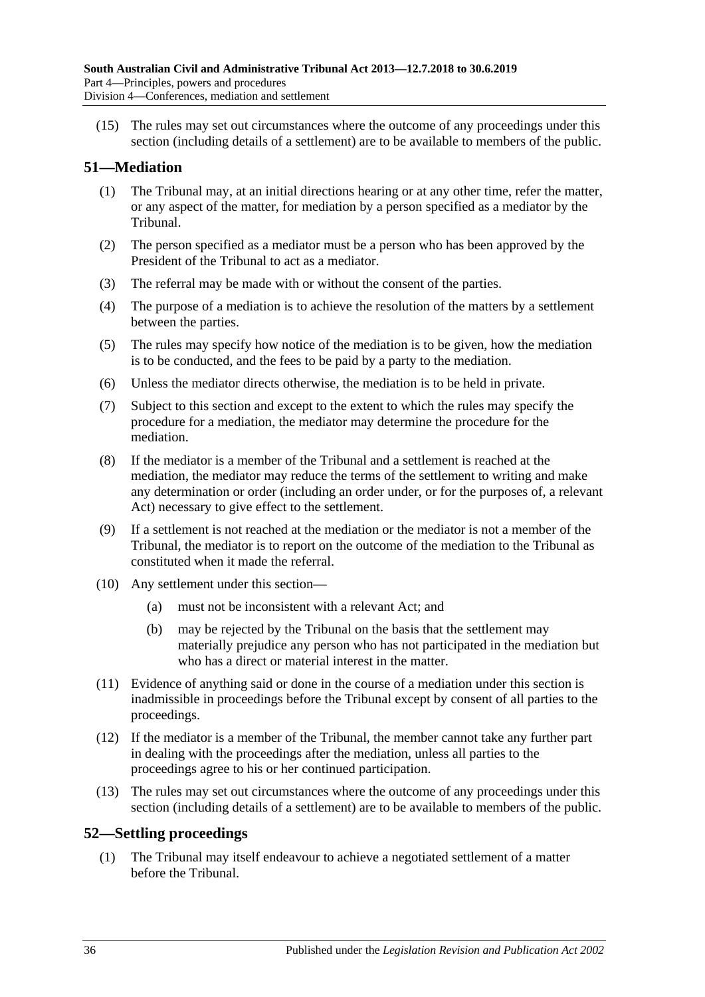(15) The rules may set out circumstances where the outcome of any proceedings under this section (including details of a settlement) are to be available to members of the public.

### <span id="page-35-0"></span>**51—Mediation**

- (1) The Tribunal may, at an initial directions hearing or at any other time, refer the matter, or any aspect of the matter, for mediation by a person specified as a mediator by the Tribunal.
- (2) The person specified as a mediator must be a person who has been approved by the President of the Tribunal to act as a mediator.
- (3) The referral may be made with or without the consent of the parties.
- (4) The purpose of a mediation is to achieve the resolution of the matters by a settlement between the parties.
- (5) The rules may specify how notice of the mediation is to be given, how the mediation is to be conducted, and the fees to be paid by a party to the mediation.
- (6) Unless the mediator directs otherwise, the mediation is to be held in private.
- (7) Subject to this section and except to the extent to which the rules may specify the procedure for a mediation, the mediator may determine the procedure for the mediation.
- (8) If the mediator is a member of the Tribunal and a settlement is reached at the mediation, the mediator may reduce the terms of the settlement to writing and make any determination or order (including an order under, or for the purposes of, a relevant Act) necessary to give effect to the settlement.
- (9) If a settlement is not reached at the mediation or the mediator is not a member of the Tribunal, the mediator is to report on the outcome of the mediation to the Tribunal as constituted when it made the referral.
- (10) Any settlement under this section—
	- (a) must not be inconsistent with a relevant Act; and
	- (b) may be rejected by the Tribunal on the basis that the settlement may materially prejudice any person who has not participated in the mediation but who has a direct or material interest in the matter.
- (11) Evidence of anything said or done in the course of a mediation under this section is inadmissible in proceedings before the Tribunal except by consent of all parties to the proceedings.
- (12) If the mediator is a member of the Tribunal, the member cannot take any further part in dealing with the proceedings after the mediation, unless all parties to the proceedings agree to his or her continued participation.
- (13) The rules may set out circumstances where the outcome of any proceedings under this section (including details of a settlement) are to be available to members of the public.

### <span id="page-35-1"></span>**52—Settling proceedings**

(1) The Tribunal may itself endeavour to achieve a negotiated settlement of a matter before the Tribunal.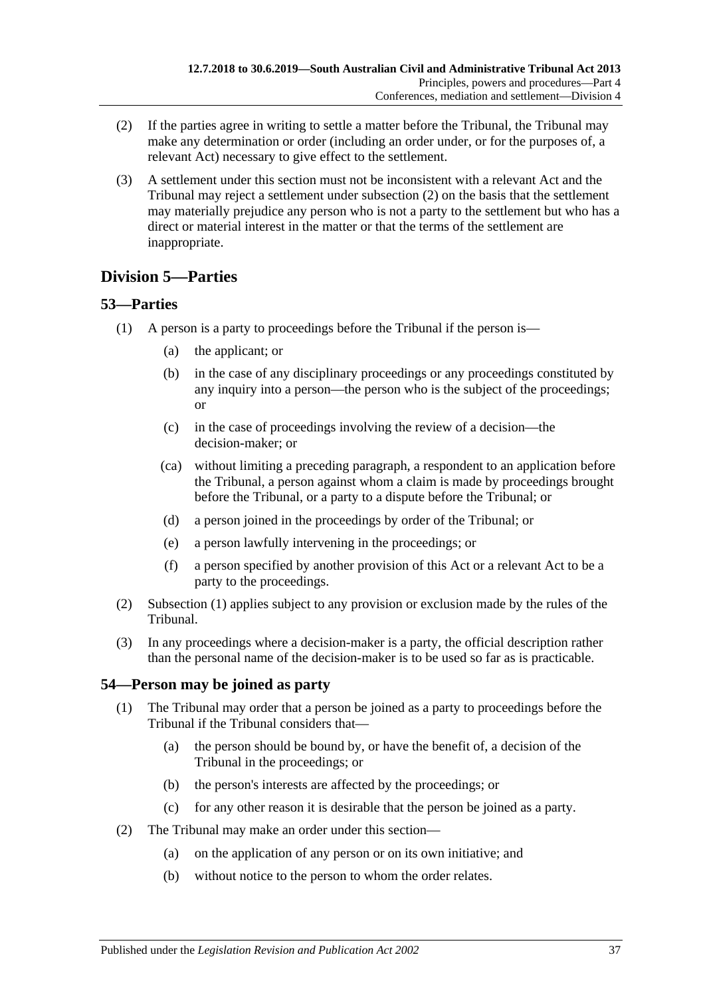- <span id="page-36-3"></span>(2) If the parties agree in writing to settle a matter before the Tribunal, the Tribunal may make any determination or order (including an order under, or for the purposes of, a relevant Act) necessary to give effect to the settlement.
- (3) A settlement under this section must not be inconsistent with a relevant Act and the Tribunal may reject a settlement under [subsection](#page-36-3) (2) on the basis that the settlement may materially prejudice any person who is not a party to the settlement but who has a direct or material interest in the matter or that the terms of the settlement are inappropriate.

## <span id="page-36-0"></span>**Division 5—Parties**

### <span id="page-36-4"></span><span id="page-36-1"></span>**53—Parties**

- (1) A person is a party to proceedings before the Tribunal if the person is—
	- (a) the applicant; or
	- (b) in the case of any disciplinary proceedings or any proceedings constituted by any inquiry into a person—the person who is the subject of the proceedings; or
	- (c) in the case of proceedings involving the review of a decision—the decision-maker; or
	- (ca) without limiting a preceding paragraph, a respondent to an application before the Tribunal, a person against whom a claim is made by proceedings brought before the Tribunal, or a party to a dispute before the Tribunal; or
	- (d) a person joined in the proceedings by order of the Tribunal; or
	- (e) a person lawfully intervening in the proceedings; or
	- (f) a person specified by another provision of this Act or a relevant Act to be a party to the proceedings.
- (2) [Subsection](#page-36-4) (1) applies subject to any provision or exclusion made by the rules of the Tribunal.
- (3) In any proceedings where a decision-maker is a party, the official description rather than the personal name of the decision-maker is to be used so far as is practicable.

### <span id="page-36-2"></span>**54—Person may be joined as party**

- (1) The Tribunal may order that a person be joined as a party to proceedings before the Tribunal if the Tribunal considers that—
	- (a) the person should be bound by, or have the benefit of, a decision of the Tribunal in the proceedings; or
	- (b) the person's interests are affected by the proceedings; or
	- (c) for any other reason it is desirable that the person be joined as a party.
- (2) The Tribunal may make an order under this section—
	- (a) on the application of any person or on its own initiative; and
	- (b) without notice to the person to whom the order relates.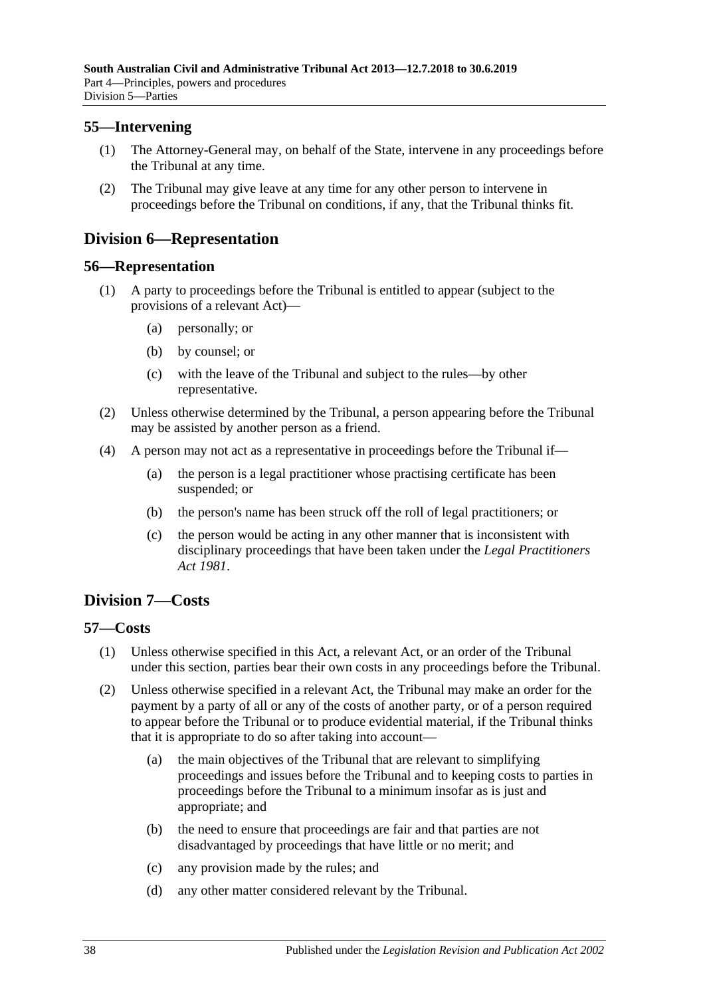### <span id="page-37-0"></span>**55—Intervening**

- (1) The Attorney-General may, on behalf of the State, intervene in any proceedings before the Tribunal at any time.
- (2) The Tribunal may give leave at any time for any other person to intervene in proceedings before the Tribunal on conditions, if any, that the Tribunal thinks fit.

## <span id="page-37-1"></span>**Division 6—Representation**

#### <span id="page-37-2"></span>**56—Representation**

- (1) A party to proceedings before the Tribunal is entitled to appear (subject to the provisions of a relevant Act)—
	- (a) personally; or
	- (b) by counsel; or
	- (c) with the leave of the Tribunal and subject to the rules—by other representative.
- (2) Unless otherwise determined by the Tribunal, a person appearing before the Tribunal may be assisted by another person as a friend.
- (4) A person may not act as a representative in proceedings before the Tribunal if—
	- (a) the person is a legal practitioner whose practising certificate has been suspended; or
	- (b) the person's name has been struck off the roll of legal practitioners; or
	- (c) the person would be acting in any other manner that is inconsistent with disciplinary proceedings that have been taken under the *[Legal Practitioners](http://www.legislation.sa.gov.au/index.aspx?action=legref&type=act&legtitle=Legal%20Practitioners%20Act%201981)  Act [1981](http://www.legislation.sa.gov.au/index.aspx?action=legref&type=act&legtitle=Legal%20Practitioners%20Act%201981)*.

## <span id="page-37-3"></span>**Division 7—Costs**

### <span id="page-37-4"></span>**57—Costs**

- (1) Unless otherwise specified in this Act, a relevant Act, or an order of the Tribunal under this section, parties bear their own costs in any proceedings before the Tribunal.
- <span id="page-37-5"></span>(2) Unless otherwise specified in a relevant Act, the Tribunal may make an order for the payment by a party of all or any of the costs of another party, or of a person required to appear before the Tribunal or to produce evidential material, if the Tribunal thinks that it is appropriate to do so after taking into account—
	- (a) the main objectives of the Tribunal that are relevant to simplifying proceedings and issues before the Tribunal and to keeping costs to parties in proceedings before the Tribunal to a minimum insofar as is just and appropriate; and
	- (b) the need to ensure that proceedings are fair and that parties are not disadvantaged by proceedings that have little or no merit; and
	- (c) any provision made by the rules; and
	- (d) any other matter considered relevant by the Tribunal.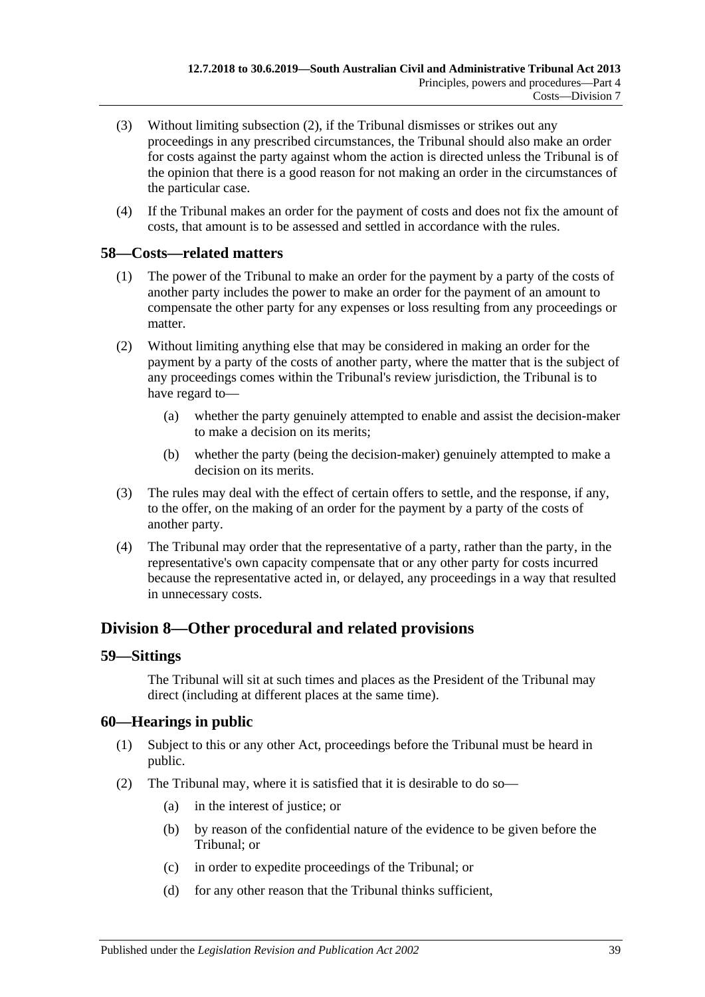- (3) Without limiting [subsection](#page-37-5) (2), if the Tribunal dismisses or strikes out any proceedings in any prescribed circumstances, the Tribunal should also make an order for costs against the party against whom the action is directed unless the Tribunal is of the opinion that there is a good reason for not making an order in the circumstances of the particular case.
- (4) If the Tribunal makes an order for the payment of costs and does not fix the amount of costs, that amount is to be assessed and settled in accordance with the rules.

#### <span id="page-38-0"></span>**58—Costs—related matters**

- (1) The power of the Tribunal to make an order for the payment by a party of the costs of another party includes the power to make an order for the payment of an amount to compensate the other party for any expenses or loss resulting from any proceedings or matter.
- (2) Without limiting anything else that may be considered in making an order for the payment by a party of the costs of another party, where the matter that is the subject of any proceedings comes within the Tribunal's review jurisdiction, the Tribunal is to have regard to—
	- (a) whether the party genuinely attempted to enable and assist the decision-maker to make a decision on its merits;
	- (b) whether the party (being the decision-maker) genuinely attempted to make a decision on its merits.
- (3) The rules may deal with the effect of certain offers to settle, and the response, if any, to the offer, on the making of an order for the payment by a party of the costs of another party.
- (4) The Tribunal may order that the representative of a party, rather than the party, in the representative's own capacity compensate that or any other party for costs incurred because the representative acted in, or delayed, any proceedings in a way that resulted in unnecessary costs.

### <span id="page-38-1"></span>**Division 8—Other procedural and related provisions**

#### <span id="page-38-2"></span>**59—Sittings**

The Tribunal will sit at such times and places as the President of the Tribunal may direct (including at different places at the same time).

### <span id="page-38-3"></span>**60—Hearings in public**

- (1) Subject to this or any other Act, proceedings before the Tribunal must be heard in public.
- <span id="page-38-4"></span>(2) The Tribunal may, where it is satisfied that it is desirable to do so—
	- (a) in the interest of justice; or
	- (b) by reason of the confidential nature of the evidence to be given before the Tribunal; or
	- (c) in order to expedite proceedings of the Tribunal; or
	- (d) for any other reason that the Tribunal thinks sufficient,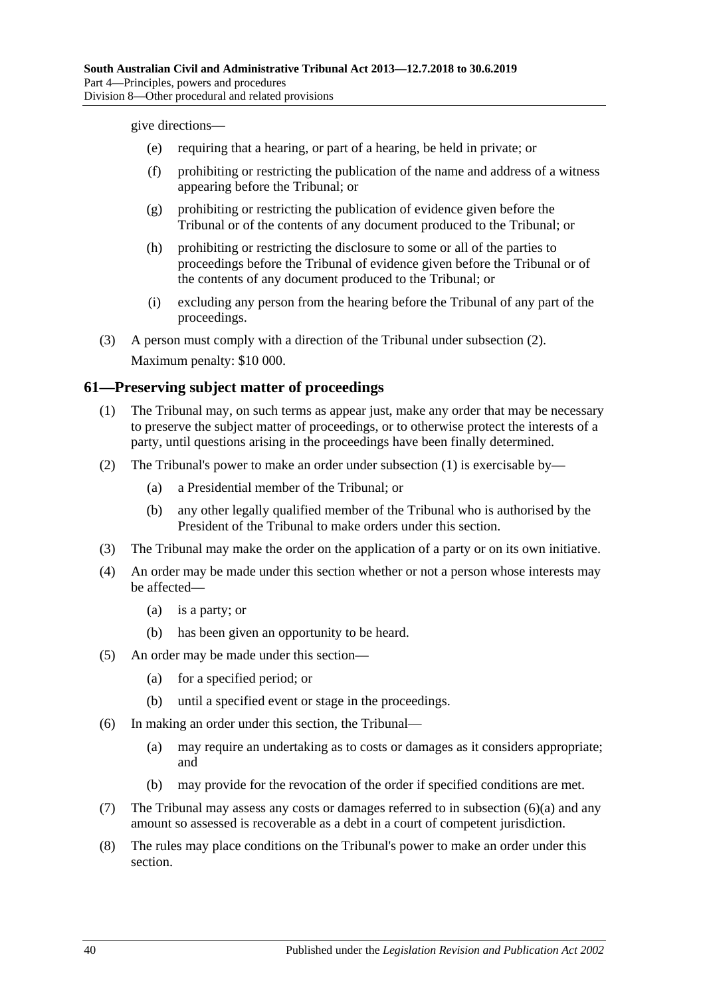give directions—

- (e) requiring that a hearing, or part of a hearing, be held in private; or
- (f) prohibiting or restricting the publication of the name and address of a witness appearing before the Tribunal; or
- (g) prohibiting or restricting the publication of evidence given before the Tribunal or of the contents of any document produced to the Tribunal; or
- (h) prohibiting or restricting the disclosure to some or all of the parties to proceedings before the Tribunal of evidence given before the Tribunal or of the contents of any document produced to the Tribunal; or
- (i) excluding any person from the hearing before the Tribunal of any part of the proceedings.
- (3) A person must comply with a direction of the Tribunal under [subsection](#page-38-4) (2). Maximum penalty: \$10 000.

### <span id="page-39-1"></span><span id="page-39-0"></span>**61—Preserving subject matter of proceedings**

- (1) The Tribunal may, on such terms as appear just, make any order that may be necessary to preserve the subject matter of proceedings, or to otherwise protect the interests of a party, until questions arising in the proceedings have been finally determined.
- (2) The Tribunal's power to make an order under [subsection](#page-39-1) (1) is exercisable by—
	- (a) a Presidential member of the Tribunal; or
	- (b) any other legally qualified member of the Tribunal who is authorised by the President of the Tribunal to make orders under this section.
- (3) The Tribunal may make the order on the application of a party or on its own initiative.
- (4) An order may be made under this section whether or not a person whose interests may be affected—
	- (a) is a party; or
	- (b) has been given an opportunity to be heard.
- (5) An order may be made under this section—
	- (a) for a specified period; or
	- (b) until a specified event or stage in the proceedings.
- <span id="page-39-2"></span>(6) In making an order under this section, the Tribunal—
	- (a) may require an undertaking as to costs or damages as it considers appropriate; and
	- (b) may provide for the revocation of the order if specified conditions are met.
- (7) The Tribunal may assess any costs or damages referred to in [subsection](#page-39-2) (6)(a) and any amount so assessed is recoverable as a debt in a court of competent jurisdiction.
- (8) The rules may place conditions on the Tribunal's power to make an order under this section.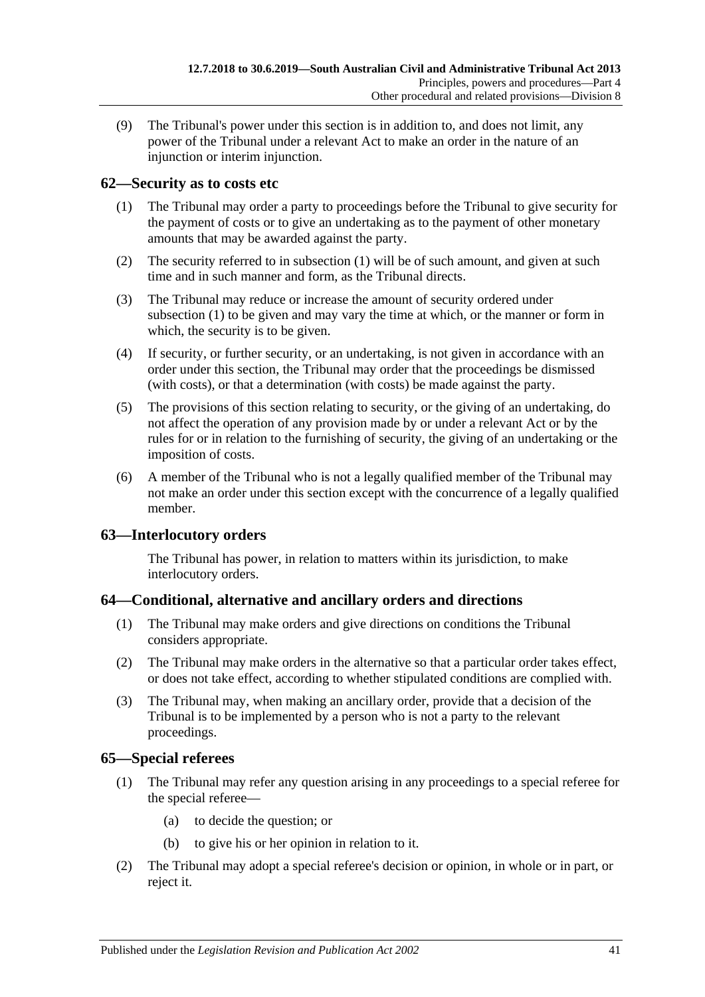(9) The Tribunal's power under this section is in addition to, and does not limit, any power of the Tribunal under a relevant Act to make an order in the nature of an injunction or interim injunction.

### <span id="page-40-4"></span><span id="page-40-0"></span>**62—Security as to costs etc**

- (1) The Tribunal may order a party to proceedings before the Tribunal to give security for the payment of costs or to give an undertaking as to the payment of other monetary amounts that may be awarded against the party.
- (2) The security referred to in [subsection](#page-40-4) (1) will be of such amount, and given at such time and in such manner and form, as the Tribunal directs.
- (3) The Tribunal may reduce or increase the amount of security ordered under [subsection](#page-40-4) (1) to be given and may vary the time at which, or the manner or form in which, the security is to be given.
- (4) If security, or further security, or an undertaking, is not given in accordance with an order under this section, the Tribunal may order that the proceedings be dismissed (with costs), or that a determination (with costs) be made against the party.
- (5) The provisions of this section relating to security, or the giving of an undertaking, do not affect the operation of any provision made by or under a relevant Act or by the rules for or in relation to the furnishing of security, the giving of an undertaking or the imposition of costs.
- (6) A member of the Tribunal who is not a legally qualified member of the Tribunal may not make an order under this section except with the concurrence of a legally qualified member.

### <span id="page-40-1"></span>**63—Interlocutory orders**

The Tribunal has power, in relation to matters within its jurisdiction, to make interlocutory orders.

### <span id="page-40-2"></span>**64—Conditional, alternative and ancillary orders and directions**

- (1) The Tribunal may make orders and give directions on conditions the Tribunal considers appropriate.
- (2) The Tribunal may make orders in the alternative so that a particular order takes effect, or does not take effect, according to whether stipulated conditions are complied with.
- (3) The Tribunal may, when making an ancillary order, provide that a decision of the Tribunal is to be implemented by a person who is not a party to the relevant proceedings.

### <span id="page-40-3"></span>**65—Special referees**

- (1) The Tribunal may refer any question arising in any proceedings to a special referee for the special referee—
	- (a) to decide the question; or
	- (b) to give his or her opinion in relation to it.
- (2) The Tribunal may adopt a special referee's decision or opinion, in whole or in part, or reject it.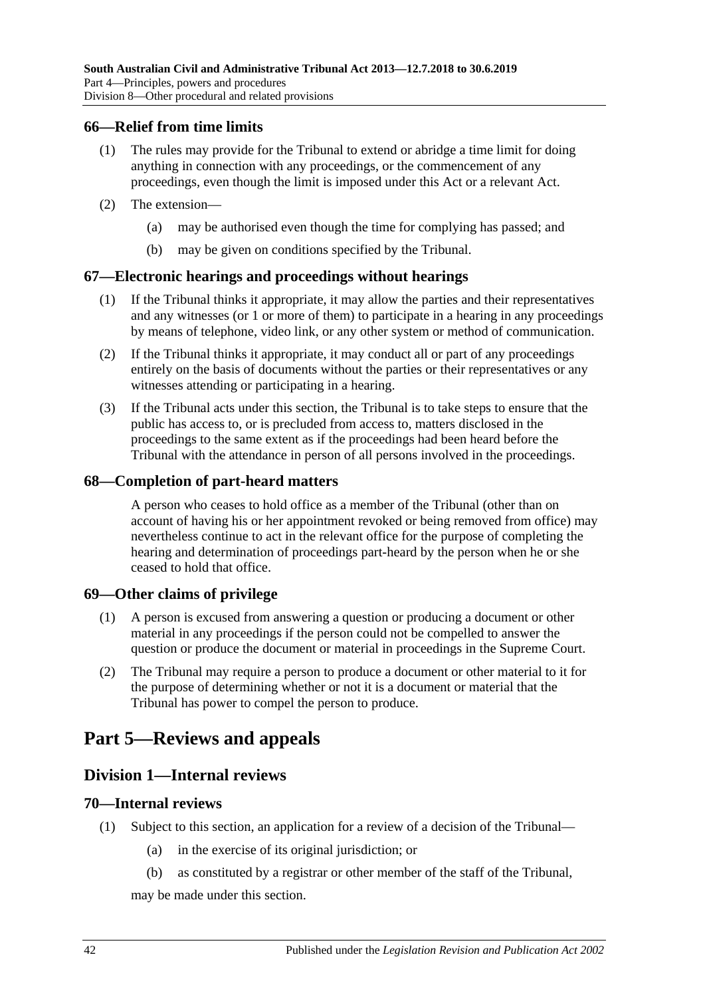#### <span id="page-41-0"></span>**66—Relief from time limits**

- (1) The rules may provide for the Tribunal to extend or abridge a time limit for doing anything in connection with any proceedings, or the commencement of any proceedings, even though the limit is imposed under this Act or a relevant Act.
- (2) The extension—
	- (a) may be authorised even though the time for complying has passed; and
	- (b) may be given on conditions specified by the Tribunal.

#### <span id="page-41-1"></span>**67—Electronic hearings and proceedings without hearings**

- (1) If the Tribunal thinks it appropriate, it may allow the parties and their representatives and any witnesses (or 1 or more of them) to participate in a hearing in any proceedings by means of telephone, video link, or any other system or method of communication.
- (2) If the Tribunal thinks it appropriate, it may conduct all or part of any proceedings entirely on the basis of documents without the parties or their representatives or any witnesses attending or participating in a hearing.
- (3) If the Tribunal acts under this section, the Tribunal is to take steps to ensure that the public has access to, or is precluded from access to, matters disclosed in the proceedings to the same extent as if the proceedings had been heard before the Tribunal with the attendance in person of all persons involved in the proceedings.

#### <span id="page-41-2"></span>**68—Completion of part-heard matters**

A person who ceases to hold office as a member of the Tribunal (other than on account of having his or her appointment revoked or being removed from office) may nevertheless continue to act in the relevant office for the purpose of completing the hearing and determination of proceedings part-heard by the person when he or she ceased to hold that office.

#### <span id="page-41-3"></span>**69—Other claims of privilege**

- (1) A person is excused from answering a question or producing a document or other material in any proceedings if the person could not be compelled to answer the question or produce the document or material in proceedings in the Supreme Court.
- (2) The Tribunal may require a person to produce a document or other material to it for the purpose of determining whether or not it is a document or material that the Tribunal has power to compel the person to produce.

## <span id="page-41-5"></span><span id="page-41-4"></span>**Part 5—Reviews and appeals**

### **Division 1—Internal reviews**

#### <span id="page-41-6"></span>**70—Internal reviews**

- <span id="page-41-7"></span>(1) Subject to this section, an application for a review of a decision of the Tribunal—
	- (a) in the exercise of its original jurisdiction; or
	- (b) as constituted by a registrar or other member of the staff of the Tribunal,

may be made under this section.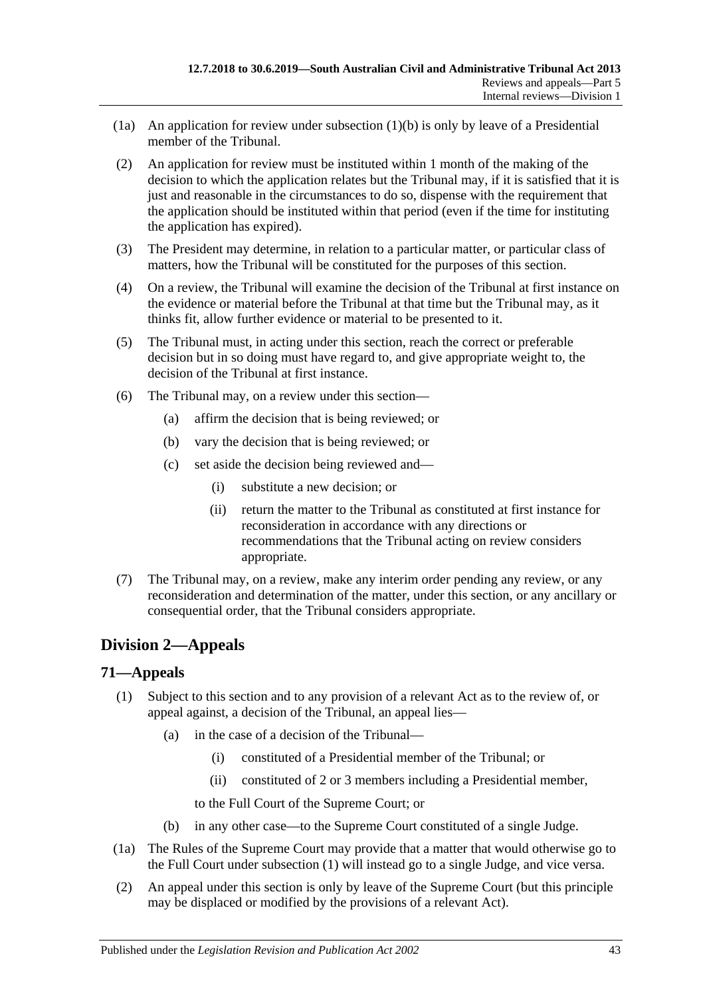- (1a) An application for review under [subsection](#page-41-7)  $(1)(b)$  is only by leave of a Presidential member of the Tribunal.
- (2) An application for review must be instituted within 1 month of the making of the decision to which the application relates but the Tribunal may, if it is satisfied that it is just and reasonable in the circumstances to do so, dispense with the requirement that the application should be instituted within that period (even if the time for instituting the application has expired).
- (3) The President may determine, in relation to a particular matter, or particular class of matters, how the Tribunal will be constituted for the purposes of this section.
- (4) On a review, the Tribunal will examine the decision of the Tribunal at first instance on the evidence or material before the Tribunal at that time but the Tribunal may, as it thinks fit, allow further evidence or material to be presented to it.
- (5) The Tribunal must, in acting under this section, reach the correct or preferable decision but in so doing must have regard to, and give appropriate weight to, the decision of the Tribunal at first instance.
- (6) The Tribunal may, on a review under this section—
	- (a) affirm the decision that is being reviewed; or
	- (b) vary the decision that is being reviewed; or
	- (c) set aside the decision being reviewed and—
		- (i) substitute a new decision; or
		- (ii) return the matter to the Tribunal as constituted at first instance for reconsideration in accordance with any directions or recommendations that the Tribunal acting on review considers appropriate.
- (7) The Tribunal may, on a review, make any interim order pending any review, or any reconsideration and determination of the matter, under this section, or any ancillary or consequential order, that the Tribunal considers appropriate.

### <span id="page-42-0"></span>**Division 2—Appeals**

#### <span id="page-42-2"></span><span id="page-42-1"></span>**71—Appeals**

- (1) Subject to this section and to any provision of a relevant Act as to the review of, or appeal against, a decision of the Tribunal, an appeal lies—
	- (a) in the case of a decision of the Tribunal—
		- (i) constituted of a Presidential member of the Tribunal; or
		- (ii) constituted of 2 or 3 members including a Presidential member,

to the Full Court of the Supreme Court; or

- (b) in any other case—to the Supreme Court constituted of a single Judge.
- (1a) The Rules of the Supreme Court may provide that a matter that would otherwise go to the Full Court under [subsection](#page-42-2) (1) will instead go to a single Judge, and vice versa.
- <span id="page-42-3"></span>(2) An appeal under this section is only by leave of the Supreme Court (but this principle may be displaced or modified by the provisions of a relevant Act).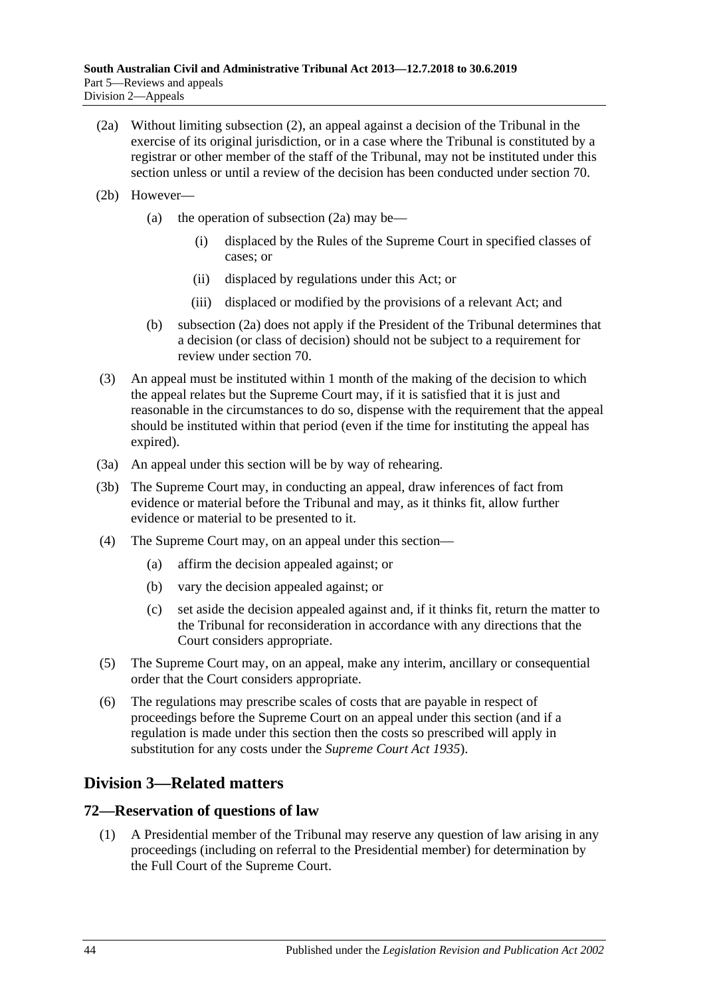- <span id="page-43-2"></span>(2a) Without limiting [subsection](#page-42-3) (2), an appeal against a decision of the Tribunal in the exercise of its original jurisdiction, or in a case where the Tribunal is constituted by a registrar or other member of the staff of the Tribunal, may not be instituted under this section unless or until a review of the decision has been conducted under [section](#page-41-6) 70.
- (2b) However
	- (a) the operation of [subsection](#page-43-2)  $(2a)$  may be—
		- (i) displaced by the Rules of the Supreme Court in specified classes of cases; or
		- (ii) displaced by regulations under this Act; or
		- (iii) displaced or modified by the provisions of a relevant Act; and
	- (b) [subsection](#page-43-2) (2a) does not apply if the President of the Tribunal determines that a decision (or class of decision) should not be subject to a requirement for review under [section](#page-41-6) 70.
- (3) An appeal must be instituted within 1 month of the making of the decision to which the appeal relates but the Supreme Court may, if it is satisfied that it is just and reasonable in the circumstances to do so, dispense with the requirement that the appeal should be instituted within that period (even if the time for instituting the appeal has expired).
- (3a) An appeal under this section will be by way of rehearing.
- (3b) The Supreme Court may, in conducting an appeal, draw inferences of fact from evidence or material before the Tribunal and may, as it thinks fit, allow further evidence or material to be presented to it.
- (4) The Supreme Court may, on an appeal under this section—
	- (a) affirm the decision appealed against; or
	- (b) vary the decision appealed against; or
	- (c) set aside the decision appealed against and, if it thinks fit, return the matter to the Tribunal for reconsideration in accordance with any directions that the Court considers appropriate.
- (5) The Supreme Court may, on an appeal, make any interim, ancillary or consequential order that the Court considers appropriate.
- (6) The regulations may prescribe scales of costs that are payable in respect of proceedings before the Supreme Court on an appeal under this section (and if a regulation is made under this section then the costs so prescribed will apply in substitution for any costs under the *[Supreme Court Act](http://www.legislation.sa.gov.au/index.aspx?action=legref&type=act&legtitle=Supreme%20Court%20Act%201935) 1935*).

### <span id="page-43-0"></span>**Division 3—Related matters**

#### <span id="page-43-1"></span>**72—Reservation of questions of law**

(1) A Presidential member of the Tribunal may reserve any question of law arising in any proceedings (including on referral to the Presidential member) for determination by the Full Court of the Supreme Court.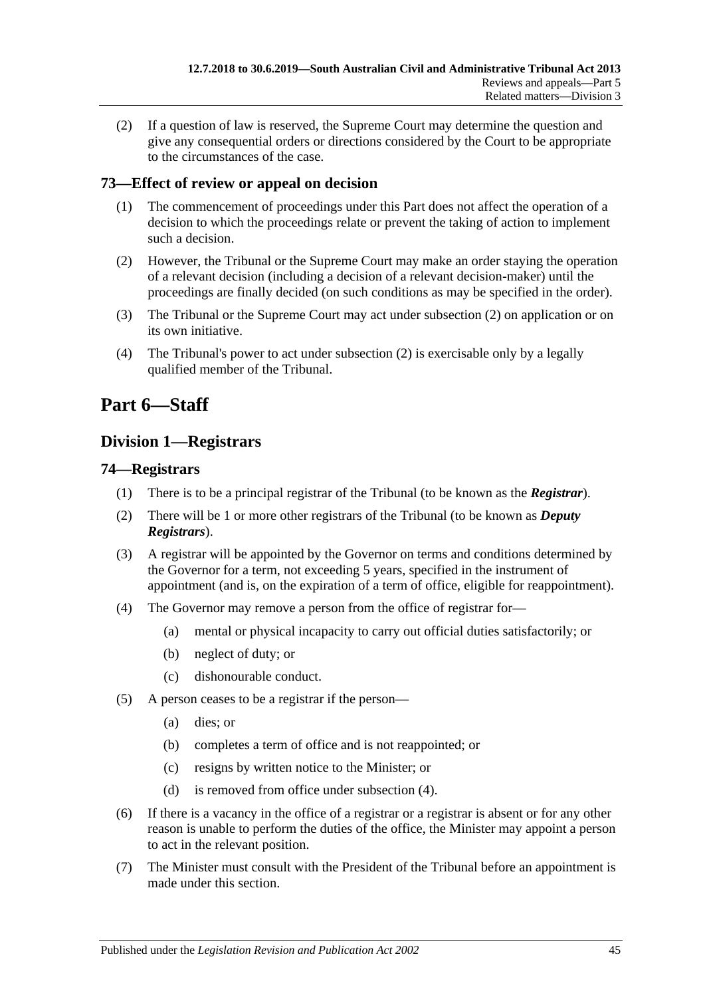(2) If a question of law is reserved, the Supreme Court may determine the question and give any consequential orders or directions considered by the Court to be appropriate to the circumstances of the case.

### <span id="page-44-0"></span>**73—Effect of review or appeal on decision**

- (1) The commencement of proceedings under this Part does not affect the operation of a decision to which the proceedings relate or prevent the taking of action to implement such a decision.
- <span id="page-44-4"></span>(2) However, the Tribunal or the Supreme Court may make an order staying the operation of a relevant decision (including a decision of a relevant decision-maker) until the proceedings are finally decided (on such conditions as may be specified in the order).
- (3) The Tribunal or the Supreme Court may act under [subsection](#page-44-4) (2) on application or on its own initiative.
- (4) The Tribunal's power to act under [subsection](#page-44-4) (2) is exercisable only by a legally qualified member of the Tribunal.

# <span id="page-44-1"></span>**Part 6—Staff**

## <span id="page-44-2"></span>**Division 1—Registrars**

### <span id="page-44-3"></span>**74—Registrars**

- (1) There is to be a principal registrar of the Tribunal (to be known as the *Registrar*).
- (2) There will be 1 or more other registrars of the Tribunal (to be known as *Deputy Registrars*).
- (3) A registrar will be appointed by the Governor on terms and conditions determined by the Governor for a term, not exceeding 5 years, specified in the instrument of appointment (and is, on the expiration of a term of office, eligible for reappointment).
- <span id="page-44-5"></span>(4) The Governor may remove a person from the office of registrar for—
	- (a) mental or physical incapacity to carry out official duties satisfactorily; or
	- (b) neglect of duty; or
	- (c) dishonourable conduct.
- (5) A person ceases to be a registrar if the person—
	- (a) dies; or
	- (b) completes a term of office and is not reappointed; or
	- (c) resigns by written notice to the Minister; or
	- (d) is removed from office under [subsection](#page-44-5) (4).
- (6) If there is a vacancy in the office of a registrar or a registrar is absent or for any other reason is unable to perform the duties of the office, the Minister may appoint a person to act in the relevant position.
- (7) The Minister must consult with the President of the Tribunal before an appointment is made under this section.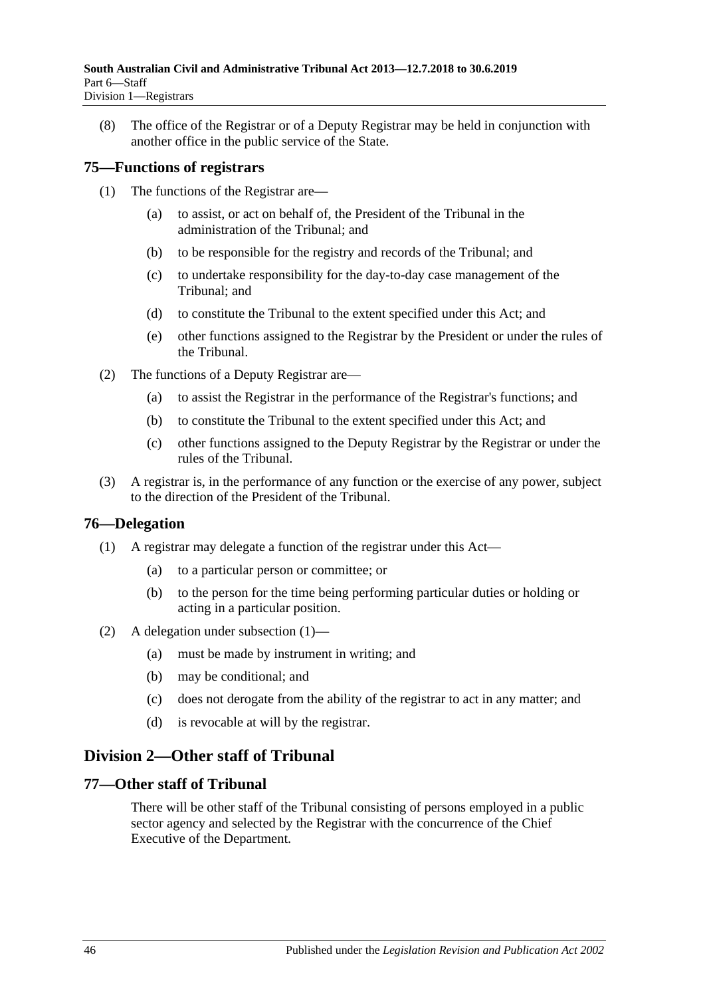(8) The office of the Registrar or of a Deputy Registrar may be held in conjunction with another office in the public service of the State.

### <span id="page-45-0"></span>**75—Functions of registrars**

- (1) The functions of the Registrar are—
	- (a) to assist, or act on behalf of, the President of the Tribunal in the administration of the Tribunal; and
	- (b) to be responsible for the registry and records of the Tribunal; and
	- (c) to undertake responsibility for the day-to-day case management of the Tribunal; and
	- (d) to constitute the Tribunal to the extent specified under this Act; and
	- (e) other functions assigned to the Registrar by the President or under the rules of the Tribunal.
- (2) The functions of a Deputy Registrar are—
	- (a) to assist the Registrar in the performance of the Registrar's functions; and
	- (b) to constitute the Tribunal to the extent specified under this Act; and
	- (c) other functions assigned to the Deputy Registrar by the Registrar or under the rules of the Tribunal.
- (3) A registrar is, in the performance of any function or the exercise of any power, subject to the direction of the President of the Tribunal.

### <span id="page-45-4"></span><span id="page-45-1"></span>**76—Delegation**

- (1) A registrar may delegate a function of the registrar under this Act—
	- (a) to a particular person or committee; or
	- (b) to the person for the time being performing particular duties or holding or acting in a particular position.
- (2) A delegation under [subsection](#page-45-4) (1)—
	- (a) must be made by instrument in writing; and
	- (b) may be conditional; and
	- (c) does not derogate from the ability of the registrar to act in any matter; and
	- (d) is revocable at will by the registrar.

## <span id="page-45-2"></span>**Division 2—Other staff of Tribunal**

### <span id="page-45-3"></span>**77—Other staff of Tribunal**

There will be other staff of the Tribunal consisting of persons employed in a public sector agency and selected by the Registrar with the concurrence of the Chief Executive of the Department.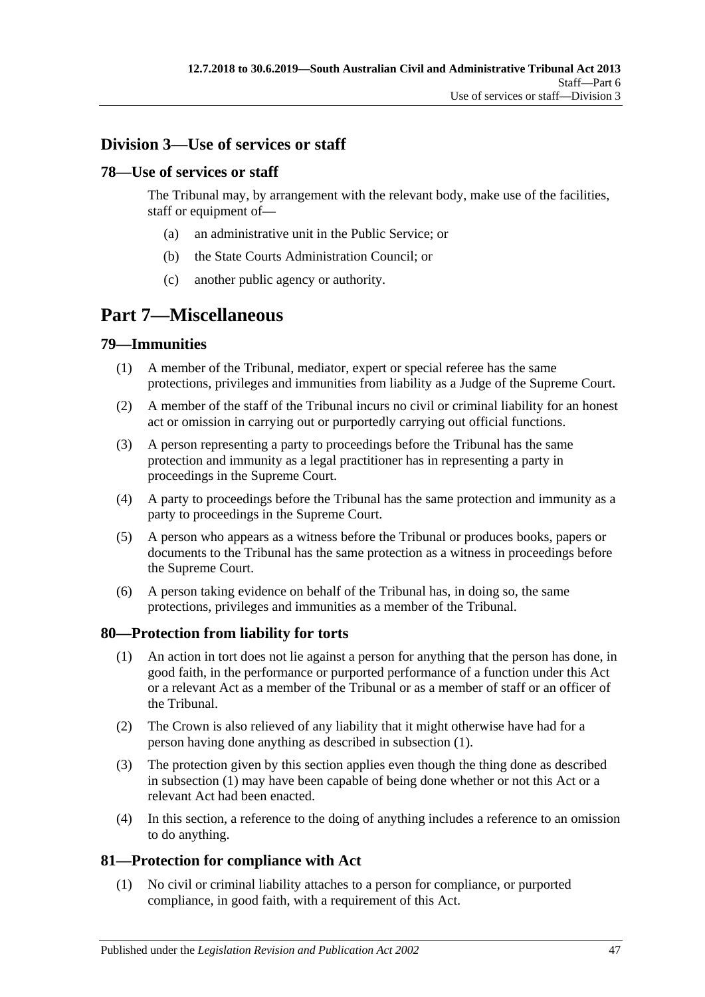## <span id="page-46-0"></span>**Division 3—Use of services or staff**

### <span id="page-46-1"></span>**78—Use of services or staff**

The Tribunal may, by arrangement with the relevant body, make use of the facilities, staff or equipment of—

- (a) an administrative unit in the Public Service; or
- (b) the State Courts Administration Council; or
- (c) another public agency or authority.

## <span id="page-46-2"></span>**Part 7—Miscellaneous**

### <span id="page-46-3"></span>**79—Immunities**

- (1) A member of the Tribunal, mediator, expert or special referee has the same protections, privileges and immunities from liability as a Judge of the Supreme Court.
- (2) A member of the staff of the Tribunal incurs no civil or criminal liability for an honest act or omission in carrying out or purportedly carrying out official functions.
- (3) A person representing a party to proceedings before the Tribunal has the same protection and immunity as a legal practitioner has in representing a party in proceedings in the Supreme Court.
- (4) A party to proceedings before the Tribunal has the same protection and immunity as a party to proceedings in the Supreme Court.
- (5) A person who appears as a witness before the Tribunal or produces books, papers or documents to the Tribunal has the same protection as a witness in proceedings before the Supreme Court.
- (6) A person taking evidence on behalf of the Tribunal has, in doing so, the same protections, privileges and immunities as a member of the Tribunal.

### <span id="page-46-6"></span><span id="page-46-4"></span>**80—Protection from liability for torts**

- (1) An action in tort does not lie against a person for anything that the person has done, in good faith, in the performance or purported performance of a function under this Act or a relevant Act as a member of the Tribunal or as a member of staff or an officer of the Tribunal.
- (2) The Crown is also relieved of any liability that it might otherwise have had for a person having done anything as described in [subsection](#page-46-6) (1).
- (3) The protection given by this section applies even though the thing done as described in [subsection](#page-46-6) (1) may have been capable of being done whether or not this Act or a relevant Act had been enacted.
- (4) In this section, a reference to the doing of anything includes a reference to an omission to do anything.

### <span id="page-46-5"></span>**81—Protection for compliance with Act**

(1) No civil or criminal liability attaches to a person for compliance, or purported compliance, in good faith, with a requirement of this Act.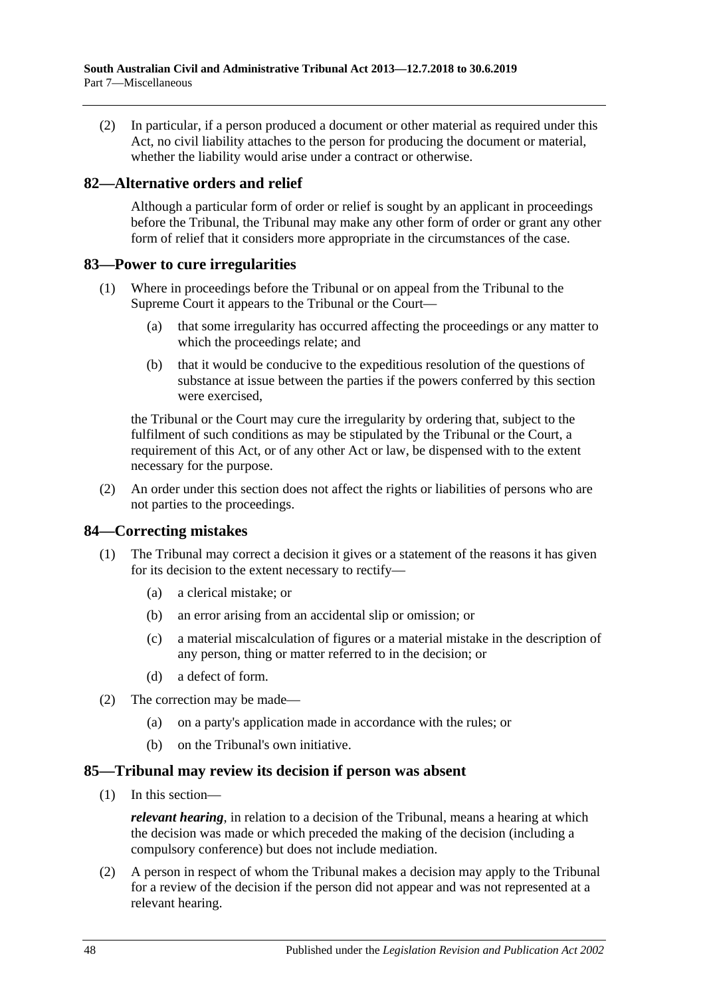(2) In particular, if a person produced a document or other material as required under this Act, no civil liability attaches to the person for producing the document or material, whether the liability would arise under a contract or otherwise.

#### <span id="page-47-0"></span>**82—Alternative orders and relief**

Although a particular form of order or relief is sought by an applicant in proceedings before the Tribunal, the Tribunal may make any other form of order or grant any other form of relief that it considers more appropriate in the circumstances of the case.

#### <span id="page-47-1"></span>**83—Power to cure irregularities**

- (1) Where in proceedings before the Tribunal or on appeal from the Tribunal to the Supreme Court it appears to the Tribunal or the Court—
	- (a) that some irregularity has occurred affecting the proceedings or any matter to which the proceedings relate; and
	- (b) that it would be conducive to the expeditious resolution of the questions of substance at issue between the parties if the powers conferred by this section were exercised,

the Tribunal or the Court may cure the irregularity by ordering that, subject to the fulfilment of such conditions as may be stipulated by the Tribunal or the Court, a requirement of this Act, or of any other Act or law, be dispensed with to the extent necessary for the purpose.

(2) An order under this section does not affect the rights or liabilities of persons who are not parties to the proceedings.

#### <span id="page-47-2"></span>**84—Correcting mistakes**

- (1) The Tribunal may correct a decision it gives or a statement of the reasons it has given for its decision to the extent necessary to rectify—
	- (a) a clerical mistake; or
	- (b) an error arising from an accidental slip or omission; or
	- (c) a material miscalculation of figures or a material mistake in the description of any person, thing or matter referred to in the decision; or
	- (d) a defect of form.
- (2) The correction may be made—
	- (a) on a party's application made in accordance with the rules; or
	- (b) on the Tribunal's own initiative.

#### <span id="page-47-3"></span>**85—Tribunal may review its decision if person was absent**

(1) In this section—

*relevant hearing*, in relation to a decision of the Tribunal, means a hearing at which the decision was made or which preceded the making of the decision (including a compulsory conference) but does not include mediation.

(2) A person in respect of whom the Tribunal makes a decision may apply to the Tribunal for a review of the decision if the person did not appear and was not represented at a relevant hearing.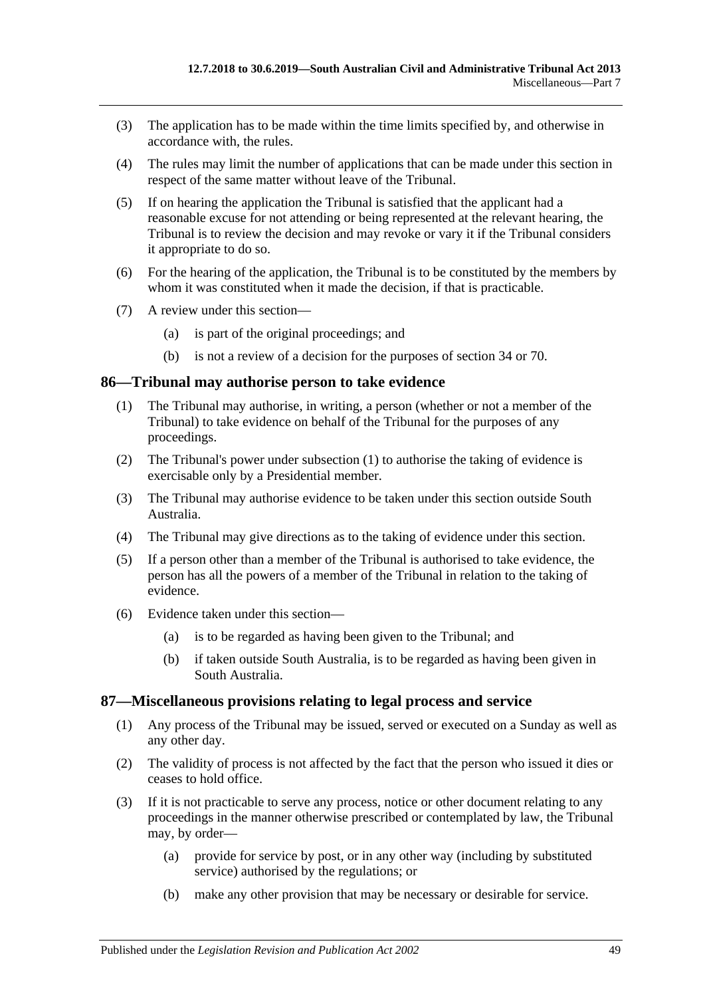- (3) The application has to be made within the time limits specified by, and otherwise in accordance with, the rules.
- (4) The rules may limit the number of applications that can be made under this section in respect of the same matter without leave of the Tribunal.
- (5) If on hearing the application the Tribunal is satisfied that the applicant had a reasonable excuse for not attending or being represented at the relevant hearing, the Tribunal is to review the decision and may revoke or vary it if the Tribunal considers it appropriate to do so.
- (6) For the hearing of the application, the Tribunal is to be constituted by the members by whom it was constituted when it made the decision, if that is practicable.
- (7) A review under this section—
	- (a) is part of the original proceedings; and
	- (b) is not a review of a decision for the purposes of [section](#page-21-3) 34 or [70.](#page-41-6)

#### <span id="page-48-2"></span><span id="page-48-0"></span>**86—Tribunal may authorise person to take evidence**

- (1) The Tribunal may authorise, in writing, a person (whether or not a member of the Tribunal) to take evidence on behalf of the Tribunal for the purposes of any proceedings.
- (2) The Tribunal's power under [subsection](#page-48-2) (1) to authorise the taking of evidence is exercisable only by a Presidential member.
- (3) The Tribunal may authorise evidence to be taken under this section outside South Australia.
- (4) The Tribunal may give directions as to the taking of evidence under this section.
- (5) If a person other than a member of the Tribunal is authorised to take evidence, the person has all the powers of a member of the Tribunal in relation to the taking of evidence.
- (6) Evidence taken under this section—
	- (a) is to be regarded as having been given to the Tribunal; and
	- (b) if taken outside South Australia, is to be regarded as having been given in South Australia.

#### <span id="page-48-1"></span>**87—Miscellaneous provisions relating to legal process and service**

- (1) Any process of the Tribunal may be issued, served or executed on a Sunday as well as any other day.
- (2) The validity of process is not affected by the fact that the person who issued it dies or ceases to hold office.
- <span id="page-48-3"></span>(3) If it is not practicable to serve any process, notice or other document relating to any proceedings in the manner otherwise prescribed or contemplated by law, the Tribunal may, by order—
	- (a) provide for service by post, or in any other way (including by substituted service) authorised by the regulations; or
	- (b) make any other provision that may be necessary or desirable for service.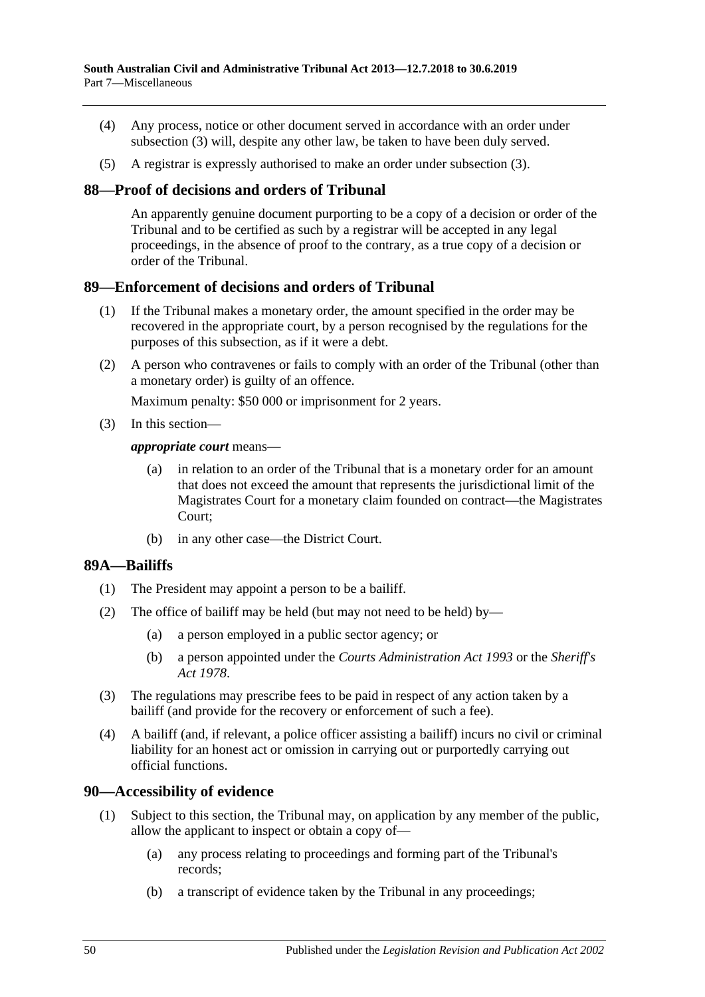- (4) Any process, notice or other document served in accordance with an order under [subsection](#page-48-3) (3) will, despite any other law, be taken to have been duly served.
- (5) A registrar is expressly authorised to make an order under [subsection](#page-48-3) (3).

#### <span id="page-49-0"></span>**88—Proof of decisions and orders of Tribunal**

An apparently genuine document purporting to be a copy of a decision or order of the Tribunal and to be certified as such by a registrar will be accepted in any legal proceedings, in the absence of proof to the contrary, as a true copy of a decision or order of the Tribunal.

#### <span id="page-49-1"></span>**89—Enforcement of decisions and orders of Tribunal**

- (1) If the Tribunal makes a monetary order, the amount specified in the order may be recovered in the appropriate court, by a person recognised by the regulations for the purposes of this subsection, as if it were a debt.
- (2) A person who contravenes or fails to comply with an order of the Tribunal (other than a monetary order) is guilty of an offence.

Maximum penalty: \$50 000 or imprisonment for 2 years.

(3) In this section—

#### *appropriate court* means—

- (a) in relation to an order of the Tribunal that is a monetary order for an amount that does not exceed the amount that represents the jurisdictional limit of the Magistrates Court for a monetary claim founded on contract—the Magistrates Court;
- (b) in any other case—the District Court.

### <span id="page-49-2"></span>**89A—Bailiffs**

- (1) The President may appoint a person to be a bailiff.
- (2) The office of bailiff may be held (but may not need to be held) by—
	- (a) a person employed in a public sector agency; or
	- (b) a person appointed under the *[Courts Administration Act](http://www.legislation.sa.gov.au/index.aspx?action=legref&type=act&legtitle=Courts%20Administration%20Act%201993) 1993* or the *[Sheriff's](http://www.legislation.sa.gov.au/index.aspx?action=legref&type=act&legtitle=Sheriffs%20Act%201978)  Act [1978](http://www.legislation.sa.gov.au/index.aspx?action=legref&type=act&legtitle=Sheriffs%20Act%201978)*.
- (3) The regulations may prescribe fees to be paid in respect of any action taken by a bailiff (and provide for the recovery or enforcement of such a fee).
- (4) A bailiff (and, if relevant, a police officer assisting a bailiff) incurs no civil or criminal liability for an honest act or omission in carrying out or purportedly carrying out official functions.

#### <span id="page-49-4"></span><span id="page-49-3"></span>**90—Accessibility of evidence**

- (1) Subject to this section, the Tribunal may, on application by any member of the public, allow the applicant to inspect or obtain a copy of—
	- (a) any process relating to proceedings and forming part of the Tribunal's records;
	- (b) a transcript of evidence taken by the Tribunal in any proceedings;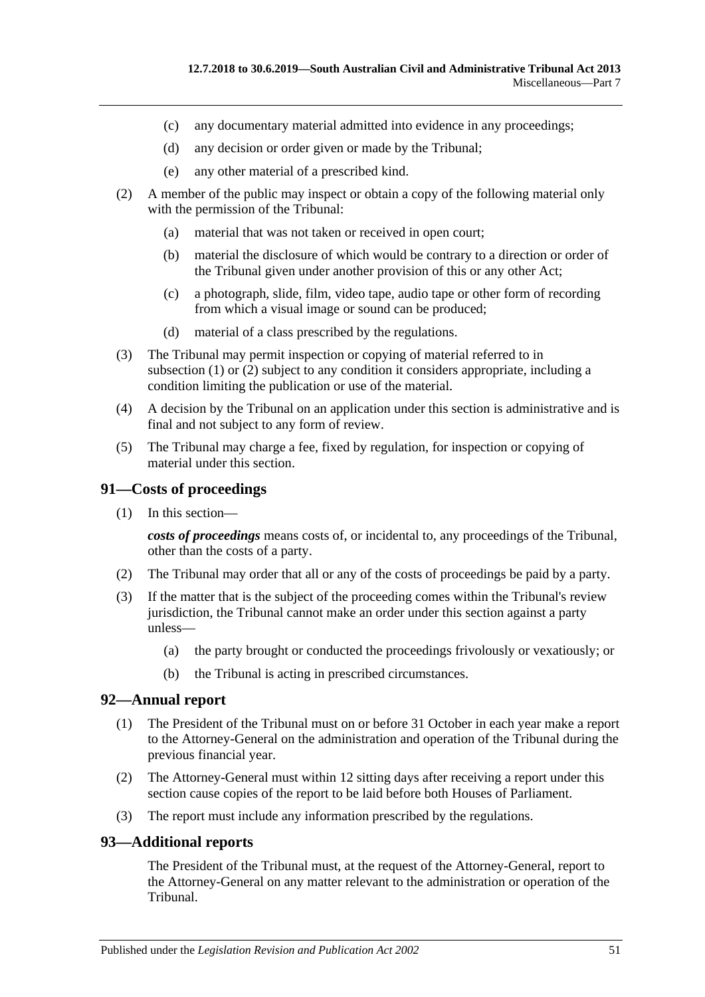- (c) any documentary material admitted into evidence in any proceedings;
- (d) any decision or order given or made by the Tribunal;
- (e) any other material of a prescribed kind.
- <span id="page-50-3"></span>(2) A member of the public may inspect or obtain a copy of the following material only with the permission of the Tribunal:
	- (a) material that was not taken or received in open court;
	- (b) material the disclosure of which would be contrary to a direction or order of the Tribunal given under another provision of this or any other Act;
	- (c) a photograph, slide, film, video tape, audio tape or other form of recording from which a visual image or sound can be produced;
	- (d) material of a class prescribed by the regulations.
- (3) The Tribunal may permit inspection or copying of material referred to in [subsection](#page-49-4)  $(1)$  or  $(2)$  subject to any condition it considers appropriate, including a condition limiting the publication or use of the material.
- (4) A decision by the Tribunal on an application under this section is administrative and is final and not subject to any form of review.
- (5) The Tribunal may charge a fee, fixed by regulation, for inspection or copying of material under this section.

#### <span id="page-50-0"></span>**91—Costs of proceedings**

(1) In this section—

*costs of proceedings* means costs of, or incidental to, any proceedings of the Tribunal, other than the costs of a party.

- (2) The Tribunal may order that all or any of the costs of proceedings be paid by a party.
- (3) If the matter that is the subject of the proceeding comes within the Tribunal's review jurisdiction, the Tribunal cannot make an order under this section against a party unless—
	- (a) the party brought or conducted the proceedings frivolously or vexatiously; or
	- (b) the Tribunal is acting in prescribed circumstances.

#### <span id="page-50-1"></span>**92—Annual report**

- (1) The President of the Tribunal must on or before 31 October in each year make a report to the Attorney-General on the administration and operation of the Tribunal during the previous financial year.
- (2) The Attorney-General must within 12 sitting days after receiving a report under this section cause copies of the report to be laid before both Houses of Parliament.
- (3) The report must include any information prescribed by the regulations.

#### <span id="page-50-2"></span>**93—Additional reports**

The President of the Tribunal must, at the request of the Attorney-General, report to the Attorney-General on any matter relevant to the administration or operation of the Tribunal.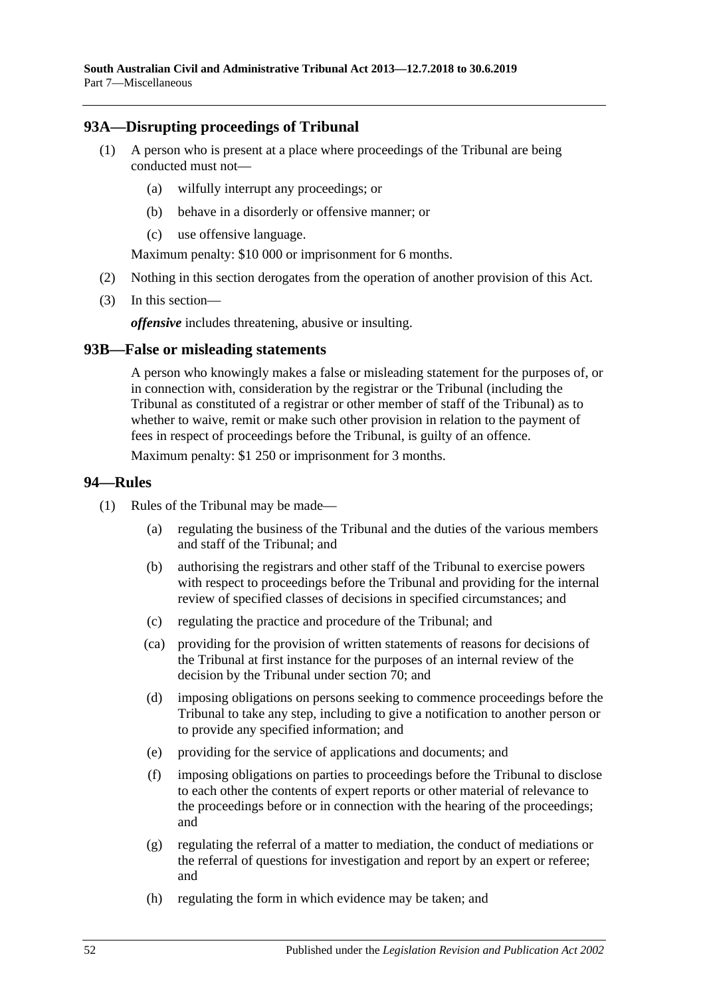### <span id="page-51-0"></span>**93A—Disrupting proceedings of Tribunal**

- (1) A person who is present at a place where proceedings of the Tribunal are being conducted must not—
	- (a) wilfully interrupt any proceedings; or
	- (b) behave in a disorderly or offensive manner; or
	- (c) use offensive language.

Maximum penalty: \$10 000 or imprisonment for 6 months.

- (2) Nothing in this section derogates from the operation of another provision of this Act.
- (3) In this section—

*offensive* includes threatening, abusive or insulting.

#### <span id="page-51-1"></span>**93B—False or misleading statements**

A person who knowingly makes a false or misleading statement for the purposes of, or in connection with, consideration by the registrar or the Tribunal (including the Tribunal as constituted of a registrar or other member of staff of the Tribunal) as to whether to waive, remit or make such other provision in relation to the payment of fees in respect of proceedings before the Tribunal, is guilty of an offence.

Maximum penalty: \$1 250 or imprisonment for 3 months.

#### <span id="page-51-2"></span>**94—Rules**

- (1) Rules of the Tribunal may be made—
	- (a) regulating the business of the Tribunal and the duties of the various members and staff of the Tribunal; and
	- (b) authorising the registrars and other staff of the Tribunal to exercise powers with respect to proceedings before the Tribunal and providing for the internal review of specified classes of decisions in specified circumstances; and
	- (c) regulating the practice and procedure of the Tribunal; and
	- (ca) providing for the provision of written statements of reasons for decisions of the Tribunal at first instance for the purposes of an internal review of the decision by the Tribunal under [section](#page-41-6) 70; and
	- (d) imposing obligations on persons seeking to commence proceedings before the Tribunal to take any step, including to give a notification to another person or to provide any specified information; and
	- (e) providing for the service of applications and documents; and
	- (f) imposing obligations on parties to proceedings before the Tribunal to disclose to each other the contents of expert reports or other material of relevance to the proceedings before or in connection with the hearing of the proceedings; and
	- (g) regulating the referral of a matter to mediation, the conduct of mediations or the referral of questions for investigation and report by an expert or referee; and
	- (h) regulating the form in which evidence may be taken; and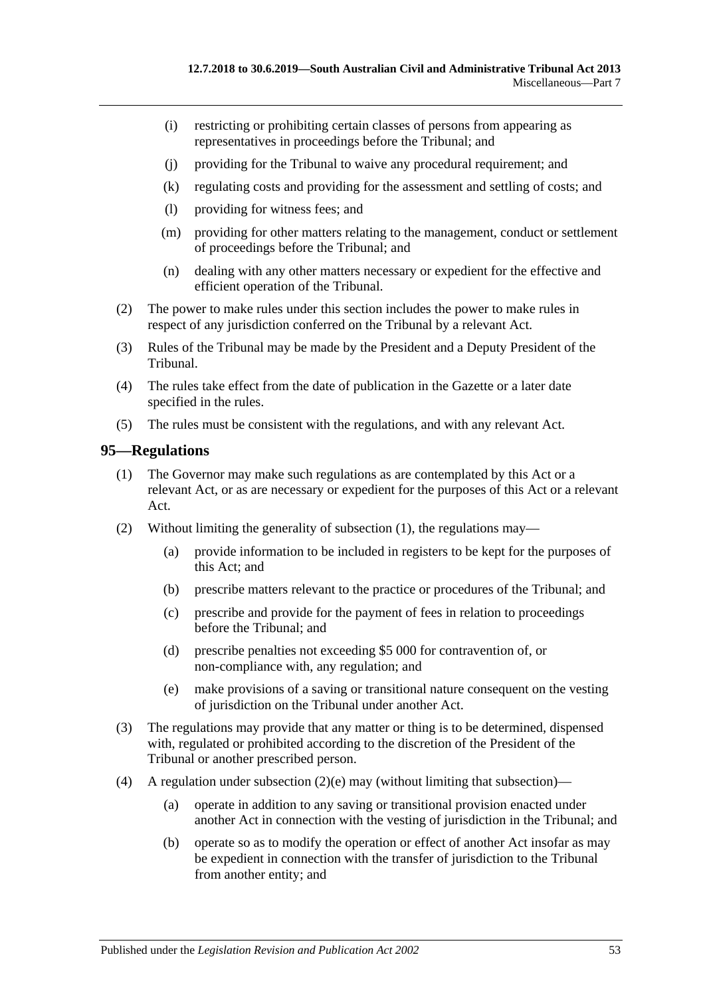- (i) restricting or prohibiting certain classes of persons from appearing as representatives in proceedings before the Tribunal; and
- (j) providing for the Tribunal to waive any procedural requirement; and
- (k) regulating costs and providing for the assessment and settling of costs; and
- (l) providing for witness fees; and
- (m) providing for other matters relating to the management, conduct or settlement of proceedings before the Tribunal; and
- (n) dealing with any other matters necessary or expedient for the effective and efficient operation of the Tribunal.
- (2) The power to make rules under this section includes the power to make rules in respect of any jurisdiction conferred on the Tribunal by a relevant Act.
- (3) Rules of the Tribunal may be made by the President and a Deputy President of the Tribunal.
- (4) The rules take effect from the date of publication in the Gazette or a later date specified in the rules.
- (5) The rules must be consistent with the regulations, and with any relevant Act.

#### <span id="page-52-1"></span><span id="page-52-0"></span>**95—Regulations**

- (1) The Governor may make such regulations as are contemplated by this Act or a relevant Act, or as are necessary or expedient for the purposes of this Act or a relevant Act.
- (2) Without limiting the generality of [subsection](#page-52-1) (1), the regulations may—
	- (a) provide information to be included in registers to be kept for the purposes of this Act; and
	- (b) prescribe matters relevant to the practice or procedures of the Tribunal; and
	- (c) prescribe and provide for the payment of fees in relation to proceedings before the Tribunal; and
	- (d) prescribe penalties not exceeding \$5 000 for contravention of, or non-compliance with, any regulation; and
	- (e) make provisions of a saving or transitional nature consequent on the vesting of jurisdiction on the Tribunal under another Act.
- <span id="page-52-2"></span>(3) The regulations may provide that any matter or thing is to be determined, dispensed with, regulated or prohibited according to the discretion of the President of the Tribunal or another prescribed person.
- (4) A regulation under [subsection](#page-52-2)  $(2)(e)$  may (without limiting that subsection)—
	- (a) operate in addition to any saving or transitional provision enacted under another Act in connection with the vesting of jurisdiction in the Tribunal; and
	- (b) operate so as to modify the operation or effect of another Act insofar as may be expedient in connection with the transfer of jurisdiction to the Tribunal from another entity; and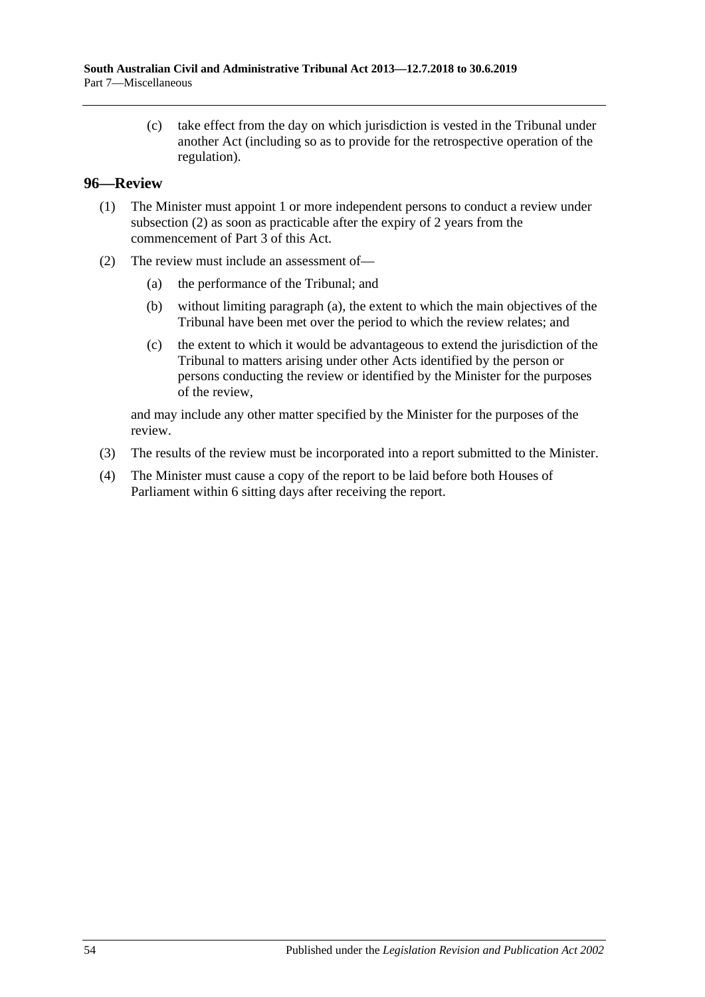(c) take effect from the day on which jurisdiction is vested in the Tribunal under another Act (including so as to provide for the retrospective operation of the regulation).

#### <span id="page-53-0"></span>**96—Review**

- (1) The Minister must appoint 1 or more independent persons to conduct a review under [subsection](#page-53-1) (2) as soon as practicable after the expiry of 2 years from the commencement of [Part](#page-20-1) 3 of this Act.
- <span id="page-53-2"></span><span id="page-53-1"></span>(2) The review must include an assessment of—
	- (a) the performance of the Tribunal; and
	- (b) without limiting [paragraph](#page-53-2) (a), the extent to which the main objectives of the Tribunal have been met over the period to which the review relates; and
	- (c) the extent to which it would be advantageous to extend the jurisdiction of the Tribunal to matters arising under other Acts identified by the person or persons conducting the review or identified by the Minister for the purposes of the review,

and may include any other matter specified by the Minister for the purposes of the review.

- (3) The results of the review must be incorporated into a report submitted to the Minister.
- (4) The Minister must cause a copy of the report to be laid before both Houses of Parliament within 6 sitting days after receiving the report.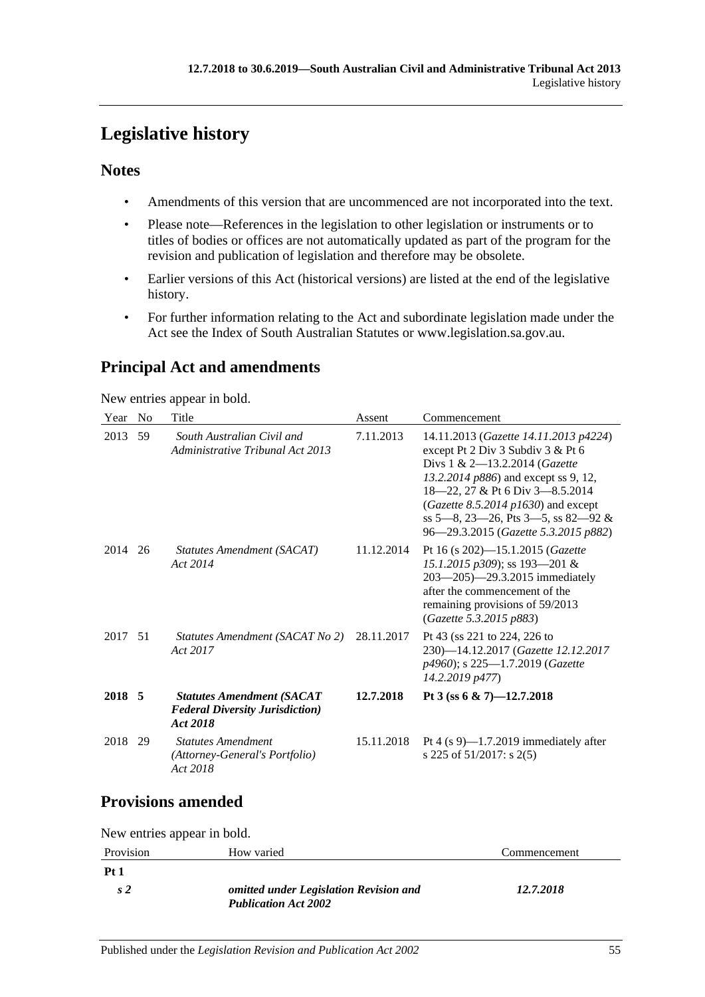# <span id="page-54-0"></span>**Legislative history**

### **Notes**

- Amendments of this version that are uncommenced are not incorporated into the text.
- Please note—References in the legislation to other legislation or instruments or to titles of bodies or offices are not automatically updated as part of the program for the revision and publication of legislation and therefore may be obsolete.
- Earlier versions of this Act (historical versions) are listed at the end of the legislative history.
- For further information relating to the Act and subordinate legislation made under the Act see the Index of South Australian Statutes or www.legislation.sa.gov.au.

## **Principal Act and amendments**

New entries appear in bold.

| Year    | N <sub>0</sub> | Title                                                                                   | Assent     | Commencement                                                                                                                                                                                                                                                                                                |
|---------|----------------|-----------------------------------------------------------------------------------------|------------|-------------------------------------------------------------------------------------------------------------------------------------------------------------------------------------------------------------------------------------------------------------------------------------------------------------|
| 2013    | 59             | South Australian Civil and<br>Administrative Tribunal Act 2013                          | 7.11.2013  | 14.11.2013 (Gazette 14.11.2013 p4224)<br>except Pt 2 Div 3 Subdiv 3 & Pt 6<br>Divs 1 & 2-13.2.2014 (Gazette<br>13.2.2014 p886) and except ss 9, 12,<br>18-22, 27 & Pt 6 Div 3-8.5.2014<br>(Gazette 8.5.2014 p1630) and except<br>ss 5-8, 23-26, Pts 3-5, ss 82-92 &<br>96-29.3.2015 (Gazette 5.3.2015 p882) |
| 2014    | 26             | Statutes Amendment (SACAT)<br>Act 2014                                                  | 11.12.2014 | Pt 16 (s 202)-15.1.2015 (Gazette<br>15.1.2015 p309); ss 193-201 &<br>203-205)-29.3.2015 immediately<br>after the commencement of the<br>remaining provisions of 59/2013<br>(Gazette 5.3.2015 p883)                                                                                                          |
| 2017 51 |                | Statutes Amendment (SACAT No 2)<br>Act 2017                                             | 28.11.2017 | Pt 43 (ss 221 to 224, 226 to<br>230)-14.12.2017 (Gazette 12.12.2017<br>p4960); s 225-1.7.2019 (Gazette<br>14.2.2019 p477)                                                                                                                                                                                   |
| 2018 5  |                | <b>Statutes Amendment (SACAT</b><br><b>Federal Diversity Jurisdiction</b> )<br>Act 2018 | 12.7.2018  | Pt 3 (ss 6 & 7)-12.7.2018                                                                                                                                                                                                                                                                                   |
| 2018    | 29             | <b>Statutes Amendment</b><br>(Attorney-General's Portfolio)<br>Act 2018                 | 15.11.2018 | Pt 4 $(s 9)$ —1.7.2019 immediately after<br>s 225 of 51/2017: s 2(5)                                                                                                                                                                                                                                        |

## **Provisions amended**

New entries appear in bold.

| Provision      | How varied                                                            | Commencement |
|----------------|-----------------------------------------------------------------------|--------------|
| <b>Pt 1</b>    |                                                                       |              |
| s <sub>2</sub> | omitted under Legislation Revision and<br><b>Publication Act 2002</b> | 12.7.2018    |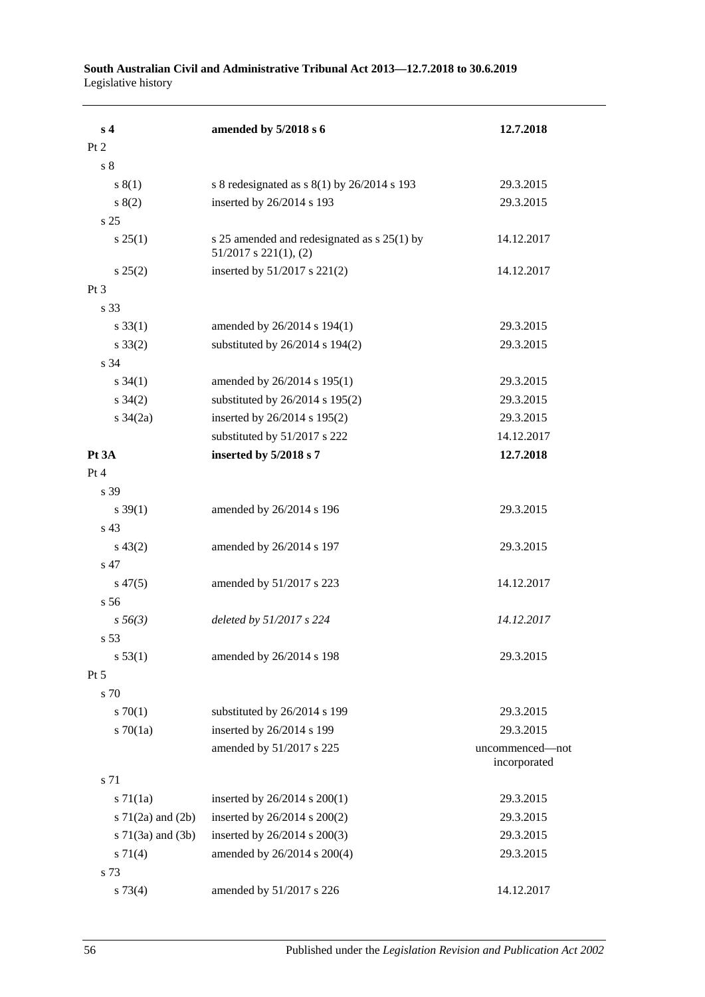| s <sub>4</sub>           | amended by 5/2018 s 6                                                     | 12.7.2018                       |
|--------------------------|---------------------------------------------------------------------------|---------------------------------|
| Pt 2                     |                                                                           |                                 |
| s <sub>8</sub>           |                                                                           |                                 |
| s(1)                     | s 8 redesignated as $s(1)$ by 26/2014 s 193                               | 29.3.2015                       |
| 8(2)                     | inserted by 26/2014 s 193                                                 | 29.3.2015                       |
| s 25                     |                                                                           |                                 |
| $s \, 25(1)$             | s 25 amended and redesignated as s 25(1) by<br>$51/2017$ s $221(1)$ , (2) | 14.12.2017                      |
| $s\,25(2)$               | inserted by 51/2017 s 221(2)                                              | 14.12.2017                      |
| Pt 3                     |                                                                           |                                 |
| s 33                     |                                                                           |                                 |
| $s \, 33(1)$             | amended by 26/2014 s 194(1)                                               | 29.3.2015                       |
| $s \, 33(2)$             | substituted by 26/2014 s 194(2)                                           | 29.3.2015                       |
| s 34                     |                                                                           |                                 |
| $s \; 34(1)$             | amended by 26/2014 s 195(1)                                               | 29.3.2015                       |
| $s \; 34(2)$             | substituted by 26/2014 s 195(2)                                           | 29.3.2015                       |
| $s \frac{34}{2a}$        | inserted by 26/2014 s 195(2)                                              | 29.3.2015                       |
|                          | substituted by 51/2017 s 222                                              | 14.12.2017                      |
| Pt 3A                    | inserted by 5/2018 s 7                                                    | 12.7.2018                       |
| Pt 4                     |                                                                           |                                 |
| s 39                     |                                                                           |                                 |
| $s \, 39(1)$             | amended by 26/2014 s 196                                                  | 29.3.2015                       |
| s 43                     |                                                                           |                                 |
| $s\,43(2)$               | amended by 26/2014 s 197                                                  | 29.3.2015                       |
| s 47                     |                                                                           |                                 |
| $s\,47(5)$               | amended by 51/2017 s 223                                                  | 14.12.2017                      |
| s 56                     |                                                                           |                                 |
| $s\,56(3)$               | deleted by 51/2017 s 224                                                  | 14.12.2017                      |
| s 53                     |                                                                           |                                 |
| s 53(1)                  | amended by 26/2014 s 198                                                  | 29.3.2015                       |
| $Pt\,5$                  |                                                                           |                                 |
| s 70                     |                                                                           |                                 |
| 570(1)                   | substituted by 26/2014 s 199                                              | 29.3.2015                       |
| s $70(1a)$               | inserted by 26/2014 s 199                                                 | 29.3.2015                       |
|                          | amended by 51/2017 s 225                                                  | uncommenced-not<br>incorporated |
| s 71                     |                                                                           |                                 |
| $s \, 71(1a)$            | inserted by 26/2014 s 200(1)                                              | 29.3.2015                       |
| s $71(2a)$ and $(2b)$    | inserted by 26/2014 s 200(2)                                              | 29.3.2015                       |
| $s \, 71(3a)$ and $(3b)$ | inserted by 26/2014 s 200(3)                                              | 29.3.2015                       |
| $s \, 71(4)$             | amended by 26/2014 s 200(4)                                               | 29.3.2015                       |
| s 73                     |                                                                           |                                 |
| s 73(4)                  | amended by 51/2017 s 226                                                  | 14.12.2017                      |

#### **South Australian Civil and Administrative Tribunal Act 2013—12.7.2018 to 30.6.2019** Legislative history